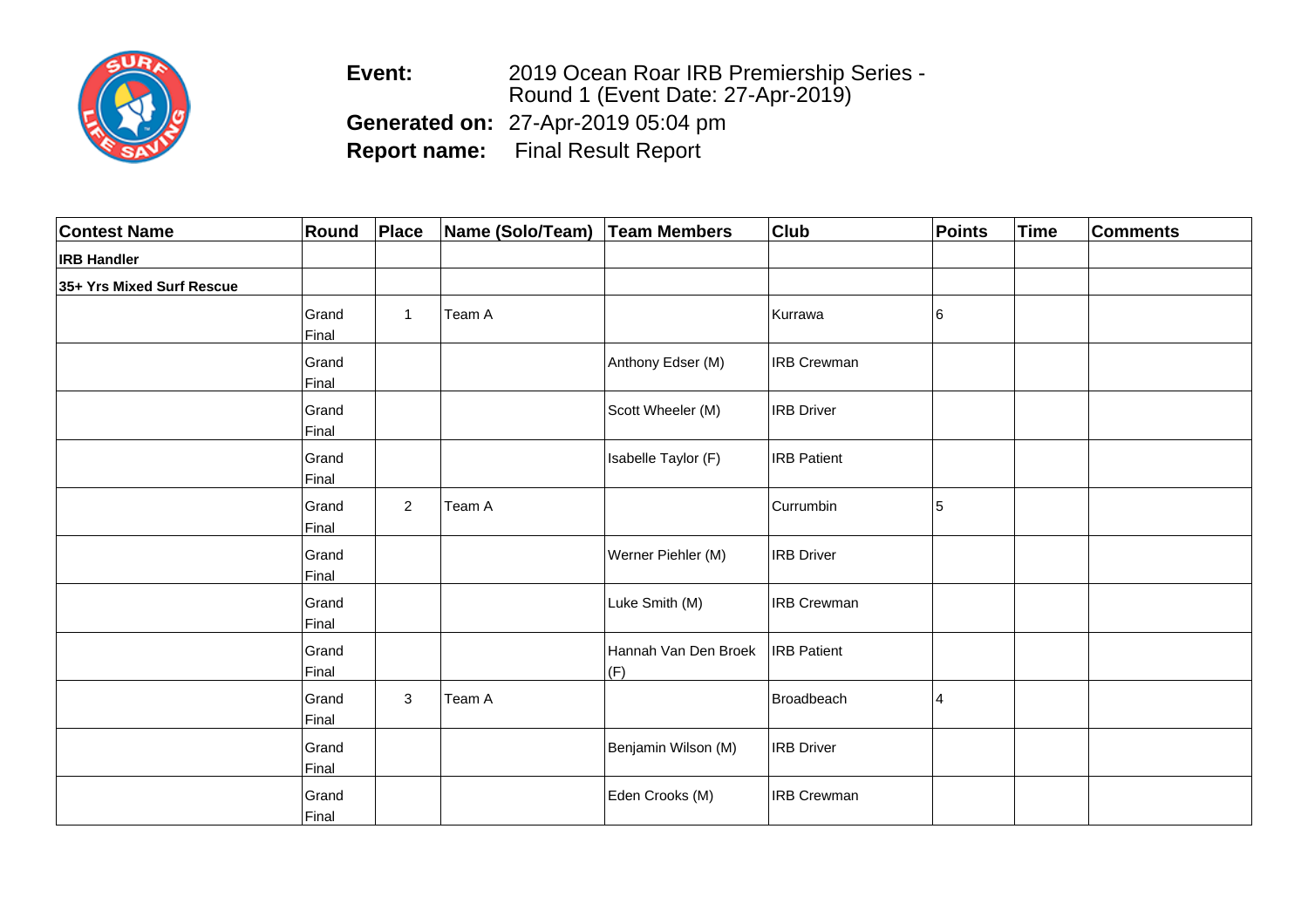

**Event:** 2019 Ocean Roar IRB Premiership Series - Round 1 (Event Date: 27-Apr-2019) **Generated on:** 27-Apr-2019 05:04 pm**Report name:** Final Result Report

| <b>Contest Name</b>       | Round          | Place          | Name (Solo/Team) | <b>Team Members</b>         | <b>Club</b>        | Points | <b>Time</b> | <b>Comments</b> |
|---------------------------|----------------|----------------|------------------|-----------------------------|--------------------|--------|-------------|-----------------|
| <b>IRB Handler</b>        |                |                |                  |                             |                    |        |             |                 |
| 35+ Yrs Mixed Surf Rescue |                |                |                  |                             |                    |        |             |                 |
|                           | Grand<br>Final | $\mathbf{1}$   | Team A           |                             | Kurrawa            | 16     |             |                 |
|                           | Grand<br>Final |                |                  | Anthony Edser (M)           | <b>IRB Crewman</b> |        |             |                 |
|                           | Grand<br>Final |                |                  | Scott Wheeler (M)           | <b>IRB</b> Driver  |        |             |                 |
|                           | Grand<br>Final |                |                  | Isabelle Taylor (F)         | <b>IRB</b> Patient |        |             |                 |
|                           | Grand<br>Final | $\overline{2}$ | Team A           |                             | Currumbin          | 5      |             |                 |
|                           | Grand<br>Final |                |                  | Werner Piehler (M)          | <b>IRB</b> Driver  |        |             |                 |
|                           | Grand<br>Final |                |                  | Luke Smith (M)              | <b>IRB Crewman</b> |        |             |                 |
|                           | Grand<br>Final |                |                  | Hannah Van Den Broek<br>(F) | <b>IRB</b> Patient |        |             |                 |
|                           | Grand<br>Final | 3              | Team A           |                             | Broadbeach         | 4      |             |                 |
|                           | Grand<br>Final |                |                  | Benjamin Wilson (M)         | <b>IRB</b> Driver  |        |             |                 |
|                           | Grand<br>Final |                |                  | Eden Crooks (M)             | <b>IRB Crewman</b> |        |             |                 |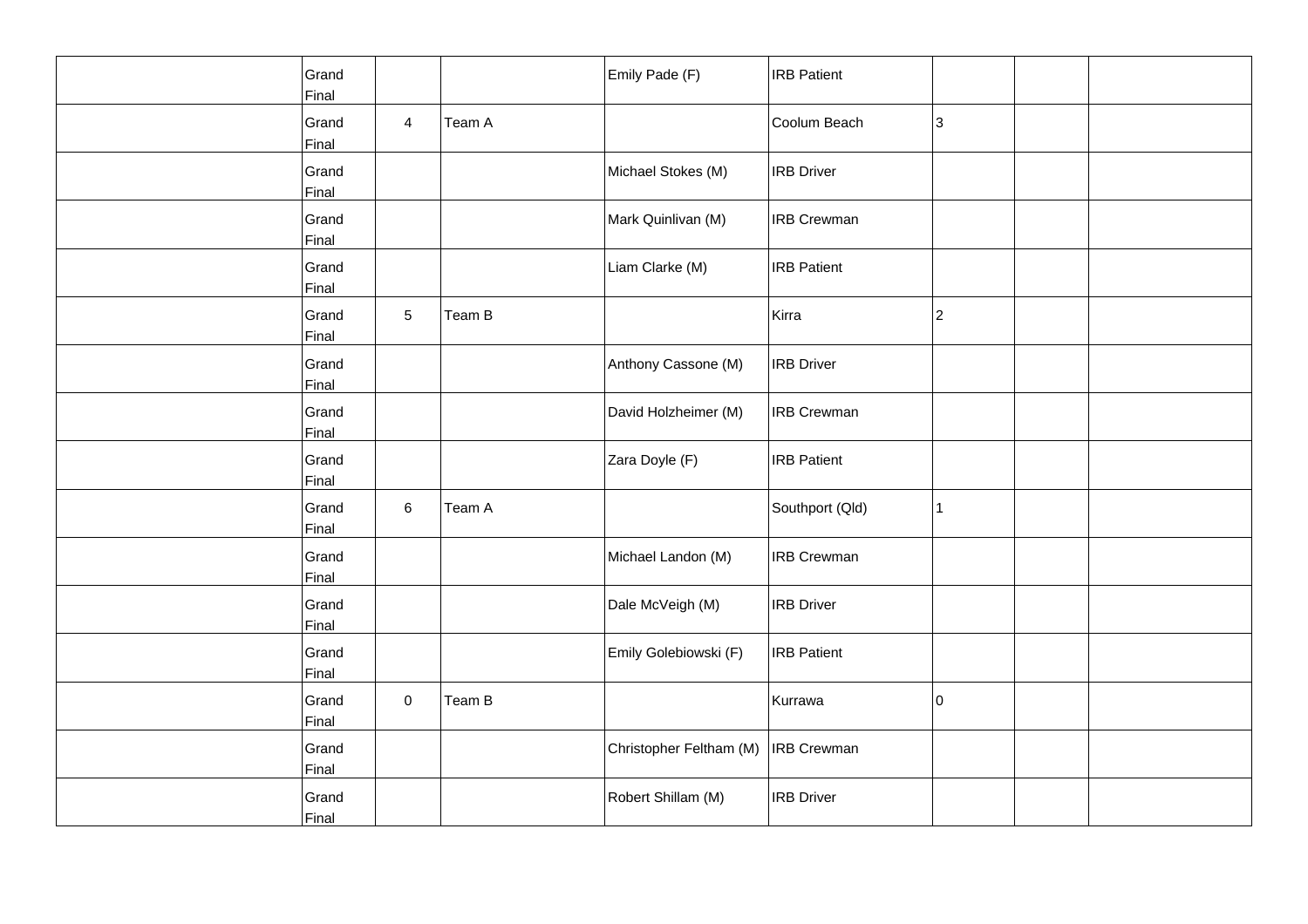| Grand<br>Final |                |        | Emily Pade (F)          | <b>IRB</b> Patient |    |  |
|----------------|----------------|--------|-------------------------|--------------------|----|--|
| Grand<br>Final | $\overline{4}$ | Team A |                         | Coolum Beach       | 3  |  |
| Grand<br>Final |                |        | Michael Stokes (M)      | <b>IRB</b> Driver  |    |  |
| Grand<br>Final |                |        | Mark Quinlivan (M)      | <b>IRB Crewman</b> |    |  |
| Grand<br>Final |                |        | Liam Clarke (M)         | <b>IRB</b> Patient |    |  |
| Grand<br>Final | 5              | Team B |                         | Kirra              | 2  |  |
| Grand<br>Final |                |        | Anthony Cassone (M)     | <b>IRB</b> Driver  |    |  |
| Grand<br>Final |                |        | David Holzheimer (M)    | <b>IRB</b> Crewman |    |  |
| Grand<br>Final |                |        | Zara Doyle (F)          | <b>IRB Patient</b> |    |  |
| Grand<br>Final | 6              | Team A |                         | Southport (Qld)    | 1  |  |
| Grand<br>Final |                |        | Michael Landon (M)      | <b>IRB</b> Crewman |    |  |
| Grand<br>Final |                |        | Dale McVeigh (M)        | <b>IRB Driver</b>  |    |  |
| Grand<br>Final |                |        | Emily Golebiowski (F)   | <b>IRB</b> Patient |    |  |
| Grand<br>Final | $\mathbf 0$    | Team B |                         | Kurrawa            | 10 |  |
| Grand<br>Final |                |        | Christopher Feltham (M) | <b>IRB Crewman</b> |    |  |
| Grand<br>Final |                |        | Robert Shillam (M)      | <b>IRB</b> Driver  |    |  |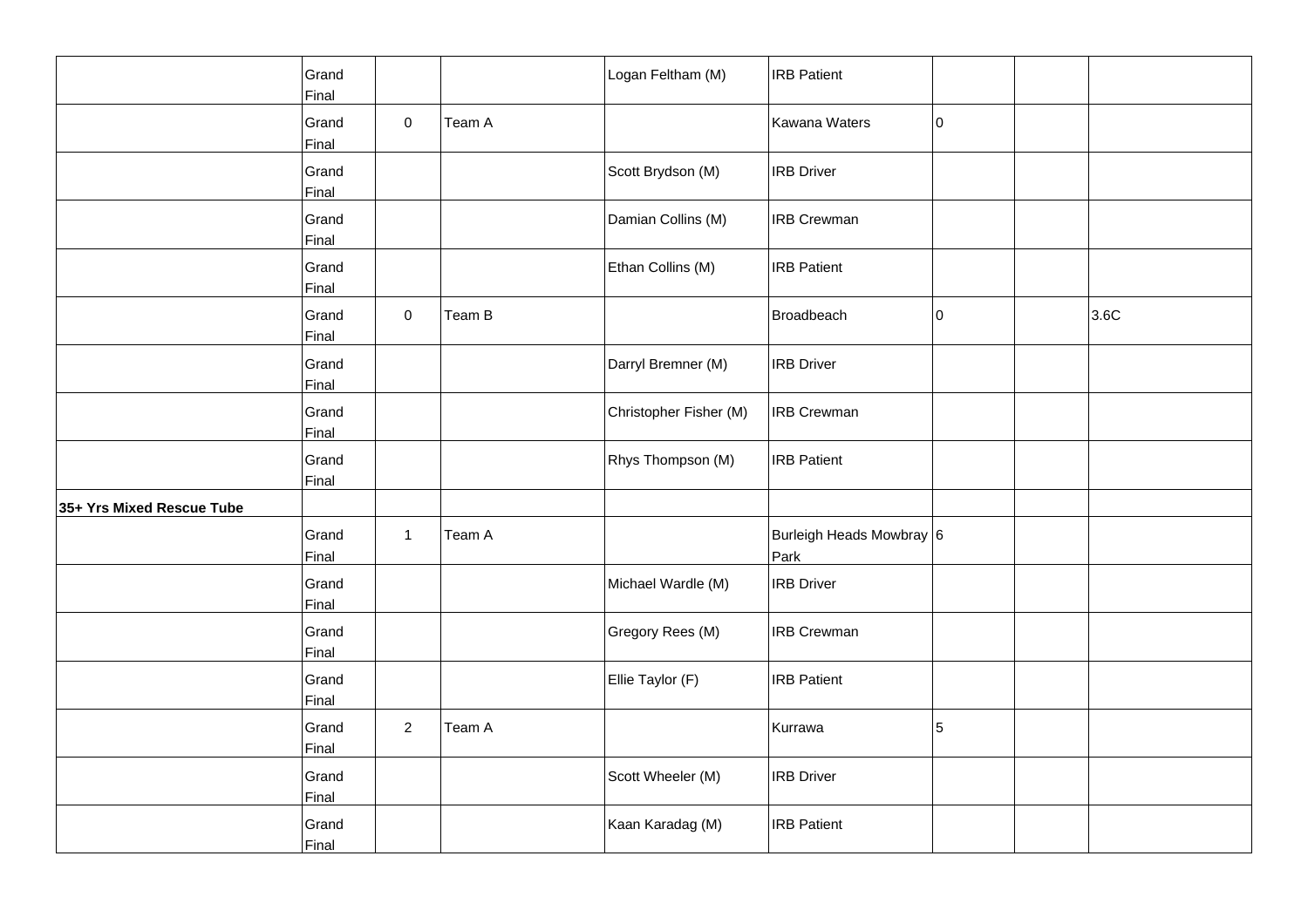|                           | Grand<br>Final |                     |        | Logan Feltham (M)      | <b>IRB</b> Patient               |     |      |
|---------------------------|----------------|---------------------|--------|------------------------|----------------------------------|-----|------|
|                           | Grand<br>Final | $\mathbf 0$         | Team A |                        | Kawana Waters                    | 10  |      |
|                           | Grand<br>Final |                     |        | Scott Brydson (M)      | <b>IRB</b> Driver                |     |      |
|                           | Grand<br>Final |                     |        | Damian Collins (M)     | <b>IRB Crewman</b>               |     |      |
|                           | Grand<br>Final |                     |        | Ethan Collins (M)      | <b>IRB Patient</b>               |     |      |
|                           | Grand<br>Final | $\mathsf{O}\xspace$ | Team B |                        | Broadbeach                       | lo. | 3.6C |
|                           | Grand<br>Final |                     |        | Darryl Bremner (M)     | <b>IRB</b> Driver                |     |      |
|                           | Grand<br>Final |                     |        | Christopher Fisher (M) | <b>IRB Crewman</b>               |     |      |
|                           | Grand<br>Final |                     |        | Rhys Thompson (M)      | <b>IRB</b> Patient               |     |      |
| 35+ Yrs Mixed Rescue Tube |                |                     |        |                        |                                  |     |      |
|                           | Grand<br>Final | $\mathbf{1}$        | Team A |                        | Burleigh Heads Mowbray 6<br>Park |     |      |
|                           | Grand<br>Final |                     |        | Michael Wardle (M)     | <b>IRB</b> Driver                |     |      |
|                           | Grand<br>Final |                     |        | Gregory Rees (M)       | <b>IRB Crewman</b>               |     |      |
|                           | Grand<br>Final |                     |        | Ellie Taylor (F)       | <b>IRB</b> Patient               |     |      |
|                           | Grand<br>Final | $\overline{a}$      | Team A |                        | Kurrawa                          | 5   |      |
|                           | Grand<br>Final |                     |        | Scott Wheeler (M)      | <b>IRB</b> Driver                |     |      |
|                           | Grand<br>Final |                     |        | Kaan Karadag (M)       | <b>IRB Patient</b>               |     |      |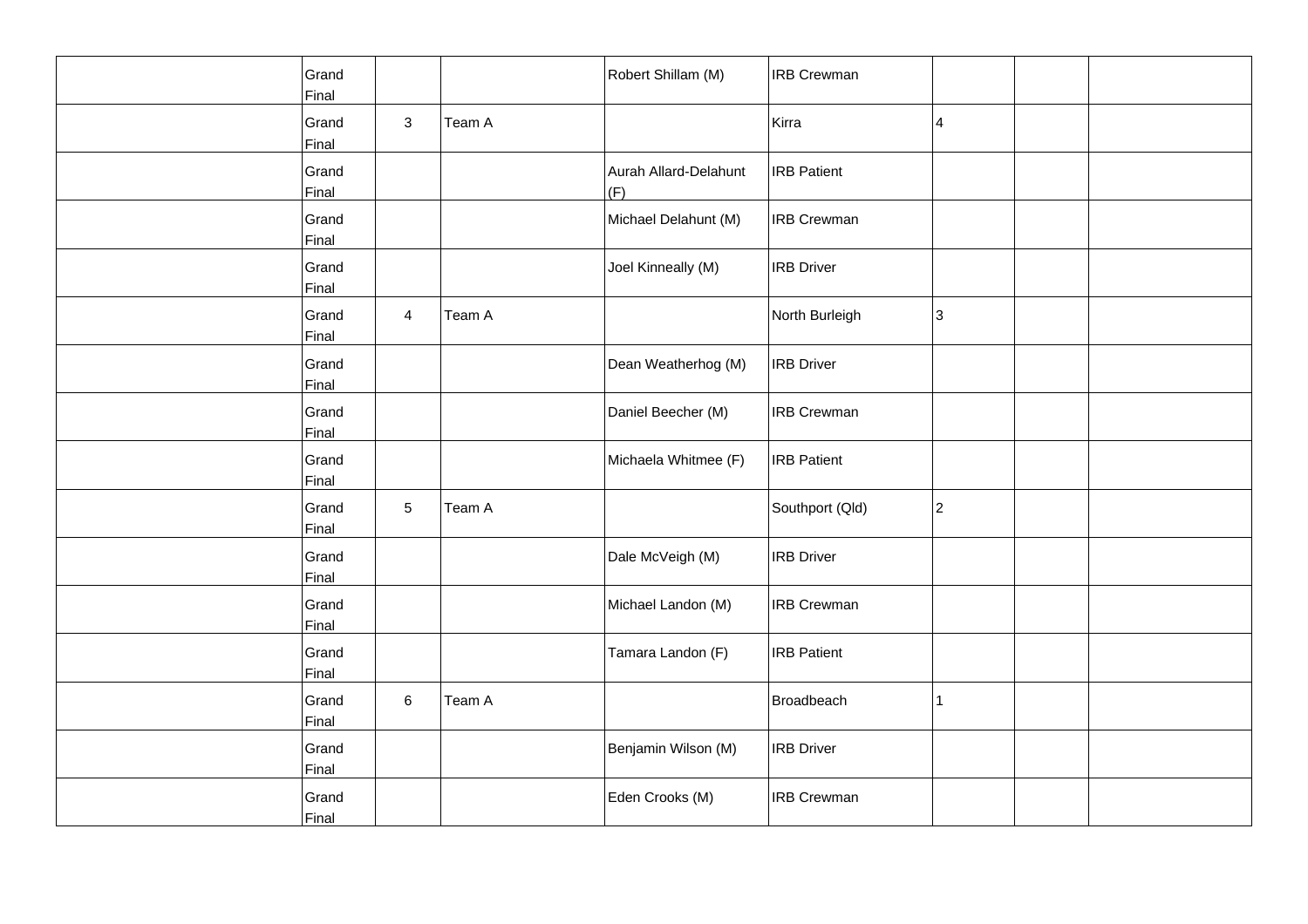| Grand<br>Final |                |        | Robert Shillam (M)           | <b>IRB Crewman</b> |    |  |
|----------------|----------------|--------|------------------------------|--------------------|----|--|
| Grand<br>Final | 3              | Team A |                              | Kirra              | 4  |  |
| Grand<br>Final |                |        | Aurah Allard-Delahunt<br>(F) | <b>IRB Patient</b> |    |  |
| Grand<br>Final |                |        | Michael Delahunt (M)         | <b>IRB Crewman</b> |    |  |
| Grand<br>Final |                |        | Joel Kinneally (M)           | <b>IRB</b> Driver  |    |  |
| Grand<br>Final | $\overline{4}$ | Team A |                              | North Burleigh     | 3  |  |
| Grand<br>Final |                |        | Dean Weatherhog (M)          | <b>IRB Driver</b>  |    |  |
| Grand<br>Final |                |        | Daniel Beecher (M)           | <b>IRB Crewman</b> |    |  |
| Grand<br>Final |                |        | Michaela Whitmee (F)         | <b>IRB Patient</b> |    |  |
| Grand<br>Final | 5              | Team A |                              | Southport (Qld)    | 2  |  |
| Grand<br>Final |                |        | Dale McVeigh (M)             | <b>IRB Driver</b>  |    |  |
| Grand<br>Final |                |        | Michael Landon (M)           | <b>IRB Crewman</b> |    |  |
| Grand<br>Final |                |        | Tamara Landon (F)            | <b>IRB Patient</b> |    |  |
| Grand<br>Final | 6              | Team A |                              | <b>Broadbeach</b>  | 11 |  |
| Grand<br>Final |                |        | Benjamin Wilson (M)          | <b>IRB Driver</b>  |    |  |
| Grand<br>Final |                |        | Eden Crooks (M)              | <b>IRB Crewman</b> |    |  |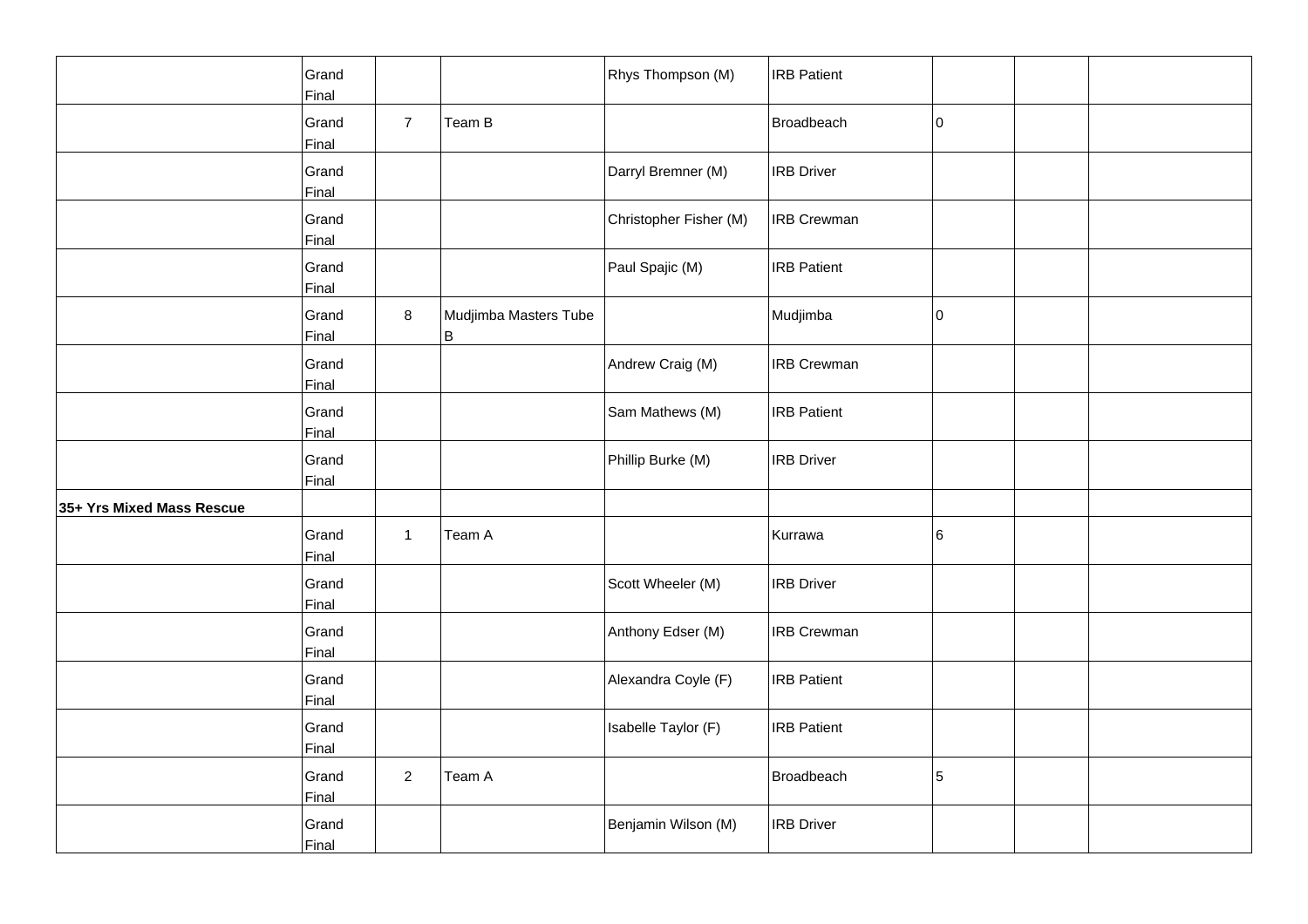|                           | Grand<br>Final |                |                            | Rhys Thompson (M)      | <b>IRB Patient</b> |             |  |
|---------------------------|----------------|----------------|----------------------------|------------------------|--------------------|-------------|--|
|                           | Grand<br>Final | $\overline{7}$ | Team B                     |                        | Broadbeach         | $ 0\rangle$ |  |
|                           | Grand<br>Final |                |                            | Darryl Bremner (M)     | <b>IRB Driver</b>  |             |  |
|                           | Grand<br>Final |                |                            | Christopher Fisher (M) | <b>IRB Crewman</b> |             |  |
|                           | Grand<br>Final |                |                            | Paul Spajic (M)        | <b>IRB Patient</b> |             |  |
|                           | Grand<br>Final | 8              | Mudjimba Masters Tube<br>B |                        | Mudjimba           | 10          |  |
|                           | Grand<br>Final |                |                            | Andrew Craig (M)       | <b>IRB Crewman</b> |             |  |
|                           | Grand<br>Final |                |                            | Sam Mathews (M)        | <b>IRB Patient</b> |             |  |
|                           | Grand<br>Final |                |                            | Phillip Burke (M)      | <b>IRB Driver</b>  |             |  |
| 35+ Yrs Mixed Mass Rescue |                |                |                            |                        |                    |             |  |
|                           | Grand<br>Final | $\mathbf{1}$   | Team A                     |                        | Kurrawa            | 16          |  |
|                           | Grand<br>Final |                |                            | Scott Wheeler (M)      | <b>IRB Driver</b>  |             |  |
|                           | Grand<br>Final |                |                            | Anthony Edser (M)      | <b>IRB Crewman</b> |             |  |
|                           | Grand<br>Final |                |                            | Alexandra Coyle (F)    | <b>IRB Patient</b> |             |  |
|                           | Grand<br>Final |                |                            | Isabelle Taylor (F)    | <b>IRB Patient</b> |             |  |
|                           | Grand<br>Final | $\overline{2}$ | Team A                     |                        | Broadbeach         | 5           |  |
|                           | Grand<br>Final |                |                            | Benjamin Wilson (M)    | <b>IRB Driver</b>  |             |  |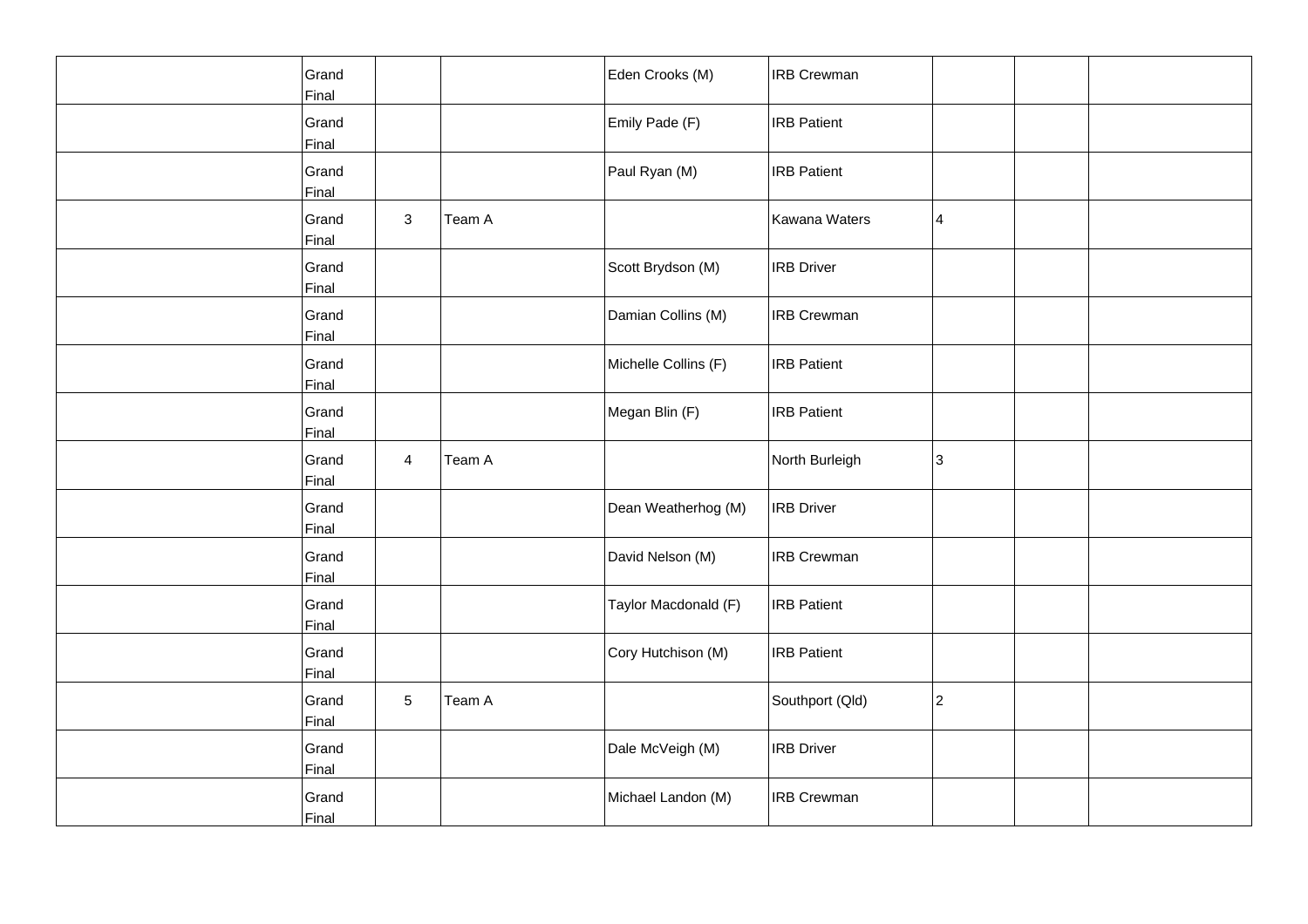| Grand<br>Final        |                |        | Eden Crooks (M)      | <b>IRB Crewman</b> |   |  |
|-----------------------|----------------|--------|----------------------|--------------------|---|--|
| Grand<br>Final        |                |        | Emily Pade (F)       | <b>IRB</b> Patient |   |  |
| Grand<br>Final        |                |        | Paul Ryan (M)        | <b>IRB Patient</b> |   |  |
| Grand<br>Final        | 3              | Team A |                      | Kawana Waters      | 4 |  |
| Grand<br>Final        |                |        | Scott Brydson (M)    | <b>IRB</b> Driver  |   |  |
| Grand<br>Final        |                |        | Damian Collins (M)   | <b>IRB Crewman</b> |   |  |
| Grand<br>Final        |                |        | Michelle Collins (F) | <b>IRB Patient</b> |   |  |
| Grand<br>Final        |                |        | Megan Blin (F)       | <b>IRB Patient</b> |   |  |
| Grand<br>Final        | $\overline{4}$ | Team A |                      | North Burleigh     | 3 |  |
| Grand<br>Final        |                |        | Dean Weatherhog (M)  | <b>IRB Driver</b>  |   |  |
| Grand<br>Final        |                |        | David Nelson (M)     | <b>IRB Crewman</b> |   |  |
| Grand<br>Final        |                |        | Taylor Macdonald (F) | <b>IRB Patient</b> |   |  |
| Grand<br>Final        |                |        | Cory Hutchison (M)   | <b>IRB Patient</b> |   |  |
| Grand<br>Final        | 5              | Team A |                      | Southport (Qld)    | 2 |  |
| Grand<br><b>Final</b> |                |        | Dale McVeigh (M)     | <b>IRB Driver</b>  |   |  |
| Grand<br>Final        |                |        | Michael Landon (M)   | <b>IRB Crewman</b> |   |  |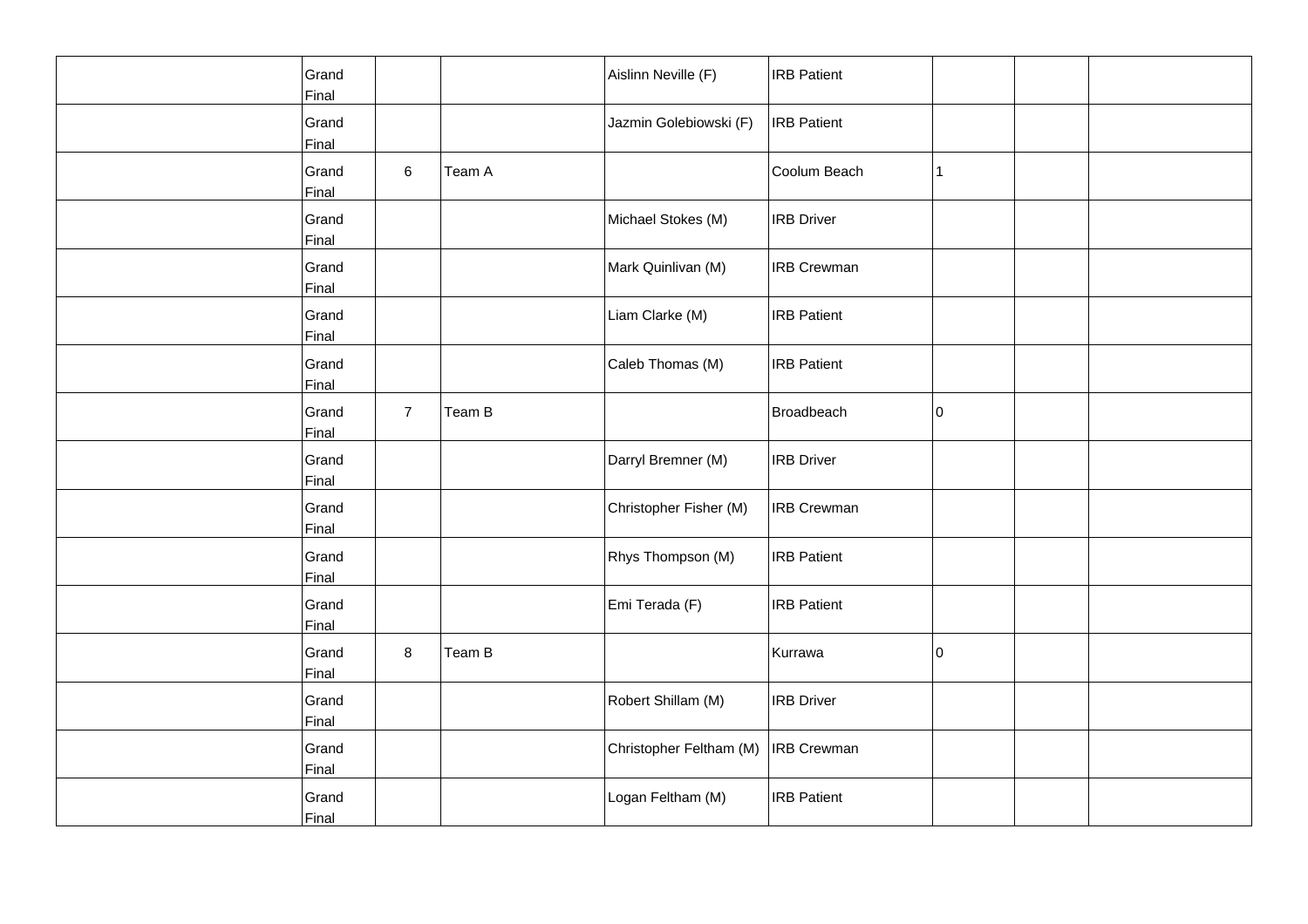| Grand<br>Final |                |        | Aislinn Neville (F)     | <b>IRB Patient</b> |    |  |
|----------------|----------------|--------|-------------------------|--------------------|----|--|
| Grand<br>Final |                |        | Jazmin Golebiowski (F)  | <b>IRB</b> Patient |    |  |
| Grand<br>Final | 6              | Team A |                         | Coolum Beach       | 11 |  |
| Grand<br>Final |                |        | Michael Stokes (M)      | <b>IRB Driver</b>  |    |  |
| Grand<br>Final |                |        | Mark Quinlivan (M)      | <b>IRB Crewman</b> |    |  |
| Grand<br>Final |                |        | Liam Clarke (M)         | <b>IRB Patient</b> |    |  |
| Grand<br>Final |                |        | Caleb Thomas (M)        | <b>IRB Patient</b> |    |  |
| Grand<br>Final | $\overline{7}$ | Team B |                         | Broadbeach         | 10 |  |
| Grand<br>Final |                |        | Darryl Bremner (M)      | <b>IRB Driver</b>  |    |  |
| Grand<br>Final |                |        | Christopher Fisher (M)  | <b>IRB Crewman</b> |    |  |
| Grand<br>Final |                |        | Rhys Thompson (M)       | <b>IRB</b> Patient |    |  |
| Grand<br>Final |                |        | Emi Terada (F)          | <b>IRB Patient</b> |    |  |
| Grand<br>Final | 8              | Team B |                         | Kurrawa            | 10 |  |
| Grand<br>Final |                |        | Robert Shillam (M)      | <b>IRB</b> Driver  |    |  |
| Grand<br>Final |                |        | Christopher Feltham (M) | <b>IRB</b> Crewman |    |  |
| Grand<br>Final |                |        | Logan Feltham (M)       | <b>IRB Patient</b> |    |  |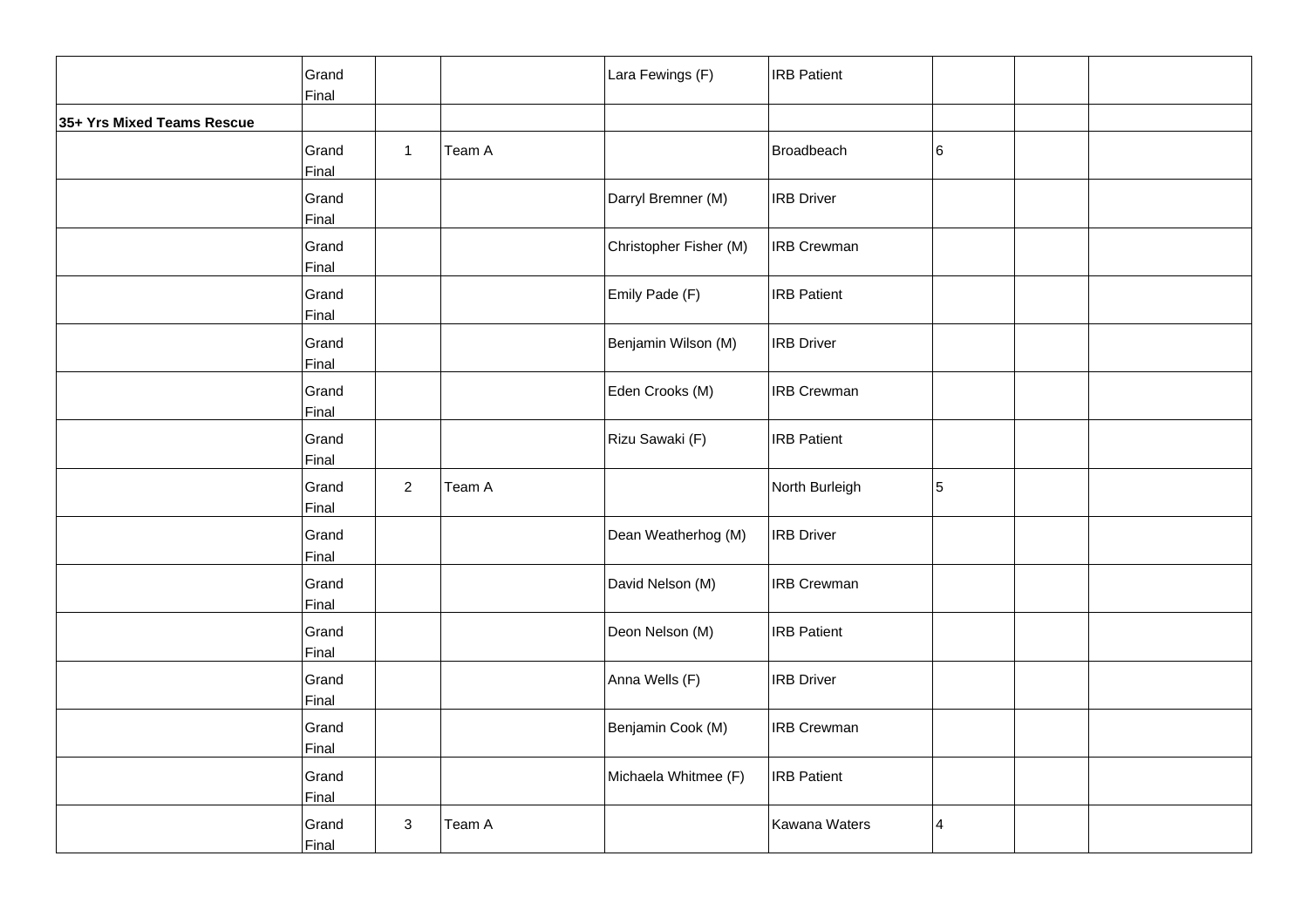|                            | Grand<br>Final |                |        | Lara Fewings (F)       | <b>IRB Patient</b> |   |  |
|----------------------------|----------------|----------------|--------|------------------------|--------------------|---|--|
| 35+ Yrs Mixed Teams Rescue |                |                |        |                        |                    |   |  |
|                            | Grand<br>Final | $\mathbf{1}$   | Team A |                        | Broadbeach         | 6 |  |
|                            | Grand<br>Final |                |        | Darryl Bremner (M)     | <b>IRB</b> Driver  |   |  |
|                            | Grand<br>Final |                |        | Christopher Fisher (M) | <b>IRB Crewman</b> |   |  |
|                            | Grand<br>Final |                |        | Emily Pade (F)         | <b>IRB</b> Patient |   |  |
|                            | Grand<br>Final |                |        | Benjamin Wilson (M)    | <b>IRB Driver</b>  |   |  |
|                            | Grand<br>Final |                |        | Eden Crooks (M)        | <b>IRB Crewman</b> |   |  |
|                            | Grand<br>Final |                |        | Rizu Sawaki (F)        | <b>IRB Patient</b> |   |  |
|                            | Grand<br>Final | $\overline{2}$ | Team A |                        | North Burleigh     | 5 |  |
|                            | Grand<br>Final |                |        | Dean Weatherhog (M)    | <b>IRB</b> Driver  |   |  |
|                            | Grand<br>Final |                |        | David Nelson (M)       | <b>IRB Crewman</b> |   |  |
|                            | Grand<br>Final |                |        | Deon Nelson (M)        | <b>IRB Patient</b> |   |  |
|                            | Grand<br>Final |                |        | Anna Wells (F)         | <b>IRB</b> Driver  |   |  |
|                            | Grand<br>Final |                |        | Benjamin Cook (M)      | <b>IRB Crewman</b> |   |  |
|                            | Grand<br>Final |                |        | Michaela Whitmee (F)   | <b>IRB</b> Patient |   |  |
|                            | Grand<br>Final | $\mathbf{3}$   | Team A |                        | Kawana Waters      | 4 |  |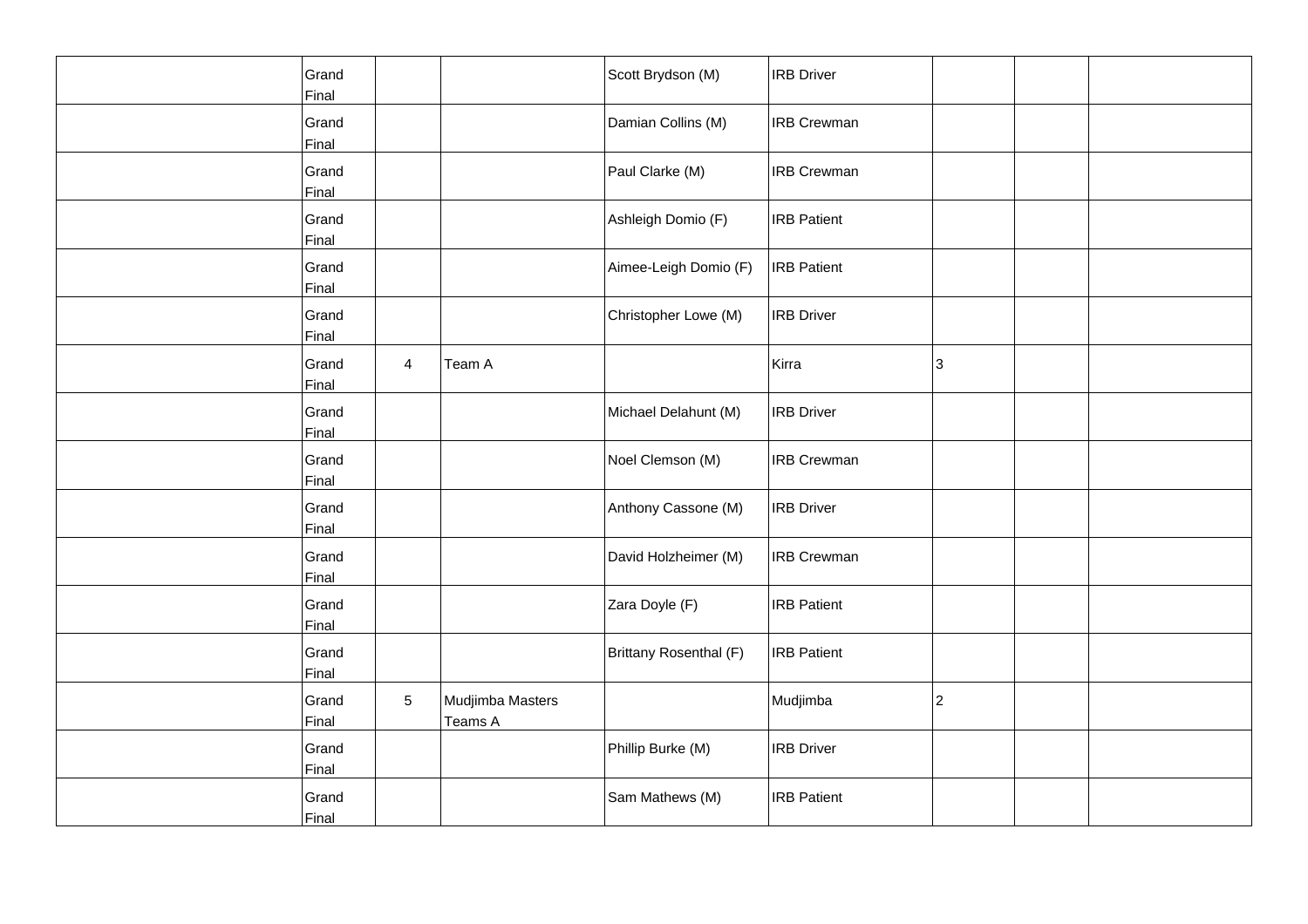| Grand<br>Final |                |                             | Scott Brydson (M)      | <b>IRB</b> Driver  |   |  |
|----------------|----------------|-----------------------------|------------------------|--------------------|---|--|
| Grand<br>Final |                |                             | Damian Collins (M)     | <b>IRB</b> Crewman |   |  |
| Grand<br>Final |                |                             | Paul Clarke (M)        | <b>IRB Crewman</b> |   |  |
| Grand<br>Final |                |                             | Ashleigh Domio (F)     | <b>IRB</b> Patient |   |  |
| Grand<br>Final |                |                             | Aimee-Leigh Domio (F)  | <b>IRB</b> Patient |   |  |
| Grand<br>Final |                |                             | Christopher Lowe (M)   | <b>IRB Driver</b>  |   |  |
| Grand<br>Final | $\overline{4}$ | Team A                      |                        | Kirra              | 3 |  |
| Grand<br>Final |                |                             | Michael Delahunt (M)   | <b>IRB</b> Driver  |   |  |
| Grand<br>Final |                |                             | Noel Clemson (M)       | <b>IRB Crewman</b> |   |  |
| Grand<br>Final |                |                             | Anthony Cassone (M)    | <b>IRB</b> Driver  |   |  |
| Grand<br>Final |                |                             | David Holzheimer (M)   | <b>IRB Crewman</b> |   |  |
| Grand<br>Final |                |                             | Zara Doyle (F)         | <b>IRB</b> Patient |   |  |
| Grand<br>Final |                |                             | Brittany Rosenthal (F) | <b>IRB</b> Patient |   |  |
| Grand<br>Final | 5              | Mudjimba Masters<br>Teams A |                        | Mudjimba           | 2 |  |
| Grand<br>Final |                |                             | Phillip Burke (M)      | <b>IRB Driver</b>  |   |  |
| Grand<br>Final |                |                             | Sam Mathews (M)        | <b>IRB</b> Patient |   |  |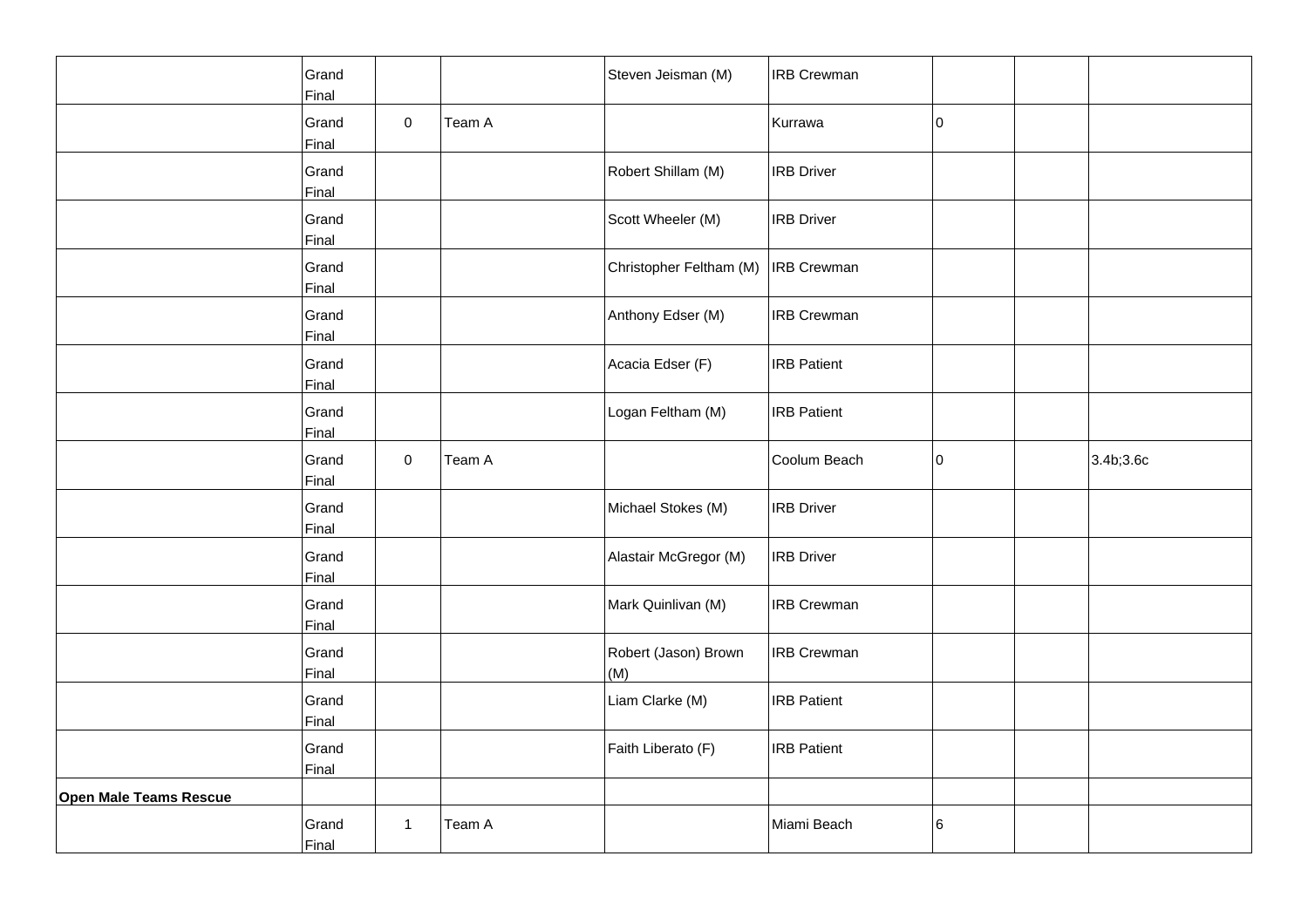|                               | Grand<br>Final |              |        | Steven Jeisman (M)          | <b>IRB Crewman</b> |    |           |
|-------------------------------|----------------|--------------|--------|-----------------------------|--------------------|----|-----------|
|                               | Grand<br>Final | $\pmb{0}$    | Team A |                             | Kurrawa            | 10 |           |
|                               | Grand<br>Final |              |        | Robert Shillam (M)          | <b>IRB Driver</b>  |    |           |
|                               | Grand<br>Final |              |        | Scott Wheeler (M)           | <b>IRB</b> Driver  |    |           |
|                               | Grand<br>Final |              |        | Christopher Feltham (M)     | <b>IRB</b> Crewman |    |           |
|                               | Grand<br>Final |              |        | Anthony Edser (M)           | <b>IRB Crewman</b> |    |           |
|                               | Grand<br>Final |              |        | Acacia Edser (F)            | <b>IRB Patient</b> |    |           |
|                               | Grand<br>Final |              |        | Logan Feltham (M)           | <b>IRB Patient</b> |    |           |
|                               | Grand<br>Final | 0            | Team A |                             | Coolum Beach       | 10 | 3.4b;3.6c |
|                               | Grand<br>Final |              |        | Michael Stokes (M)          | <b>IRB Driver</b>  |    |           |
|                               | Grand<br>Final |              |        | Alastair McGregor (M)       | <b>IRB Driver</b>  |    |           |
|                               | Grand<br>Final |              |        | Mark Quinlivan (M)          | <b>IRB Crewman</b> |    |           |
|                               | Grand<br>Final |              |        | Robert (Jason) Brown<br>(M) | <b>IRB Crewman</b> |    |           |
|                               | Grand<br>Final |              |        | Liam Clarke (M)             | <b>IRB Patient</b> |    |           |
|                               | Grand<br>Final |              |        | Faith Liberato (F)          | <b>IRB Patient</b> |    |           |
| <b>Open Male Teams Rescue</b> |                |              |        |                             |                    |    |           |
|                               | Grand<br>Final | $\mathbf{1}$ | Team A |                             | Miami Beach        | 6  |           |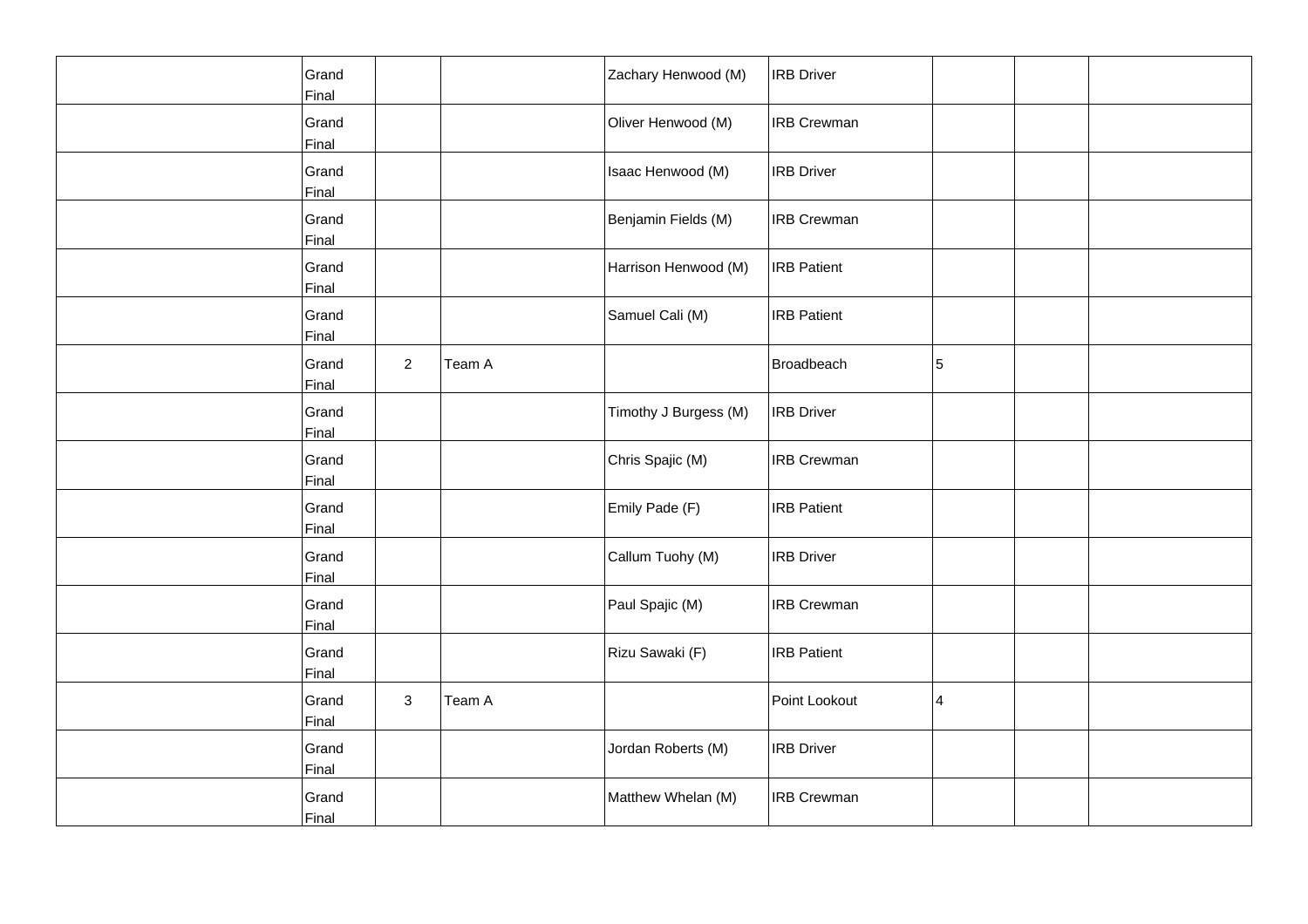| Grand<br>Final |                |        | Zachary Henwood (M)   | <b>IRB Driver</b>  |   |  |
|----------------|----------------|--------|-----------------------|--------------------|---|--|
| Grand<br>Final |                |        | Oliver Henwood (M)    | <b>IRB Crewman</b> |   |  |
| Grand<br>Final |                |        | Isaac Henwood (M)     | <b>IRB Driver</b>  |   |  |
| Grand<br>Final |                |        | Benjamin Fields (M)   | <b>IRB Crewman</b> |   |  |
| Grand<br>Final |                |        | Harrison Henwood (M)  | <b>IRB</b> Patient |   |  |
| Grand<br>Final |                |        | Samuel Cali (M)       | <b>IRB Patient</b> |   |  |
| Grand<br>Final | $\overline{a}$ | Team A |                       | Broadbeach         | 5 |  |
| Grand<br>Final |                |        | Timothy J Burgess (M) | <b>IRB</b> Driver  |   |  |
| Grand<br>Final |                |        | Chris Spajic (M)      | <b>IRB Crewman</b> |   |  |
| Grand<br>Final |                |        | Emily Pade (F)        | <b>IRB Patient</b> |   |  |
| Grand<br>Final |                |        | Callum Tuohy (M)      | <b>IRB Driver</b>  |   |  |
| Grand<br>Final |                |        | Paul Spajic (M)       | <b>IRB Crewman</b> |   |  |
| Grand<br>Final |                |        | Rizu Sawaki (F)       | <b>IRB Patient</b> |   |  |
| Grand<br>Final | $\mathbf{3}$   | Team A |                       | Point Lookout      | 4 |  |
| Grand<br>Final |                |        | Jordan Roberts (M)    | <b>IRB Driver</b>  |   |  |
| Grand<br>Final |                |        | Matthew Whelan (M)    | <b>IRB Crewman</b> |   |  |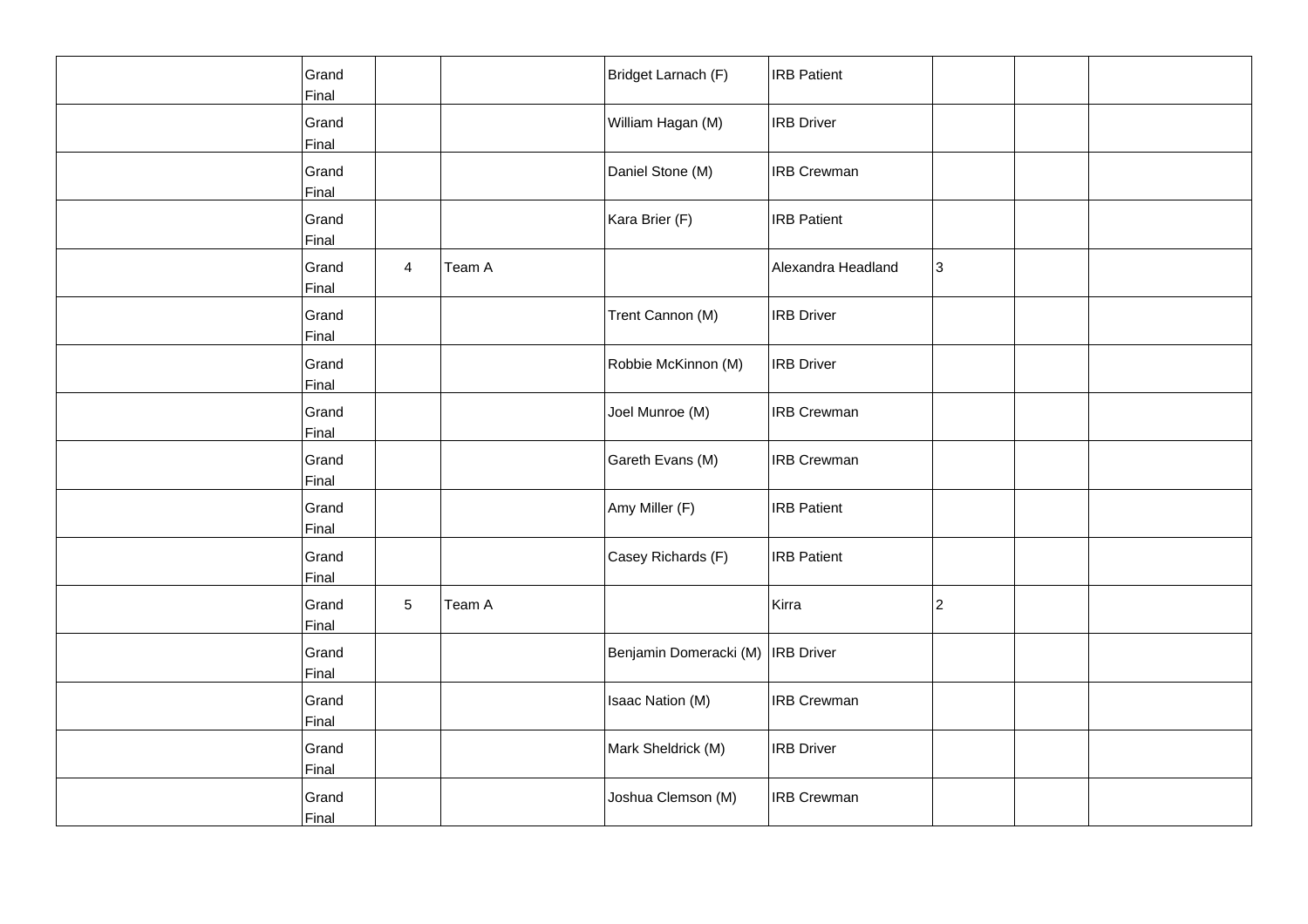| Grand<br>Final |                |        | Bridget Larnach (F)               | <b>IRB Patient</b> |   |  |
|----------------|----------------|--------|-----------------------------------|--------------------|---|--|
| Grand<br>Final |                |        | William Hagan (M)                 | <b>IRB</b> Driver  |   |  |
| Grand<br>Final |                |        | Daniel Stone (M)                  | <b>IRB Crewman</b> |   |  |
| Grand<br>Final |                |        | Kara Brier (F)                    | <b>IRB Patient</b> |   |  |
| Grand<br>Final | $\overline{4}$ | Team A |                                   | Alexandra Headland | 3 |  |
| Grand<br>Final |                |        | Trent Cannon (M)                  | <b>IRB Driver</b>  |   |  |
| Grand<br>Final |                |        | Robbie McKinnon (M)               | <b>IRB Driver</b>  |   |  |
| Grand<br>Final |                |        | Joel Munroe (M)                   | <b>IRB</b> Crewman |   |  |
| Grand<br>Final |                |        | Gareth Evans (M)                  | <b>IRB Crewman</b> |   |  |
| Grand<br>Final |                |        | Amy Miller (F)                    | <b>IRB Patient</b> |   |  |
| Grand<br>Final |                |        | Casey Richards (F)                | <b>IRB</b> Patient |   |  |
| Grand<br>Final | 5              | Team A |                                   | Kirra              | 2 |  |
| Grand<br>Final |                |        | Benjamin Domeracki (M) IRB Driver |                    |   |  |
| Grand<br>Final |                |        | Isaac Nation (M)                  | <b>IRB Crewman</b> |   |  |
| Grand<br>Final |                |        | Mark Sheldrick (M)                | <b>IRB Driver</b>  |   |  |
| Grand<br>Final |                |        | Joshua Clemson (M)                | <b>IRB Crewman</b> |   |  |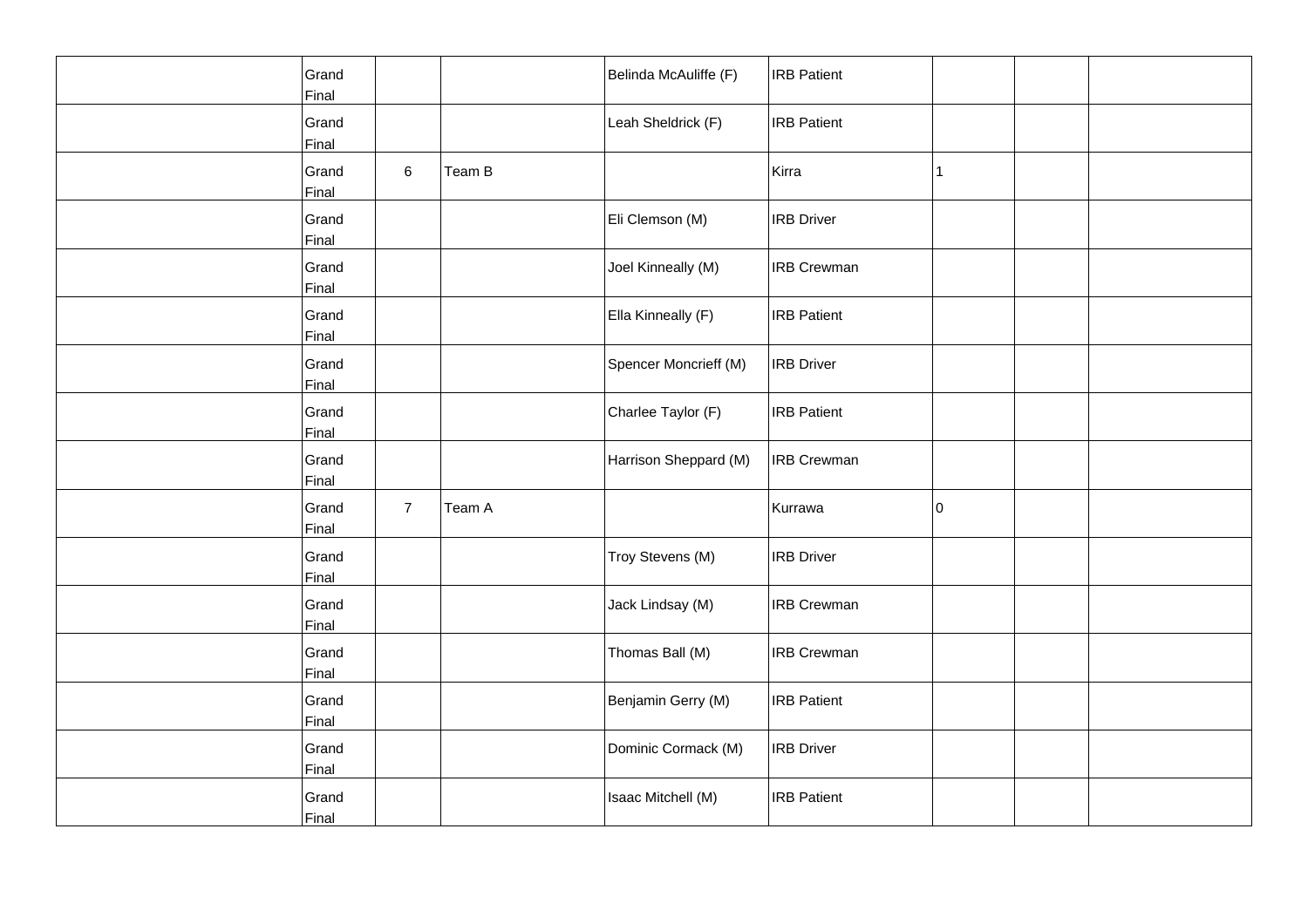| Grand<br>Final |                |        | Belinda McAuliffe (F) | <b>IRB Patient</b> |             |  |
|----------------|----------------|--------|-----------------------|--------------------|-------------|--|
| Grand<br>Final |                |        | Leah Sheldrick (F)    | <b>IRB Patient</b> |             |  |
| Grand<br>Final | 6              | Team B |                       | Kirra              | 1           |  |
| Grand<br>Final |                |        | Eli Clemson (M)       | <b>IRB Driver</b>  |             |  |
| Grand<br>Final |                |        | Joel Kinneally (M)    | <b>IRB Crewman</b> |             |  |
| Grand<br>Final |                |        | Ella Kinneally (F)    | <b>IRB Patient</b> |             |  |
| Grand<br>Final |                |        | Spencer Moncrieff (M) | <b>IRB Driver</b>  |             |  |
| Grand<br>Final |                |        | Charlee Taylor (F)    | <b>IRB Patient</b> |             |  |
| Grand<br>Final |                |        | Harrison Sheppard (M) | <b>IRB Crewman</b> |             |  |
| Grand<br>Final | $\overline{7}$ | Team A |                       | Kurrawa            | $ 0\rangle$ |  |
| Grand<br>Final |                |        | Troy Stevens (M)      | <b>IRB Driver</b>  |             |  |
| Grand<br>Final |                |        | Jack Lindsay (M)      | <b>IRB Crewman</b> |             |  |
| Grand<br>Final |                |        | Thomas Ball (M)       | <b>IRB Crewman</b> |             |  |
| Grand<br>Final |                |        | Benjamin Gerry (M)    | <b>IRB Patient</b> |             |  |
| Grand<br>Final |                |        | Dominic Cormack (M)   | <b>IRB Driver</b>  |             |  |
| Grand<br>Final |                |        | Isaac Mitchell (M)    | <b>IRB Patient</b> |             |  |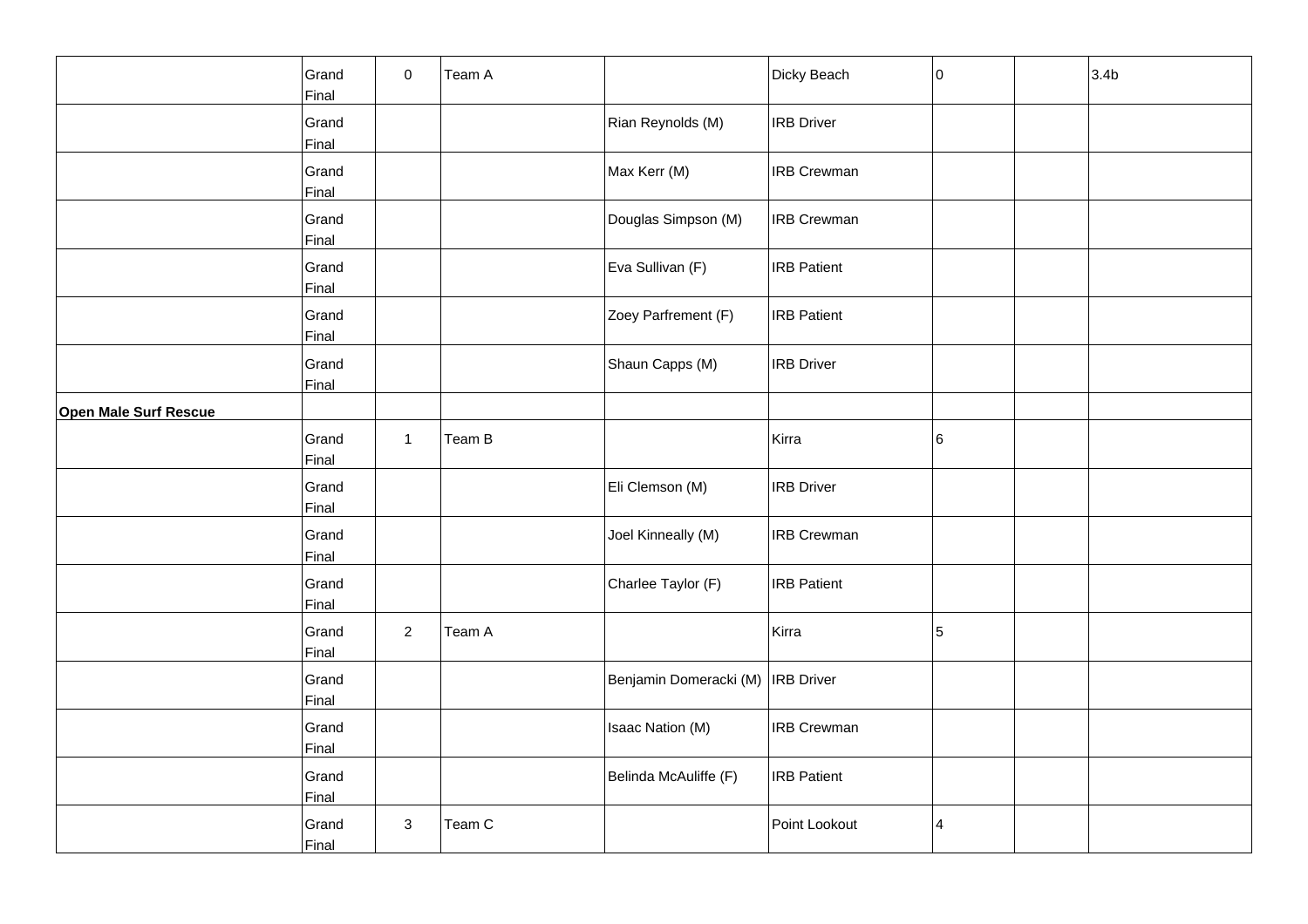|                              | Grand<br>Final | $\pmb{0}$      | Team A |                                     | Dicky Beach        | 10 | 3.4 <sub>b</sub> |
|------------------------------|----------------|----------------|--------|-------------------------------------|--------------------|----|------------------|
|                              | Grand<br>Final |                |        | Rian Reynolds (M)                   | <b>IRB Driver</b>  |    |                  |
|                              | Grand<br>Final |                |        | Max Kerr (M)                        | <b>IRB Crewman</b> |    |                  |
|                              | Grand<br>Final |                |        | Douglas Simpson (M)                 | <b>IRB Crewman</b> |    |                  |
|                              | Grand<br>Final |                |        | Eva Sullivan (F)                    | <b>IRB Patient</b> |    |                  |
|                              | Grand<br>Final |                |        | Zoey Parfrement (F)                 | <b>IRB</b> Patient |    |                  |
|                              | Grand<br>Final |                |        | Shaun Capps (M)                     | <b>IRB Driver</b>  |    |                  |
| <b>Open Male Surf Rescue</b> |                |                |        |                                     |                    |    |                  |
|                              | Grand<br>Final | $\mathbf{1}$   | Team B |                                     | Kirra              | 6  |                  |
|                              | Grand<br>Final |                |        | Eli Clemson (M)                     | <b>IRB Driver</b>  |    |                  |
|                              | Grand<br>Final |                |        | Joel Kinneally (M)                  | <b>IRB Crewman</b> |    |                  |
|                              | Grand<br>Final |                |        | Charlee Taylor (F)                  | <b>IRB Patient</b> |    |                  |
|                              | Grand<br>Final | $\overline{a}$ | Team A |                                     | Kirra              | 5  |                  |
|                              | Grand<br>Final |                |        | Benjamin Domeracki (M)   IRB Driver |                    |    |                  |
|                              | Grand<br>Final |                |        | Isaac Nation (M)                    | <b>IRB Crewman</b> |    |                  |
|                              | Grand<br>Final |                |        | Belinda McAuliffe (F)               | <b>IRB Patient</b> |    |                  |
|                              | Grand<br>Final | 3              | Team C |                                     | Point Lookout      | 4  |                  |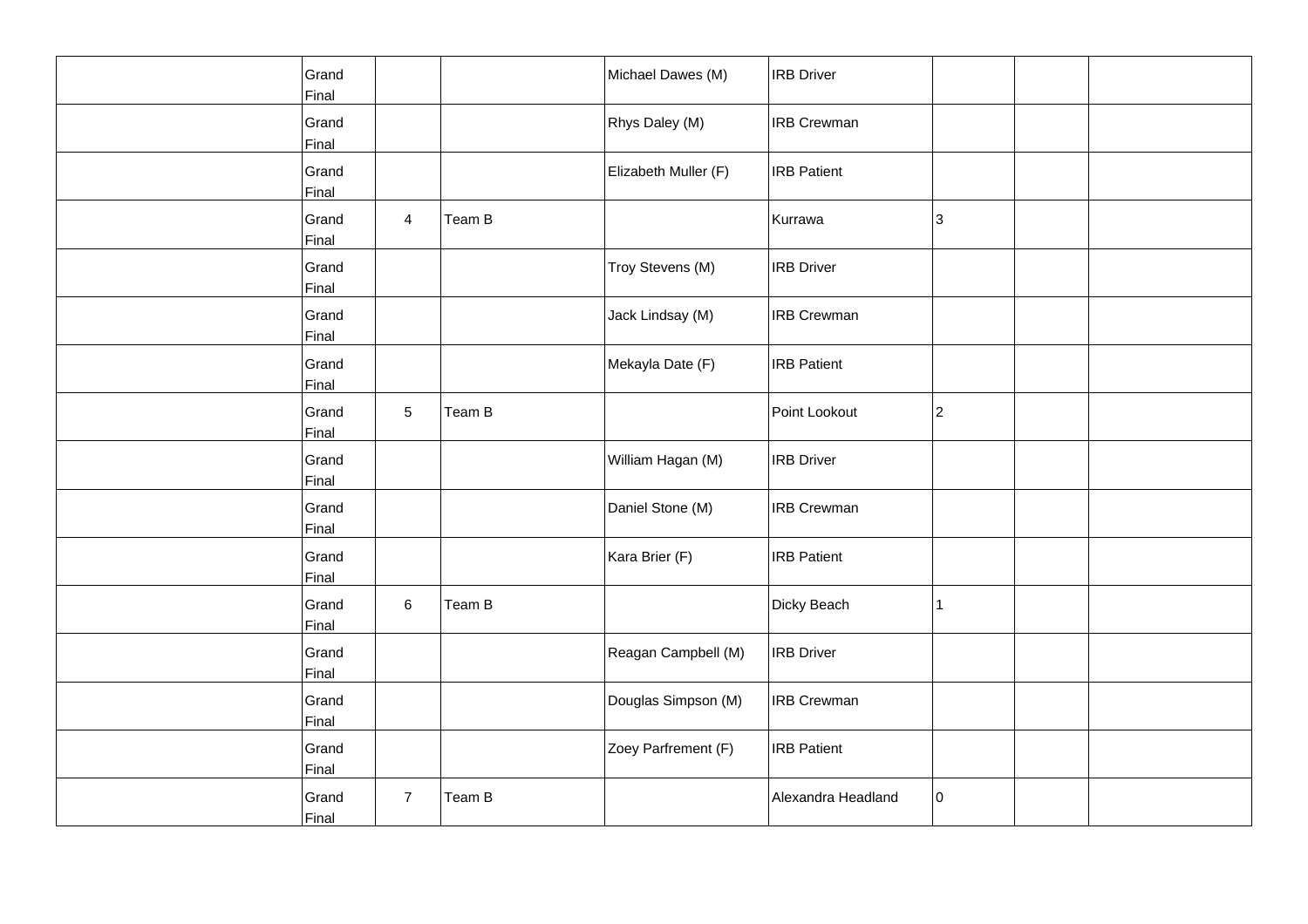| Grand<br>Final |                |        | Michael Dawes (M)    | <b>IRB</b> Driver  |    |  |
|----------------|----------------|--------|----------------------|--------------------|----|--|
| Grand<br>Final |                |        | Rhys Daley (M)       | <b>IRB</b> Crewman |    |  |
| Grand<br>Final |                |        | Elizabeth Muller (F) | <b>IRB Patient</b> |    |  |
| Grand<br>Final | $\overline{4}$ | Team B |                      | Kurrawa            | 3  |  |
| Grand<br>Final |                |        | Troy Stevens (M)     | <b>IRB</b> Driver  |    |  |
| Grand<br>Final |                |        | Jack Lindsay (M)     | <b>IRB Crewman</b> |    |  |
| Grand<br>Final |                |        | Mekayla Date (F)     | <b>IRB</b> Patient |    |  |
| Grand<br>Final | 5              | Team B |                      | Point Lookout      | 2  |  |
| Grand<br>Final |                |        | William Hagan (M)    | <b>IRB Driver</b>  |    |  |
| Grand<br>Final |                |        | Daniel Stone (M)     | <b>IRB Crewman</b> |    |  |
| Grand<br>Final |                |        | Kara Brier (F)       | <b>IRB</b> Patient |    |  |
| Grand<br>Final | 6              | Team B |                      | Dicky Beach        | 1  |  |
| Grand<br>Final |                |        | Reagan Campbell (M)  | <b>IRB</b> Driver  |    |  |
| Grand<br>Final |                |        | Douglas Simpson (M)  | <b>IRB Crewman</b> |    |  |
| Grand<br>Final |                |        | Zoey Parfrement (F)  | <b>IRB</b> Patient |    |  |
| Grand<br>Final | $\overline{7}$ | Team B |                      | Alexandra Headland | 10 |  |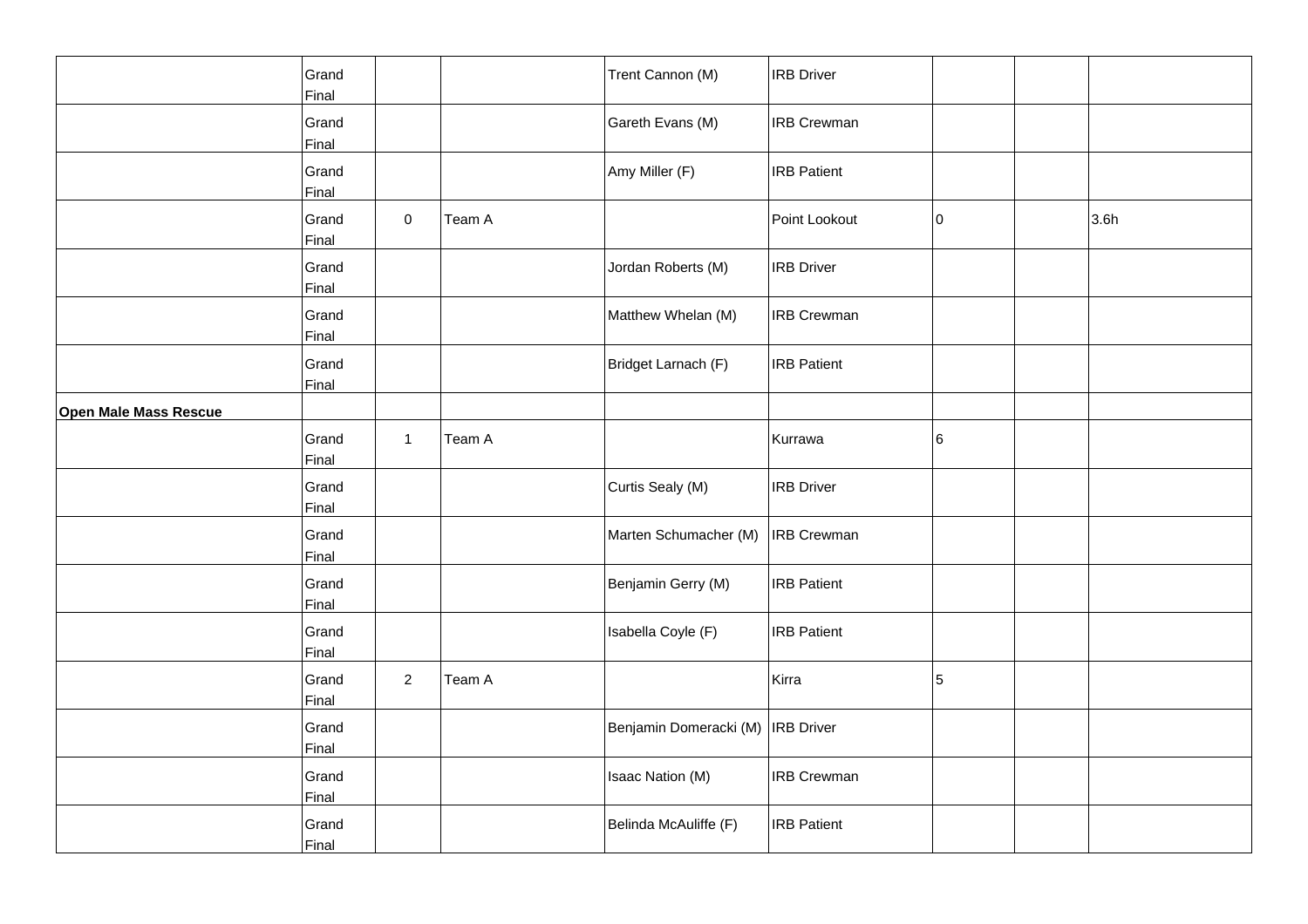|                              | Grand<br>Final |                |        | Trent Cannon (M)                    | <b>IRB Driver</b>  |    |      |
|------------------------------|----------------|----------------|--------|-------------------------------------|--------------------|----|------|
|                              | Grand<br>Final |                |        | Gareth Evans (M)                    | <b>IRB Crewman</b> |    |      |
|                              | Grand<br>Final |                |        | Amy Miller (F)                      | <b>IRB Patient</b> |    |      |
|                              | Grand<br>Final | $\pmb{0}$      | Team A |                                     | Point Lookout      | 10 | 3.6h |
|                              | Grand<br>Final |                |        | Jordan Roberts (M)                  | <b>IRB Driver</b>  |    |      |
|                              | Grand<br>Final |                |        | Matthew Whelan (M)                  | <b>IRB Crewman</b> |    |      |
|                              | Grand<br>Final |                |        | Bridget Larnach (F)                 | <b>IRB Patient</b> |    |      |
| <b>Open Male Mass Rescue</b> |                |                |        |                                     |                    |    |      |
|                              | Grand<br>Final | $\mathbf{1}$   | Team A |                                     | Kurrawa            | 6  |      |
|                              | Grand<br>Final |                |        | Curtis Sealy (M)                    | <b>IRB Driver</b>  |    |      |
|                              | Grand<br>Final |                |        | Marten Schumacher (M)               | <b>IRB</b> Crewman |    |      |
|                              | Grand<br>Final |                |        | Benjamin Gerry (M)                  | <b>IRB Patient</b> |    |      |
|                              | Grand<br>Final |                |        | Isabella Coyle (F)                  | <b>IRB Patient</b> |    |      |
|                              | Grand<br>Final | $\overline{2}$ | Team A |                                     | Kirra              | 5  |      |
|                              | Grand<br>Final |                |        | Benjamin Domeracki (M)   IRB Driver |                    |    |      |
|                              | Grand<br>Final |                |        | Isaac Nation (M)                    | <b>IRB Crewman</b> |    |      |
|                              | Grand<br>Final |                |        | Belinda McAuliffe (F)               | <b>IRB Patient</b> |    |      |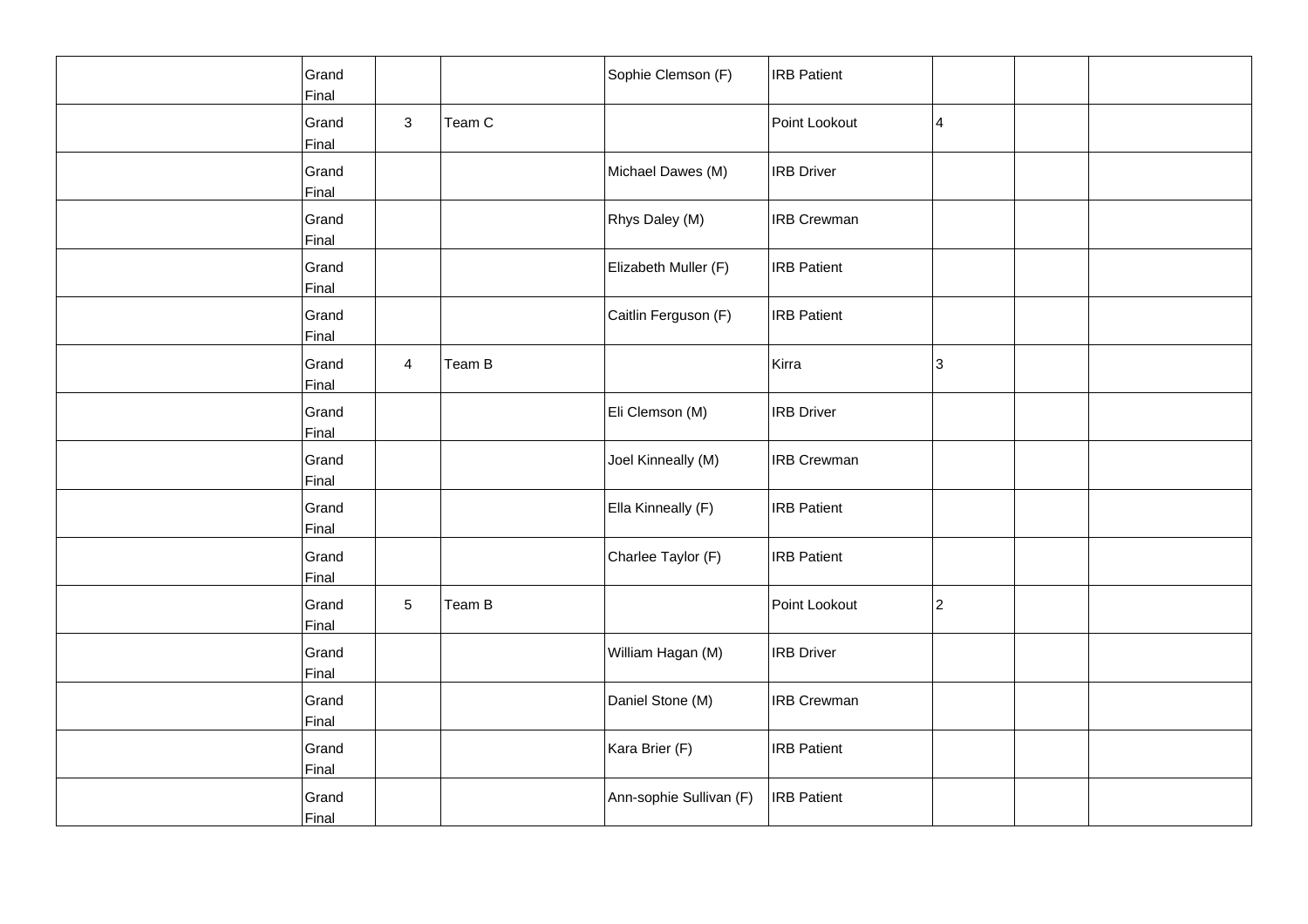| Grand<br>Final |                |        | Sophie Clemson (F)      | <b>IRB Patient</b> |   |  |
|----------------|----------------|--------|-------------------------|--------------------|---|--|
| Grand<br>Final | $\mathbf{3}$   | Team C |                         | Point Lookout      | 4 |  |
| Grand<br>Final |                |        | Michael Dawes (M)       | <b>IRB Driver</b>  |   |  |
| Grand<br>Final |                |        | Rhys Daley (M)          | <b>IRB Crewman</b> |   |  |
| Grand<br>Final |                |        | Elizabeth Muller (F)    | <b>IRB</b> Patient |   |  |
| Grand<br>Final |                |        | Caitlin Ferguson (F)    | <b>IRB Patient</b> |   |  |
| Grand<br>Final | $\overline{4}$ | Team B |                         | Kirra              | 3 |  |
| Grand<br>Final |                |        | Eli Clemson (M)         | <b>IRB Driver</b>  |   |  |
| Grand<br>Final |                |        | Joel Kinneally (M)      | <b>IRB Crewman</b> |   |  |
| Grand<br>Final |                |        | Ella Kinneally (F)      | <b>IRB Patient</b> |   |  |
| Grand<br>Final |                |        | Charlee Taylor (F)      | <b>IRB</b> Patient |   |  |
| Grand<br>Final | 5              | Team B |                         | Point Lookout      | 2 |  |
| Grand<br>Final |                |        | William Hagan (M)       | <b>IRB Driver</b>  |   |  |
| Grand<br>Final |                |        | Daniel Stone (M)        | <b>IRB Crewman</b> |   |  |
| Grand<br>Final |                |        | Kara Brier (F)          | <b>IRB Patient</b> |   |  |
| Grand<br>Final |                |        | Ann-sophie Sullivan (F) | <b>IRB Patient</b> |   |  |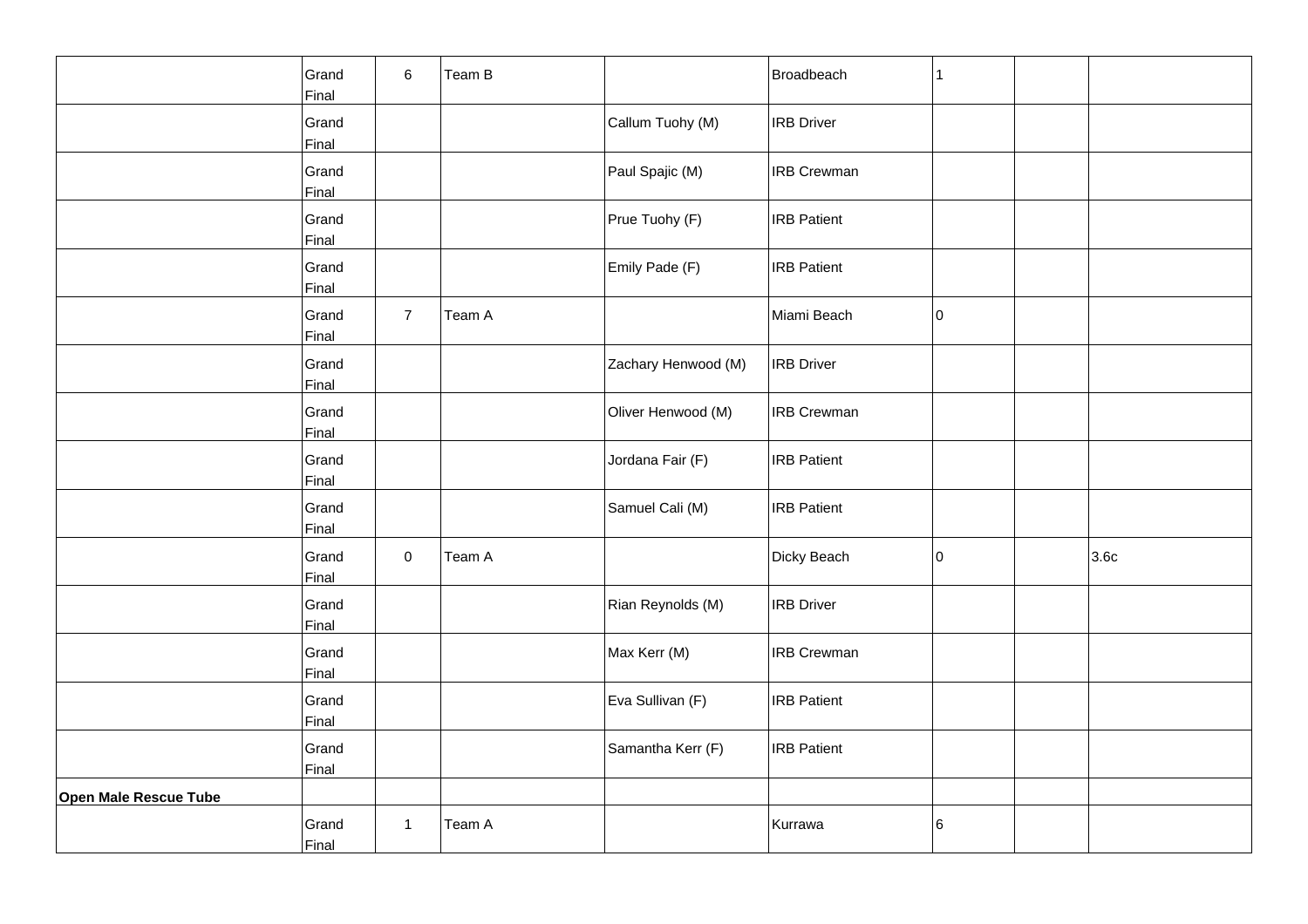|                       | Grand<br>Final | 6              | Team B |                     | Broadbeach         | $\mathbf{1}$ |      |
|-----------------------|----------------|----------------|--------|---------------------|--------------------|--------------|------|
|                       | Grand<br>Final |                |        | Callum Tuohy (M)    | <b>IRB</b> Driver  |              |      |
|                       | Grand<br>Final |                |        | Paul Spajic (M)     | <b>IRB Crewman</b> |              |      |
|                       | Grand<br>Final |                |        | Prue Tuohy (F)      | <b>IRB Patient</b> |              |      |
|                       | Grand<br>Final |                |        | Emily Pade (F)      | <b>IRB</b> Patient |              |      |
|                       | Grand<br>Final | $\overline{7}$ | Team A |                     | Miami Beach        | lo.          |      |
|                       | Grand<br>Final |                |        | Zachary Henwood (M) | <b>IRB</b> Driver  |              |      |
|                       | Grand<br>Final |                |        | Oliver Henwood (M)  | <b>IRB Crewman</b> |              |      |
|                       | Grand<br>Final |                |        | Jordana Fair (F)    | <b>IRB Patient</b> |              |      |
|                       | Grand<br>Final |                |        | Samuel Cali (M)     | <b>IRB</b> Patient |              |      |
|                       | Grand<br>Final | $\mathbf 0$    | Team A |                     | Dicky Beach        | 10           | 3.6c |
|                       | Grand<br>Final |                |        | Rian Reynolds (M)   | <b>IRB</b> Driver  |              |      |
|                       | Grand<br>Final |                |        | Max Kerr (M)        | <b>IRB Crewman</b> |              |      |
|                       | Grand<br>Final |                |        | Eva Sullivan (F)    | <b>IRB</b> Patient |              |      |
|                       | Grand<br>Final |                |        | Samantha Kerr (F)   | <b>IRB</b> Patient |              |      |
| Open Male Rescue Tube |                |                |        |                     |                    |              |      |
|                       | Grand<br>Final | $\mathbf{1}$   | Team A |                     | Kurrawa            | 6            |      |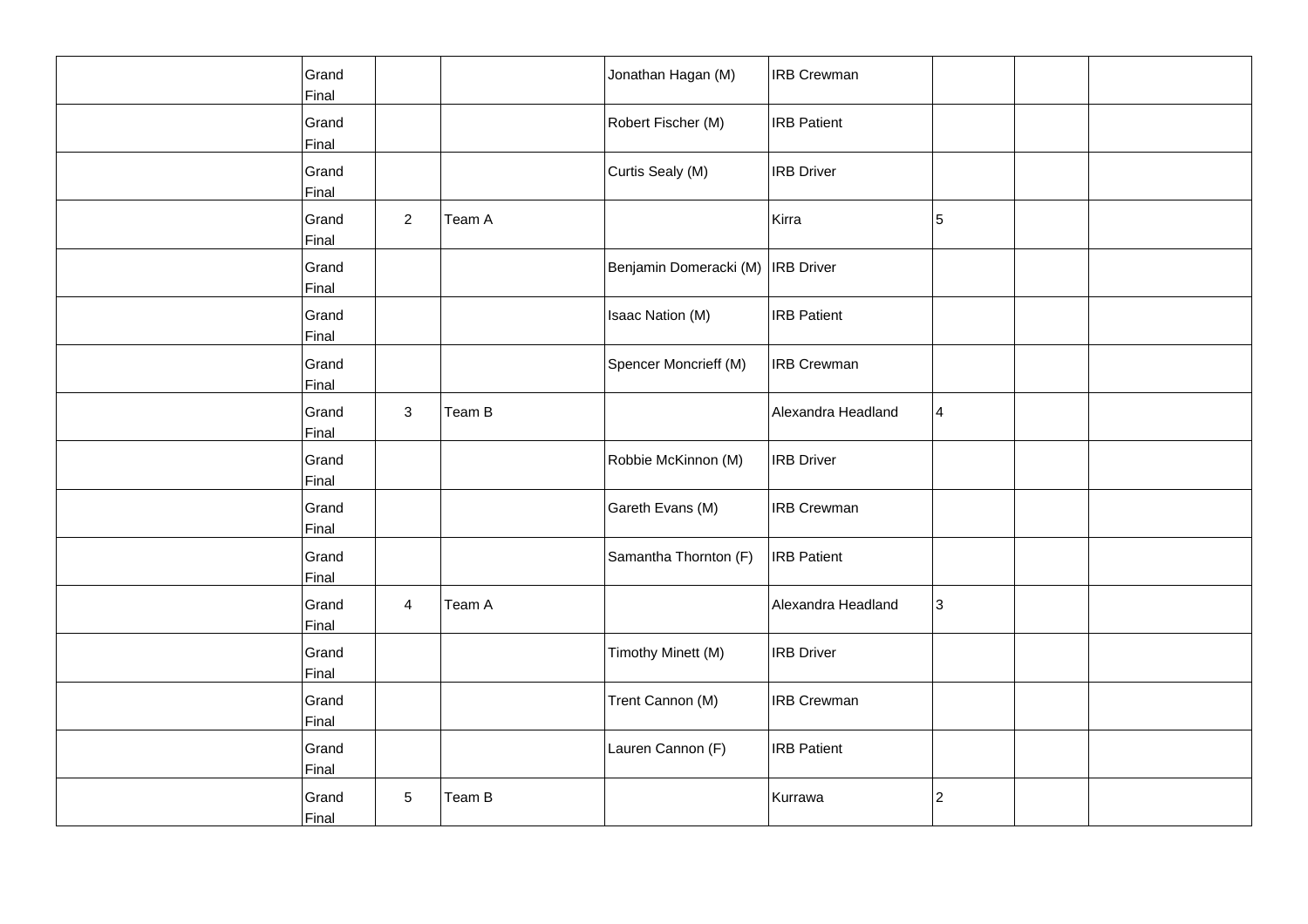| Grand<br>Final        |                |        | Jonathan Hagan (M)                | <b>IRB Crewman</b> |   |  |
|-----------------------|----------------|--------|-----------------------------------|--------------------|---|--|
| Grand<br>Final        |                |        | Robert Fischer (M)                | <b>IRB</b> Patient |   |  |
| Grand<br>Final        |                |        | Curtis Sealy (M)                  | <b>IRB Driver</b>  |   |  |
| Grand<br>Final        | $\overline{2}$ | Team A |                                   | Kirra              | 5 |  |
| Grand<br>Final        |                |        | Benjamin Domeracki (M) IRB Driver |                    |   |  |
| Grand<br>Final        |                |        | Isaac Nation (M)                  | <b>IRB Patient</b> |   |  |
| Grand<br>Final        |                |        | Spencer Moncrieff (M)             | <b>IRB Crewman</b> |   |  |
| Grand<br>Final        | $\mathbf{3}$   | Team B |                                   | Alexandra Headland | 4 |  |
| Grand<br>Final        |                |        | Robbie McKinnon (M)               | <b>IRB Driver</b>  |   |  |
| Grand<br>Final        |                |        | Gareth Evans (M)                  | <b>IRB Crewman</b> |   |  |
| Grand<br>Final        |                |        | Samantha Thornton (F)             | <b>IRB</b> Patient |   |  |
| Grand<br>Final        | 4              | Team A |                                   | Alexandra Headland | 3 |  |
| Grand<br>Final        |                |        | Timothy Minett (M)                | <b>IRB Driver</b>  |   |  |
| Grand<br>Final        |                |        | Trent Cannon (M)                  | <b>IRB Crewman</b> |   |  |
| Grand<br><b>Final</b> |                |        | Lauren Cannon (F)                 | <b>IRB Patient</b> |   |  |
| Grand<br>Final        | 5              | Team B |                                   | Kurrawa            | 2 |  |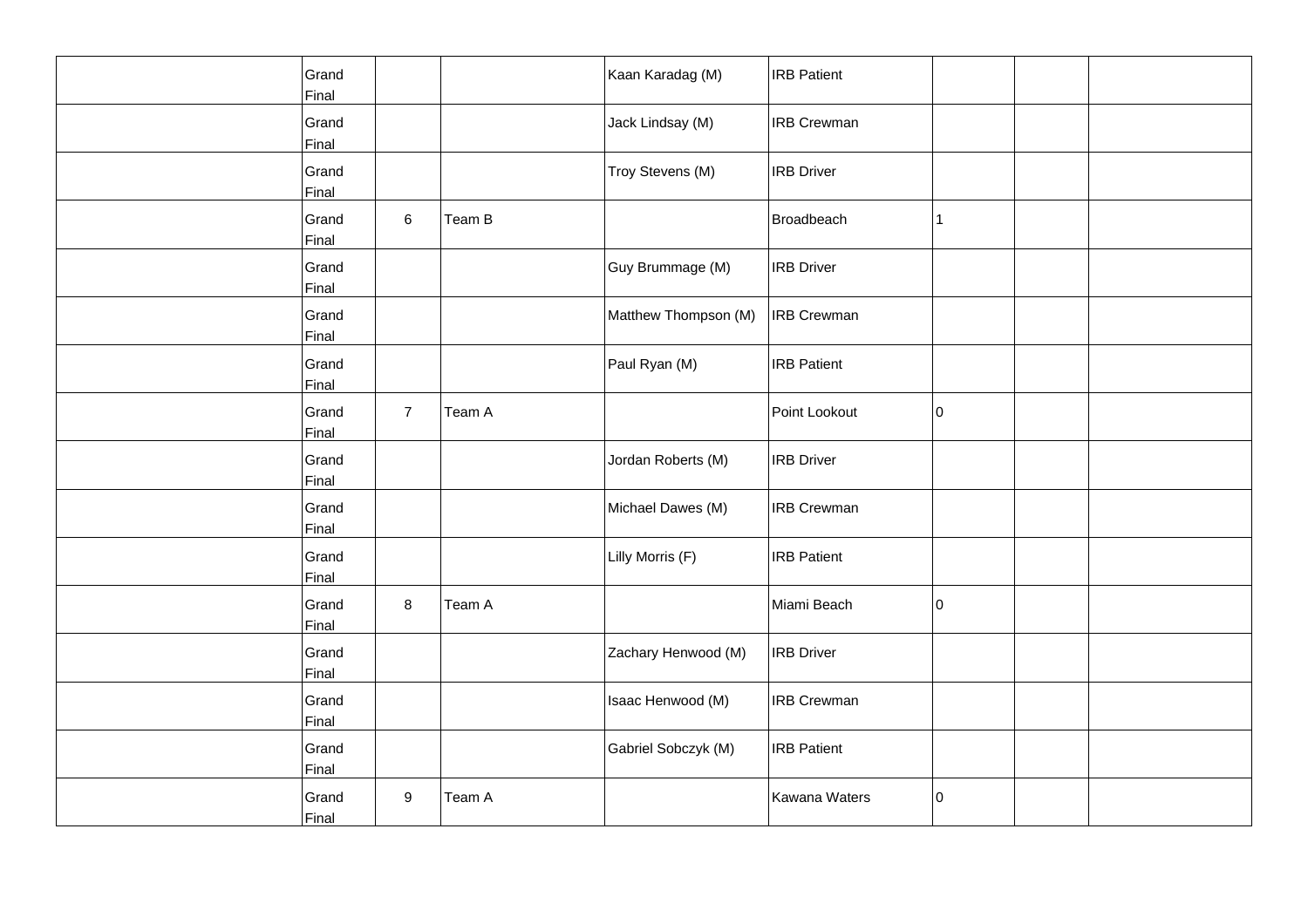| Grand<br>Final |                |        | Kaan Karadag (M)     | <b>IRB Patient</b> |    |  |
|----------------|----------------|--------|----------------------|--------------------|----|--|
| Grand<br>Final |                |        | Jack Lindsay (M)     | <b>IRB Crewman</b> |    |  |
| Grand<br>Final |                |        | Troy Stevens (M)     | <b>IRB Driver</b>  |    |  |
| Grand<br>Final | 6              | Team B |                      | Broadbeach         | 11 |  |
| Grand<br>Final |                |        | Guy Brummage (M)     | <b>IRB</b> Driver  |    |  |
| Grand<br>Final |                |        | Matthew Thompson (M) | <b>IRB Crewman</b> |    |  |
| Grand<br>Final |                |        | Paul Ryan (M)        | <b>IRB Patient</b> |    |  |
| Grand<br>Final | $\overline{7}$ | Team A |                      | Point Lookout      | 10 |  |
| Grand<br>Final |                |        | Jordan Roberts (M)   | <b>IRB Driver</b>  |    |  |
| Grand<br>Final |                |        | Michael Dawes (M)    | <b>IRB Crewman</b> |    |  |
| Grand<br>Final |                |        | Lilly Morris (F)     | <b>IRB Patient</b> |    |  |
| Grand<br>Final | 8              | Team A |                      | Miami Beach        | 10 |  |
| Grand<br>Final |                |        | Zachary Henwood (M)  | <b>IRB Driver</b>  |    |  |
| Grand<br>Final |                |        | Isaac Henwood (M)    | <b>IRB Crewman</b> |    |  |
| Grand<br>Final |                |        | Gabriel Sobczyk (M)  | <b>IRB Patient</b> |    |  |
| Grand<br>Final | 9              | Team A |                      | Kawana Waters      | 0  |  |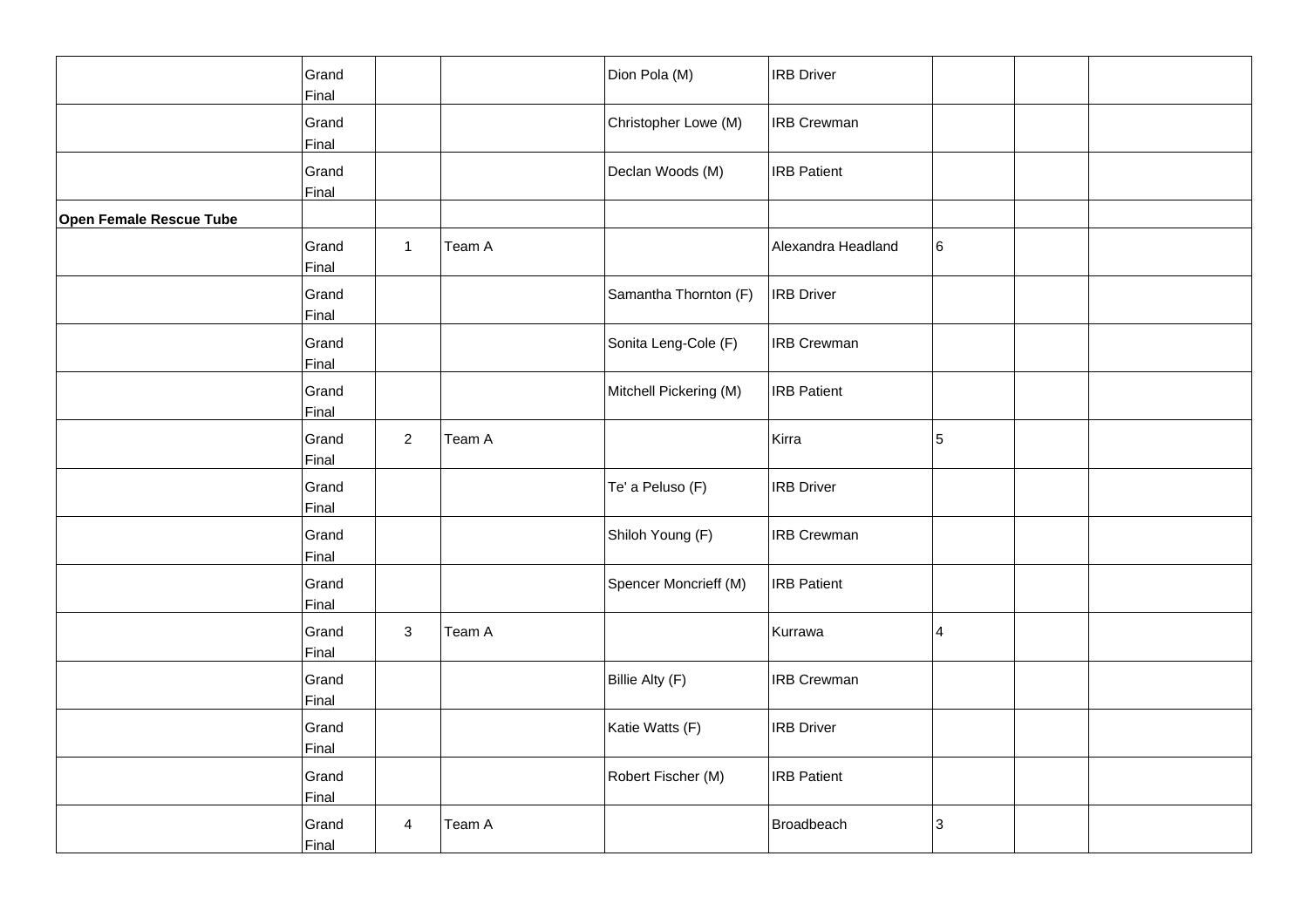|                         | Grand<br>Final |                |        | Dion Pola (M)          | <b>IRB Driver</b>  |   |  |
|-------------------------|----------------|----------------|--------|------------------------|--------------------|---|--|
|                         | Grand<br>Final |                |        | Christopher Lowe (M)   | <b>IRB Crewman</b> |   |  |
|                         | Grand<br>Final |                |        | Declan Woods (M)       | <b>IRB Patient</b> |   |  |
| Open Female Rescue Tube |                |                |        |                        |                    |   |  |
|                         | Grand<br>Final | $\mathbf{1}$   | Team A |                        | Alexandra Headland | 6 |  |
|                         | Grand<br>Final |                |        | Samantha Thornton (F)  | <b>IRB</b> Driver  |   |  |
|                         | Grand<br>Final |                |        | Sonita Leng-Cole (F)   | <b>IRB Crewman</b> |   |  |
|                         | Grand<br>Final |                |        | Mitchell Pickering (M) | <b>IRB Patient</b> |   |  |
|                         | Grand<br>Final | $\overline{a}$ | Team A |                        | Kirra              | 5 |  |
|                         | Grand<br>Final |                |        | Te' a Peluso (F)       | <b>IRB</b> Driver  |   |  |
|                         | Grand<br>Final |                |        | Shiloh Young (F)       | <b>IRB Crewman</b> |   |  |
|                         | Grand<br>Final |                |        | Spencer Moncrieff (M)  | <b>IRB Patient</b> |   |  |
|                         | Grand<br>Final | 3              | Team A |                        | Kurrawa            | 4 |  |
|                         | Grand<br>Final |                |        | Billie Alty (F)        | <b>IRB Crewman</b> |   |  |
|                         | Grand<br>Final |                |        | Katie Watts (F)        | <b>IRB Driver</b>  |   |  |
|                         | Grand<br>Final |                |        | Robert Fischer (M)     | <b>IRB</b> Patient |   |  |
|                         | Grand<br>Final | $\overline{4}$ | Team A |                        | Broadbeach         | 3 |  |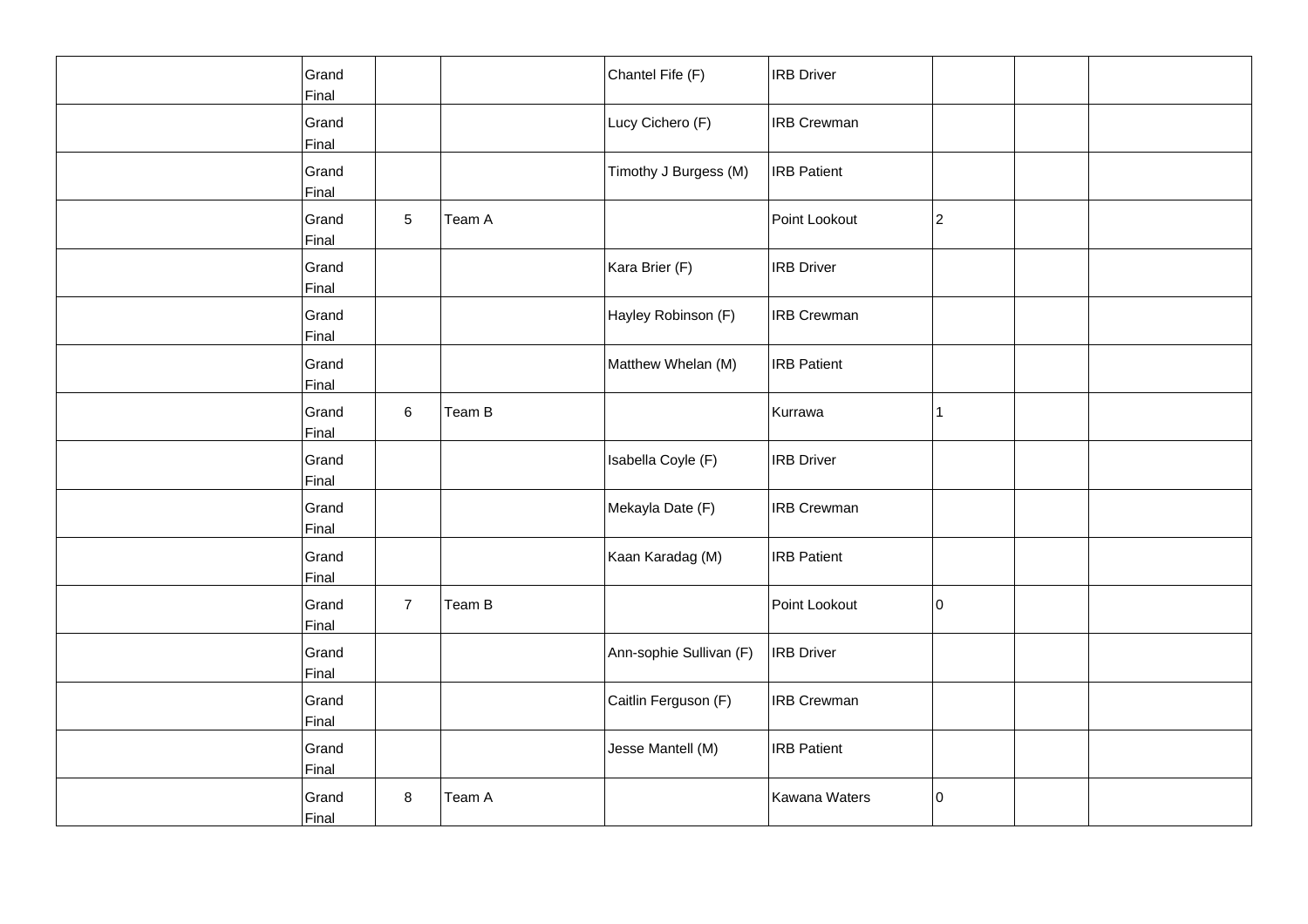| Grand<br>Final |                |        | Chantel Fife (F)        | <b>IRB</b> Driver  |             |  |
|----------------|----------------|--------|-------------------------|--------------------|-------------|--|
| Grand<br>Final |                |        | Lucy Cichero (F)        | <b>IRB</b> Crewman |             |  |
| Grand<br>Final |                |        | Timothy J Burgess (M)   | <b>IRB Patient</b> |             |  |
| Grand<br>Final | 5              | Team A |                         | Point Lookout      | $ 2\rangle$ |  |
| Grand<br>Final |                |        | Kara Brier (F)          | <b>IRB</b> Driver  |             |  |
| Grand<br>Final |                |        | Hayley Robinson (F)     | <b>IRB Crewman</b> |             |  |
| Grand<br>Final |                |        | Matthew Whelan (M)      | <b>IRB Patient</b> |             |  |
| Grand<br>Final | 6              | Team B |                         | Kurrawa            | 11          |  |
| Grand<br>Final |                |        | Isabella Coyle (F)      | <b>IRB Driver</b>  |             |  |
| Grand<br>Final |                |        | Mekayla Date (F)        | <b>IRB Crewman</b> |             |  |
| Grand<br>Final |                |        | Kaan Karadag (M)        | <b>IRB</b> Patient |             |  |
| Grand<br>Final | $\overline{7}$ | Team B |                         | Point Lookout      | 10          |  |
| Grand<br>Final |                |        | Ann-sophie Sullivan (F) | <b>IRB Driver</b>  |             |  |
| Grand<br>Final |                |        | Caitlin Ferguson (F)    | <b>IRB Crewman</b> |             |  |
| Grand<br>Final |                |        | Jesse Mantell (M)       | <b>IRB Patient</b> |             |  |
| Grand<br>Final | 8              | Team A |                         | Kawana Waters      | 10          |  |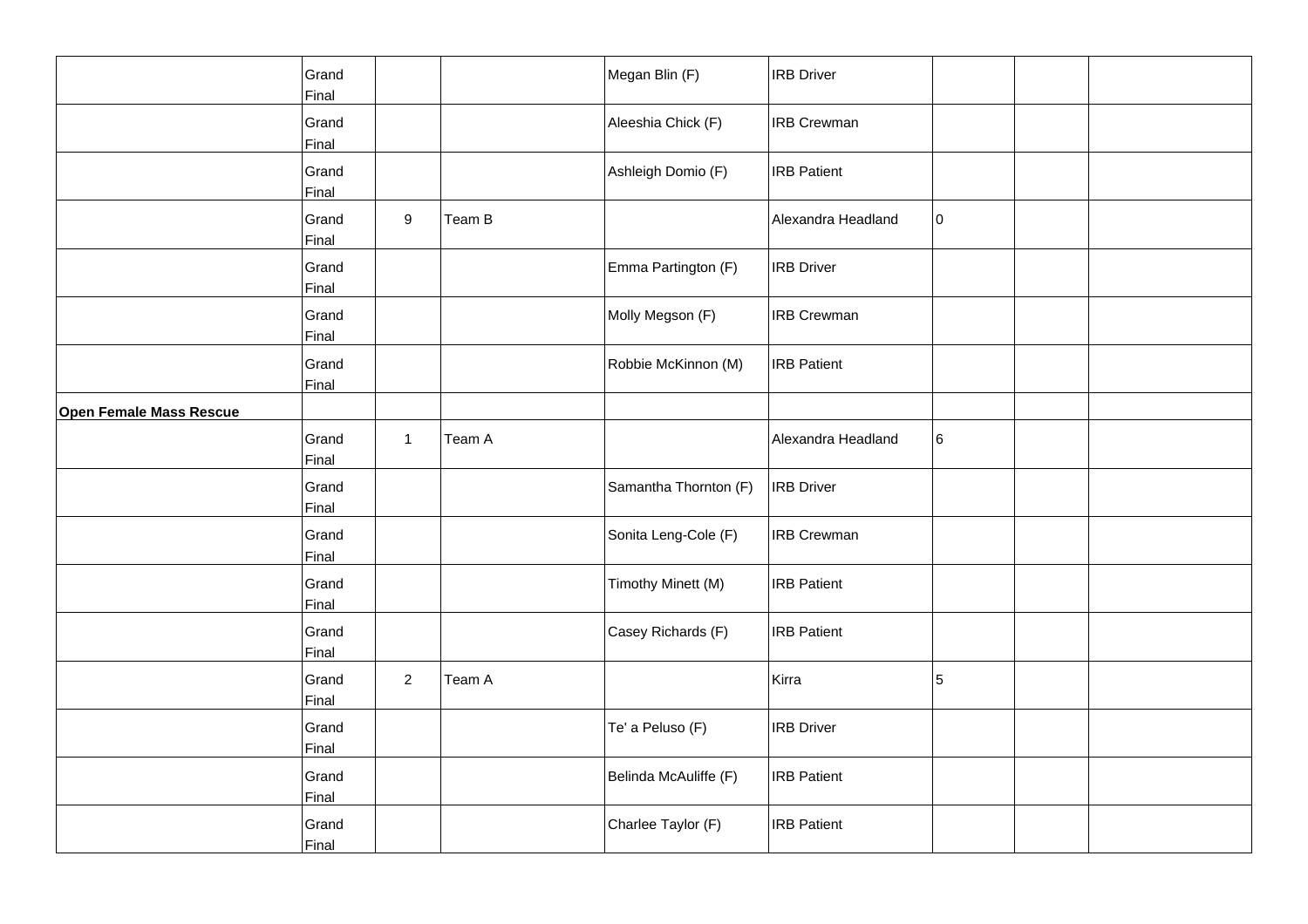|                                | Grand<br>Final |                |        | Megan Blin (F)        | <b>IRB Driver</b>  |    |  |
|--------------------------------|----------------|----------------|--------|-----------------------|--------------------|----|--|
|                                | Grand<br>Final |                |        | Aleeshia Chick (F)    | <b>IRB Crewman</b> |    |  |
|                                | Grand<br>Final |                |        | Ashleigh Domio (F)    | <b>IRB Patient</b> |    |  |
|                                | Grand<br>Final | 9              | Team B |                       | Alexandra Headland | 10 |  |
|                                | Grand<br>Final |                |        | Emma Partington (F)   | <b>IRB Driver</b>  |    |  |
|                                | Grand<br>Final |                |        | Molly Megson (F)      | <b>IRB Crewman</b> |    |  |
|                                | Grand<br>Final |                |        | Robbie McKinnon (M)   | <b>IRB Patient</b> |    |  |
| <b>Open Female Mass Rescue</b> |                |                |        |                       |                    |    |  |
|                                | Grand<br>Final | $\mathbf{1}$   | Team A |                       | Alexandra Headland | 6  |  |
|                                | Grand<br>Final |                |        | Samantha Thornton (F) | <b>IRB</b> Driver  |    |  |
|                                | Grand<br>Final |                |        | Sonita Leng-Cole (F)  | <b>IRB Crewman</b> |    |  |
|                                | Grand<br>Final |                |        | Timothy Minett (M)    | <b>IRB Patient</b> |    |  |
|                                | Grand<br>Final |                |        | Casey Richards (F)    | <b>IRB Patient</b> |    |  |
|                                | Grand<br>Final | $\overline{2}$ | Team A |                       | Kirra              | 5  |  |
|                                | Grand<br>Final |                |        | Te' a Peluso (F)      | <b>IRB Driver</b>  |    |  |
|                                | Grand<br>Final |                |        | Belinda McAuliffe (F) | <b>IRB Patient</b> |    |  |
|                                | Grand<br>Final |                |        | Charlee Taylor (F)    | <b>IRB Patient</b> |    |  |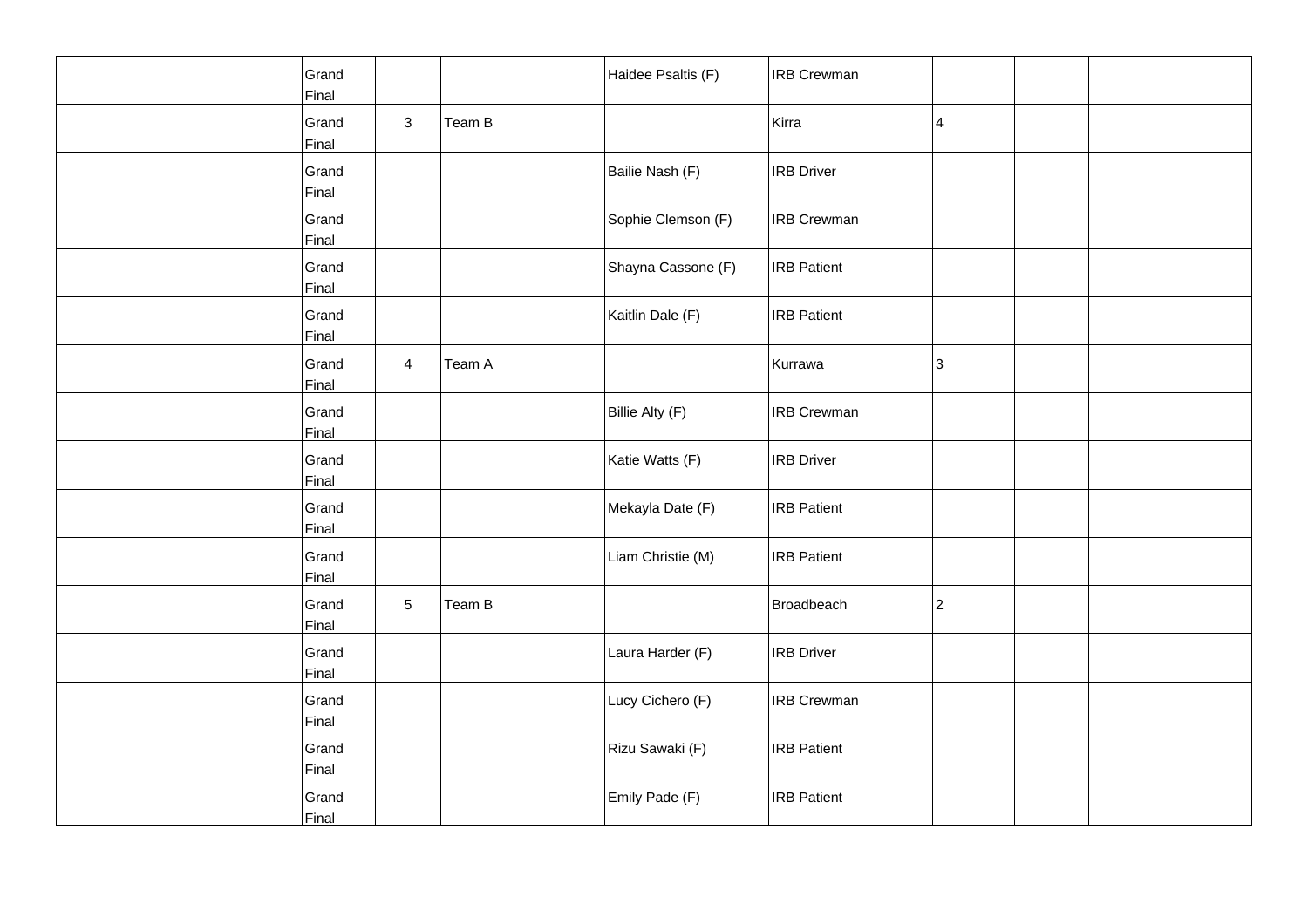| Grand<br>Final |                |        | Haidee Psaltis (F) | <b>IRB Crewman</b> |   |  |
|----------------|----------------|--------|--------------------|--------------------|---|--|
| Grand<br>Final | $\mathbf{3}$   | Team B |                    | Kirra              | 4 |  |
| Grand<br>Final |                |        | Bailie Nash (F)    | <b>IRB Driver</b>  |   |  |
| Grand<br>Final |                |        | Sophie Clemson (F) | <b>IRB Crewman</b> |   |  |
| Grand<br>Final |                |        | Shayna Cassone (F) | <b>IRB</b> Patient |   |  |
| Grand<br>Final |                |        | Kaitlin Dale (F)   | <b>IRB Patient</b> |   |  |
| Grand<br>Final | $\overline{4}$ | Team A |                    | Kurrawa            | 3 |  |
| Grand<br>Final |                |        | Billie Alty (F)    | <b>IRB</b> Crewman |   |  |
| Grand<br>Final |                |        | Katie Watts (F)    | <b>IRB Driver</b>  |   |  |
| Grand<br>Final |                |        | Mekayla Date (F)   | <b>IRB</b> Patient |   |  |
| Grand<br>Final |                |        | Liam Christie (M)  | <b>IRB</b> Patient |   |  |
| Grand<br>Final | 5              | Team B |                    | Broadbeach         | 2 |  |
| Grand<br>Final |                |        | Laura Harder (F)   | <b>IRB</b> Driver  |   |  |
| Grand<br>Final |                |        | Lucy Cichero (F)   | <b>IRB</b> Crewman |   |  |
| Grand<br>Final |                |        | Rizu Sawaki (F)    | <b>IRB Patient</b> |   |  |
| Grand<br>Final |                |        | Emily Pade (F)     | <b>IRB</b> Patient |   |  |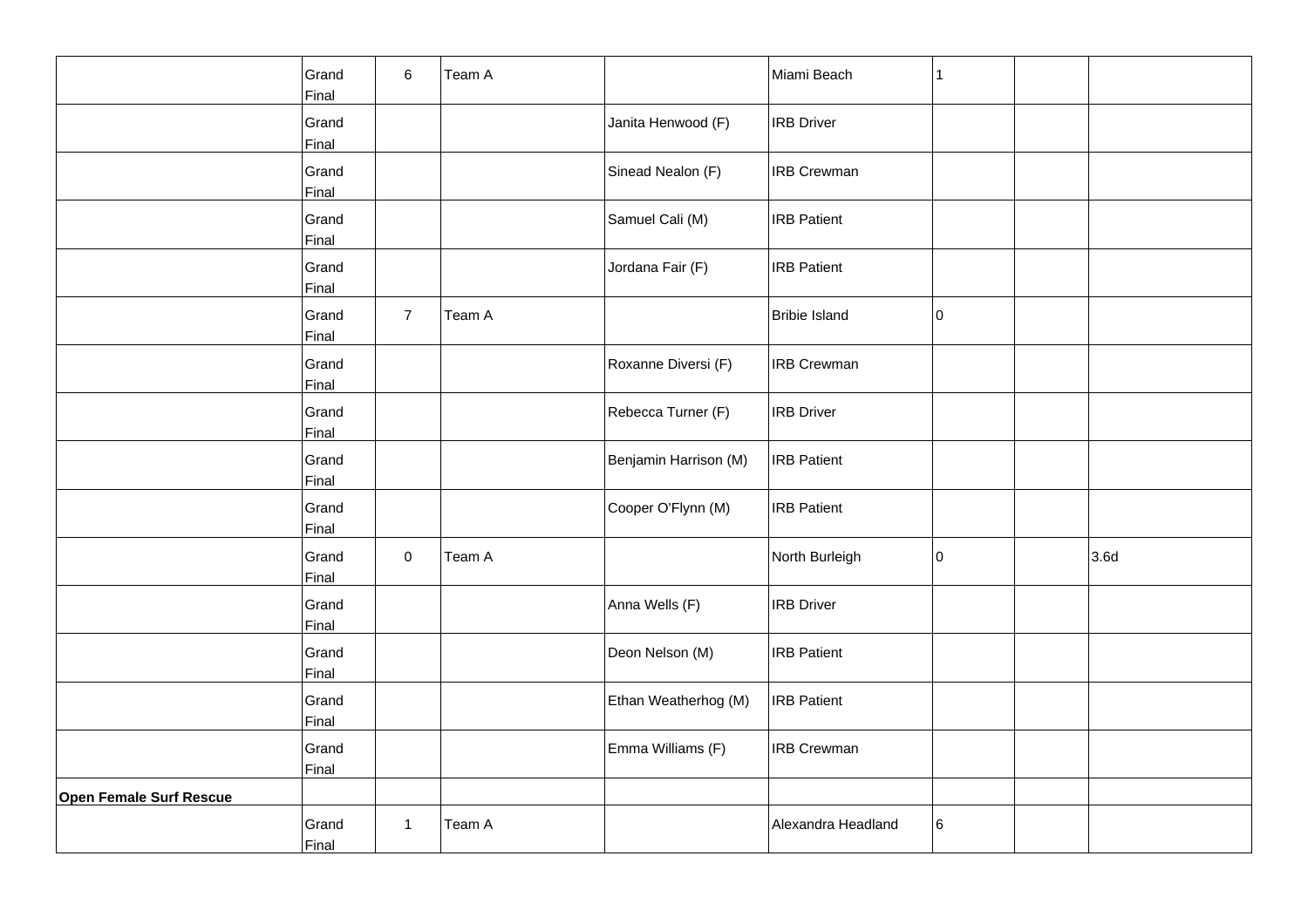|                                | Grand<br>Final | 6              | Team A |                       | Miami Beach          | 1  |      |
|--------------------------------|----------------|----------------|--------|-----------------------|----------------------|----|------|
|                                | Grand<br>Final |                |        | Janita Henwood (F)    | <b>IRB Driver</b>    |    |      |
|                                | Grand<br>Final |                |        | Sinead Nealon (F)     | <b>IRB Crewman</b>   |    |      |
|                                | Grand<br>Final |                |        | Samuel Cali (M)       | <b>IRB Patient</b>   |    |      |
|                                | Grand<br>Final |                |        | Jordana Fair (F)      | <b>IRB Patient</b>   |    |      |
|                                | Grand<br>Final | $\overline{7}$ | Team A |                       | <b>Bribie Island</b> | 10 |      |
|                                | Grand<br>Final |                |        | Roxanne Diversi (F)   | <b>IRB Crewman</b>   |    |      |
|                                | Grand<br>Final |                |        | Rebecca Turner (F)    | <b>IRB Driver</b>    |    |      |
|                                | Grand<br>Final |                |        | Benjamin Harrison (M) | <b>IRB Patient</b>   |    |      |
|                                | Grand<br>Final |                |        | Cooper O'Flynn (M)    | <b>IRB Patient</b>   |    |      |
|                                | Grand<br>Final | 0              | Team A |                       | North Burleigh       | 10 | 3.6d |
|                                | Grand<br>Final |                |        | Anna Wells (F)        | <b>IRB Driver</b>    |    |      |
|                                | Grand<br>Final |                |        | Deon Nelson (M)       | <b>IRB Patient</b>   |    |      |
|                                | Grand<br>Final |                |        | Ethan Weatherhog (M)  | <b>IRB Patient</b>   |    |      |
|                                | Grand<br>Final |                |        | Emma Williams (F)     | <b>IRB Crewman</b>   |    |      |
| <b>Open Female Surf Rescue</b> |                |                |        |                       |                      |    |      |
|                                | Grand<br>Final | $\mathbf{1}$   | Team A |                       | Alexandra Headland   | 6  |      |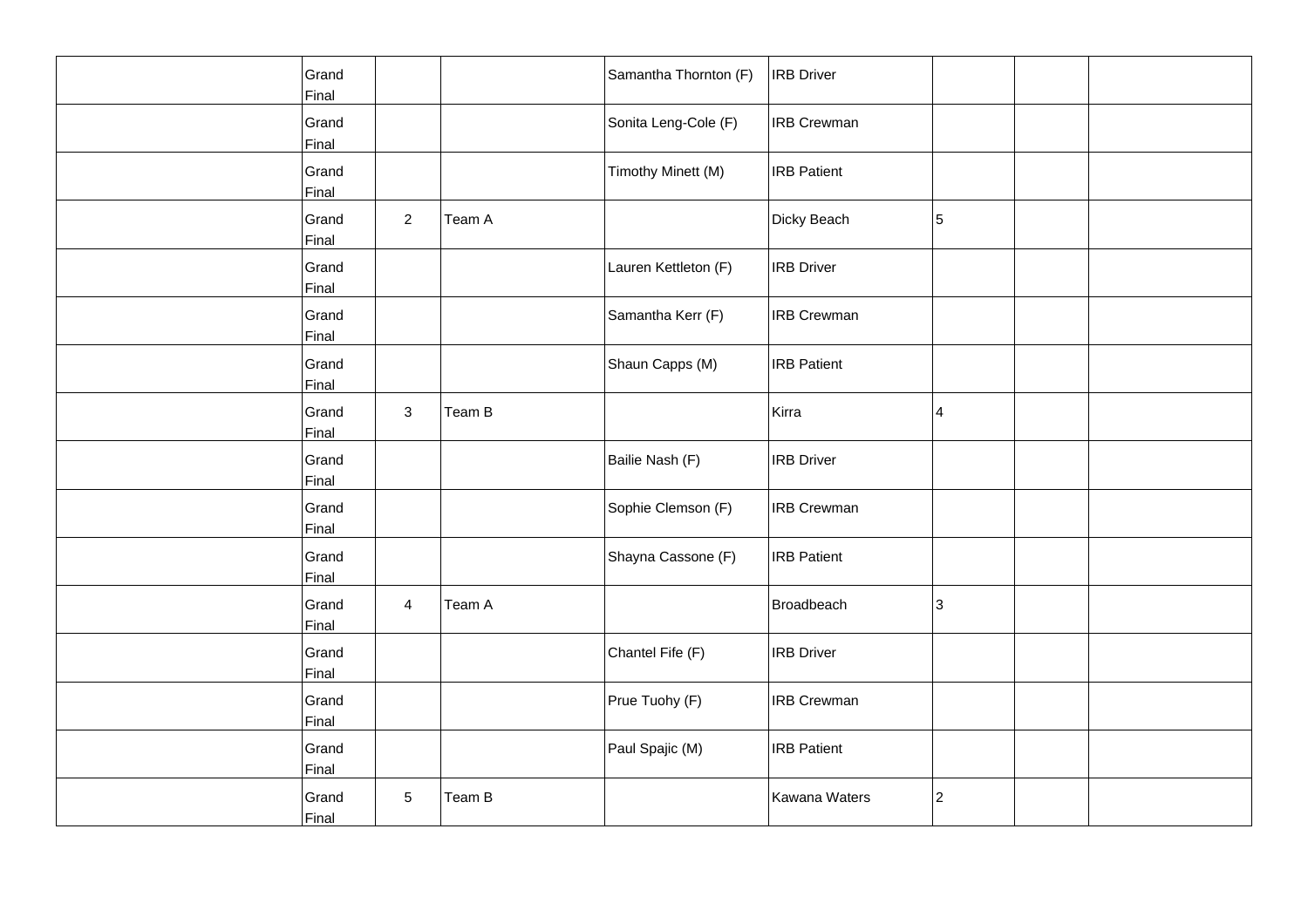| Grand<br>Final |                |        | Samantha Thornton (F) | <b>IRB Driver</b>  |                 |  |
|----------------|----------------|--------|-----------------------|--------------------|-----------------|--|
| Grand<br>Final |                |        | Sonita Leng-Cole (F)  | <b>IRB</b> Crewman |                 |  |
| Grand<br>Final |                |        | Timothy Minett (M)    | <b>IRB Patient</b> |                 |  |
| Grand<br>Final | $\overline{a}$ | Team A |                       | Dicky Beach        | 5               |  |
| Grand<br>Final |                |        | Lauren Kettleton (F)  | <b>IRB</b> Driver  |                 |  |
| Grand<br>Final |                |        | Samantha Kerr (F)     | <b>IRB Crewman</b> |                 |  |
| Grand<br>Final |                |        | Shaun Capps (M)       | <b>IRB Patient</b> |                 |  |
| Grand<br>Final | $\mathbf{3}$   | Team B |                       | Kirra              | $\vert 4 \vert$ |  |
| Grand<br>Final |                |        | Bailie Nash (F)       | <b>IRB Driver</b>  |                 |  |
| Grand<br>Final |                |        | Sophie Clemson (F)    | <b>IRB Crewman</b> |                 |  |
| Grand<br>Final |                |        | Shayna Cassone (F)    | <b>IRB</b> Patient |                 |  |
| Grand<br>Final | $\overline{4}$ | Team A |                       | Broadbeach         | 3               |  |
| Grand<br>Final |                |        | Chantel Fife (F)      | <b>IRB Driver</b>  |                 |  |
| Grand<br>Final |                |        | Prue Tuohy (F)        | <b>IRB Crewman</b> |                 |  |
| Grand<br>Final |                |        | Paul Spajic (M)       | <b>IRB Patient</b> |                 |  |
| Grand<br>Final | 5              | Team B |                       | Kawana Waters      | 2               |  |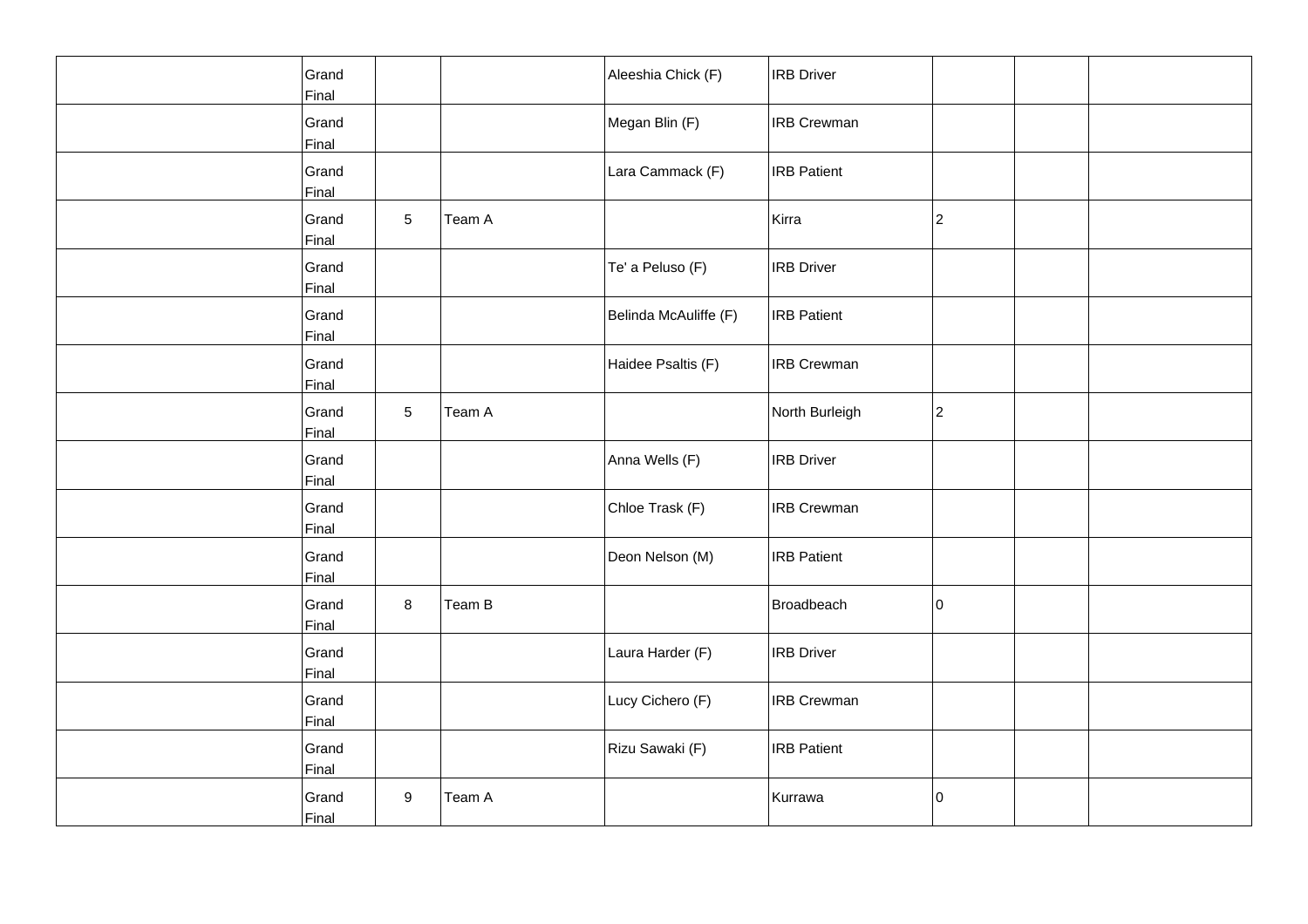| Grand<br>Final |                 |        | Aleeshia Chick (F)    | <b>IRB</b> Driver  |             |  |
|----------------|-----------------|--------|-----------------------|--------------------|-------------|--|
| Grand<br>Final |                 |        | Megan Blin (F)        | <b>IRB</b> Crewman |             |  |
| Grand<br>Final |                 |        | Lara Cammack (F)      | <b>IRB Patient</b> |             |  |
| Grand<br>Final | $5\phantom{.0}$ | Team A |                       | Kirra              | 2           |  |
| Grand<br>Final |                 |        | Te' a Peluso (F)      | <b>IRB</b> Driver  |             |  |
| Grand<br>Final |                 |        | Belinda McAuliffe (F) | <b>IRB Patient</b> |             |  |
| Grand<br>Final |                 |        | Haidee Psaltis (F)    | <b>IRB Crewman</b> |             |  |
| Grand<br>Final | 5               | Team A |                       | North Burleigh     | $ 2\rangle$ |  |
| Grand<br>Final |                 |        | Anna Wells (F)        | <b>IRB Driver</b>  |             |  |
| Grand<br>Final |                 |        | Chloe Trask (F)       | <b>IRB Crewman</b> |             |  |
| Grand<br>Final |                 |        | Deon Nelson (M)       | <b>IRB</b> Patient |             |  |
| Grand<br>Final | 8               | Team B |                       | Broadbeach         | 10          |  |
| Grand<br>Final |                 |        | Laura Harder (F)      | <b>IRB</b> Driver  |             |  |
| Grand<br>Final |                 |        | Lucy Cichero (F)      | <b>IRB</b> Crewman |             |  |
| Grand<br>Final |                 |        | Rizu Sawaki (F)       | <b>IRB Patient</b> |             |  |
| Grand<br>Final | 9               | Team A |                       | Kurrawa            | 0           |  |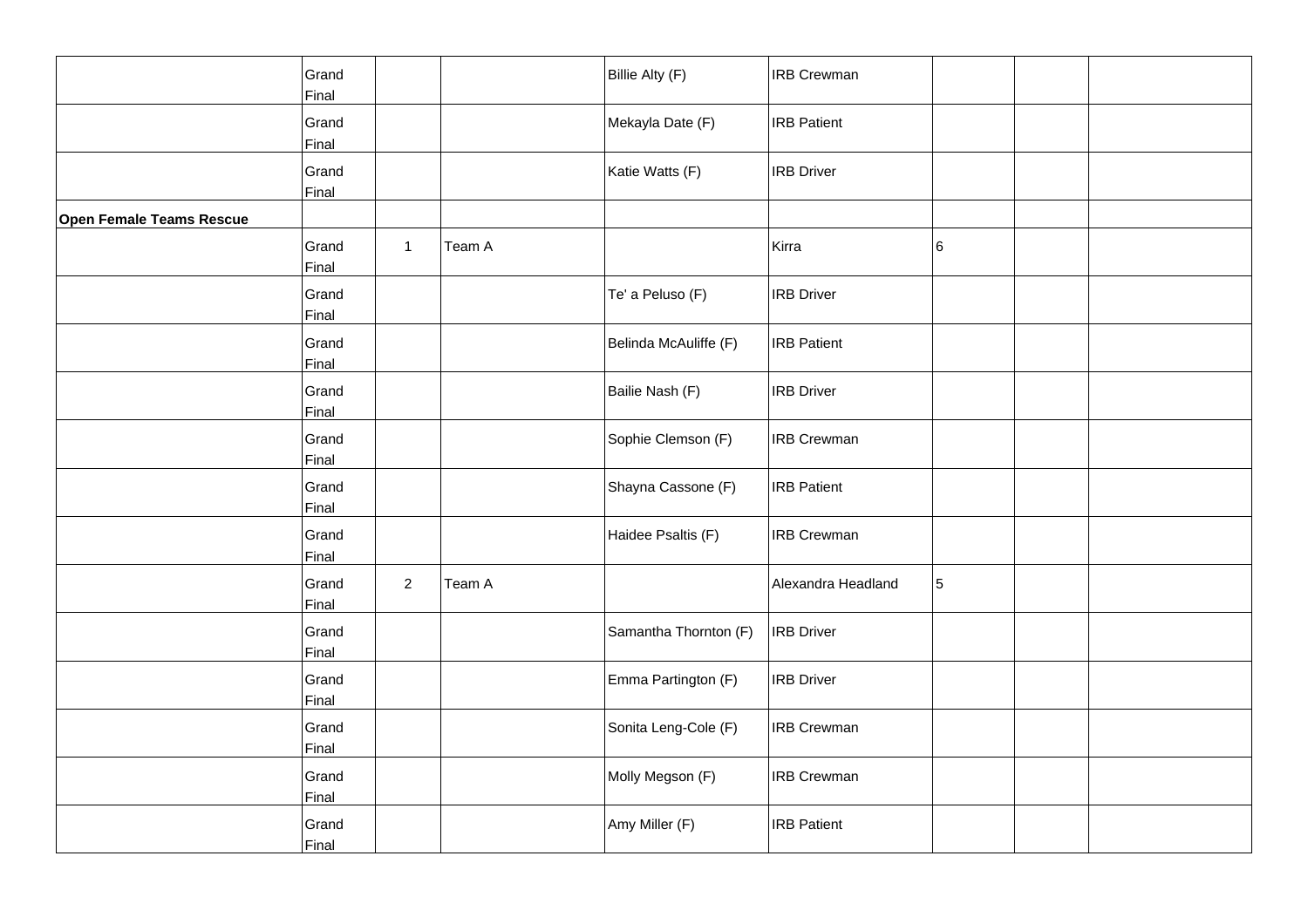|                          | Grand<br>Final |                |        | Billie Alty (F)       | <b>IRB Crewman</b> |   |  |
|--------------------------|----------------|----------------|--------|-----------------------|--------------------|---|--|
|                          | Grand<br>Final |                |        | Mekayla Date (F)      | <b>IRB Patient</b> |   |  |
|                          | Grand<br>Final |                |        | Katie Watts (F)       | <b>IRB</b> Driver  |   |  |
| Open Female Teams Rescue |                |                |        |                       |                    |   |  |
|                          | Grand<br>Final | $\mathbf{1}$   | Team A |                       | Kirra              | 6 |  |
|                          | Grand<br>Final |                |        | Te' a Peluso (F)      | <b>IRB</b> Driver  |   |  |
|                          | Grand<br>Final |                |        | Belinda McAuliffe (F) | <b>IRB Patient</b> |   |  |
|                          | Grand<br>Final |                |        | Bailie Nash (F)       | <b>IRB Driver</b>  |   |  |
|                          | Grand<br>Final |                |        | Sophie Clemson (F)    | <b>IRB Crewman</b> |   |  |
|                          | Grand<br>Final |                |        | Shayna Cassone (F)    | <b>IRB</b> Patient |   |  |
|                          | Grand<br>Final |                |        | Haidee Psaltis (F)    | <b>IRB Crewman</b> |   |  |
|                          | Grand<br>Final | $\overline{a}$ | Team A |                       | Alexandra Headland | 5 |  |
|                          | Grand<br>Final |                |        | Samantha Thornton (F) | <b>IRB</b> Driver  |   |  |
|                          | Grand<br>Final |                |        | Emma Partington (F)   | <b>IRB</b> Driver  |   |  |
|                          | Grand<br>Final |                |        | Sonita Leng-Cole (F)  | <b>IRB Crewman</b> |   |  |
|                          | Grand<br>Final |                |        | Molly Megson (F)      | <b>IRB Crewman</b> |   |  |
|                          | Grand<br>Final |                |        | Amy Miller (F)        | <b>IRB Patient</b> |   |  |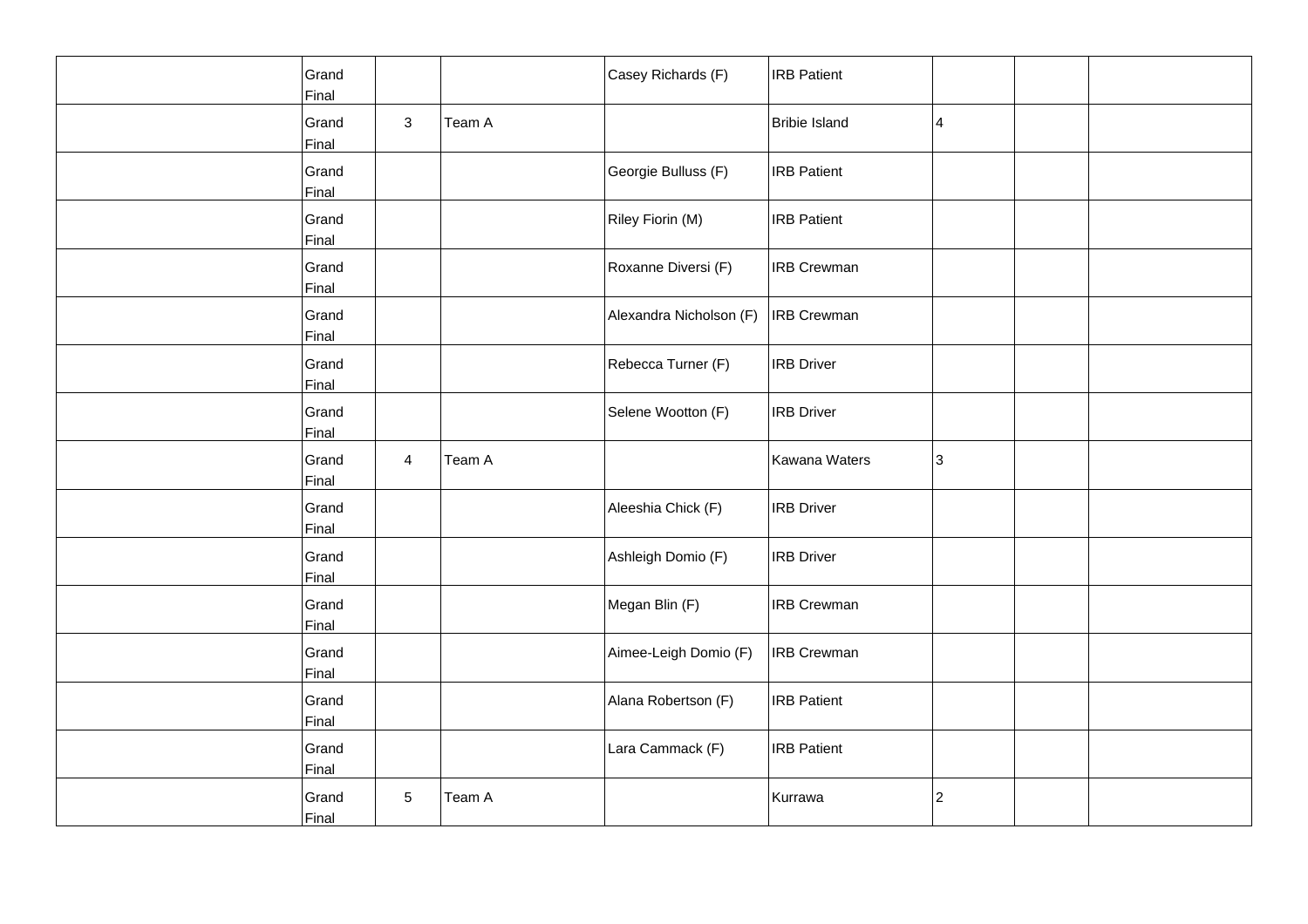| Grand<br>Final |                |        | Casey Richards (F)      | <b>IRB Patient</b>   |                 |  |
|----------------|----------------|--------|-------------------------|----------------------|-----------------|--|
| Grand<br>Final | $\mathbf{3}$   | Team A |                         | <b>Bribie Island</b> | $\vert 4 \vert$ |  |
| Grand<br>Final |                |        | Georgie Bulluss (F)     | <b>IRB Patient</b>   |                 |  |
| Grand<br>Final |                |        | Riley Fiorin (M)        | <b>IRB Patient</b>   |                 |  |
| Grand<br>Final |                |        | Roxanne Diversi (F)     | <b>IRB Crewman</b>   |                 |  |
| Grand<br>Final |                |        | Alexandra Nicholson (F) | <b>IRB Crewman</b>   |                 |  |
| Grand<br>Final |                |        | Rebecca Turner (F)      | <b>IRB Driver</b>    |                 |  |
| Grand<br>Final |                |        | Selene Wootton (F)      | <b>IRB</b> Driver    |                 |  |
| Grand<br>Final | $\overline{4}$ | Team A |                         | Kawana Waters        | 3               |  |
| Grand<br>Final |                |        | Aleeshia Chick (F)      | <b>IRB Driver</b>    |                 |  |
| Grand<br>Final |                |        | Ashleigh Domio (F)      | <b>IRB</b> Driver    |                 |  |
| Grand<br>Final |                |        | Megan Blin (F)          | <b>IRB Crewman</b>   |                 |  |
| Grand<br>Final |                |        | Aimee-Leigh Domio (F)   | <b>IRB Crewman</b>   |                 |  |
| Grand<br>Final |                |        | Alana Robertson (F)     | <b>IRB Patient</b>   |                 |  |
| Grand<br>Final |                |        | Lara Cammack (F)        | <b>IRB Patient</b>   |                 |  |
| Grand<br>Final | 5              | Team A |                         | Kurrawa              | 2               |  |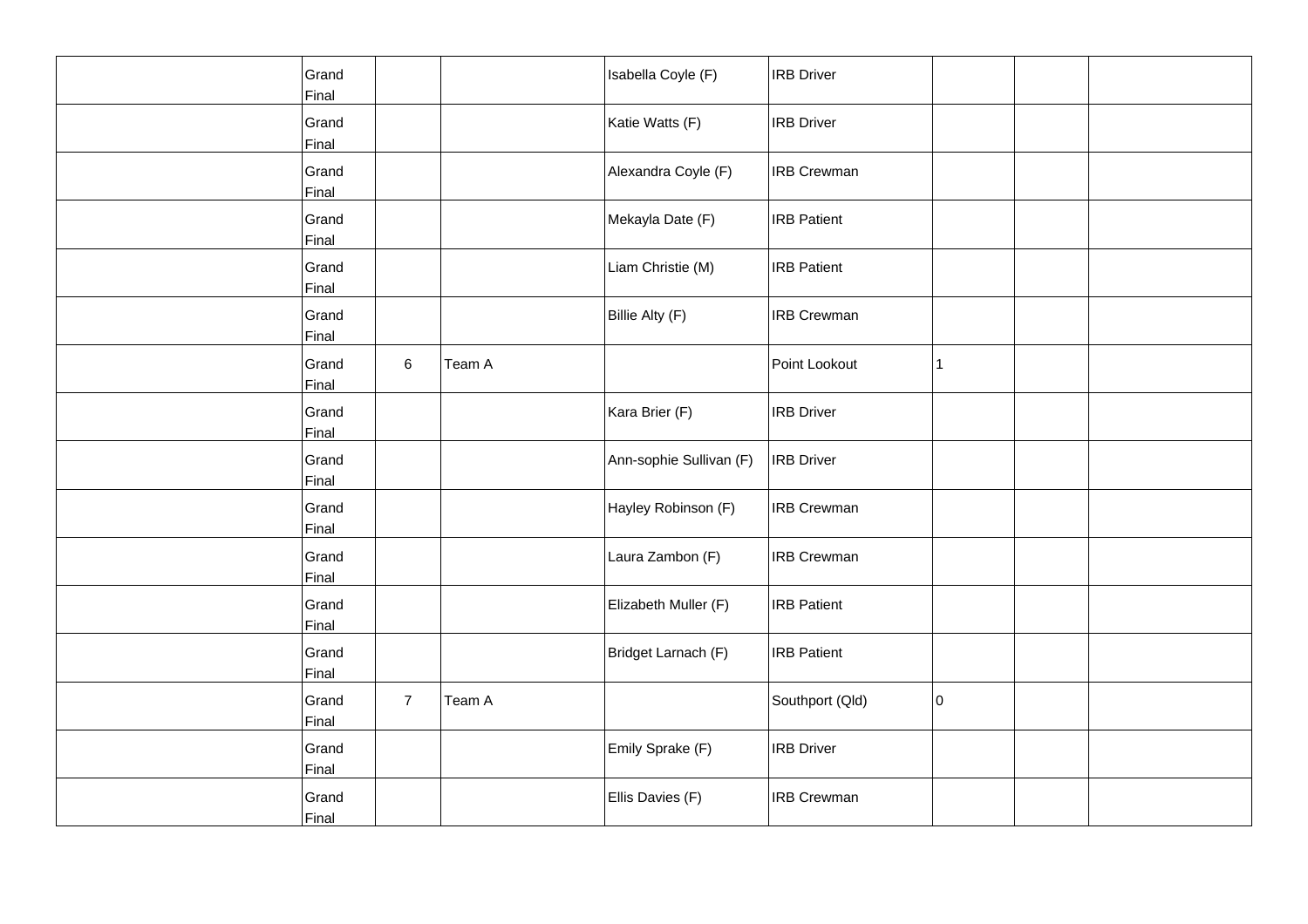| Grand<br>Final |                |        | Isabella Coyle (F)      | <b>IRB Driver</b>  |    |  |
|----------------|----------------|--------|-------------------------|--------------------|----|--|
| Grand<br>Final |                |        | Katie Watts (F)         | <b>IRB</b> Driver  |    |  |
| Grand<br>Final |                |        | Alexandra Coyle (F)     | <b>IRB Crewman</b> |    |  |
| Grand<br>Final |                |        | Mekayla Date (F)        | <b>IRB Patient</b> |    |  |
| Grand<br>Final |                |        | Liam Christie (M)       | <b>IRB</b> Patient |    |  |
| Grand<br>Final |                |        | Billie Alty (F)         | <b>IRB Crewman</b> |    |  |
| Grand<br>Final | 6              | Team A |                         | Point Lookout      | 1  |  |
| Grand<br>Final |                |        | Kara Brier (F)          | <b>IRB</b> Driver  |    |  |
| Grand<br>Final |                |        | Ann-sophie Sullivan (F) | <b>IRB Driver</b>  |    |  |
| Grand<br>Final |                |        | Hayley Robinson (F)     | <b>IRB Crewman</b> |    |  |
| Grand<br>Final |                |        | Laura Zambon (F)        | <b>IRB Crewman</b> |    |  |
| Grand<br>Final |                |        | Elizabeth Muller (F)    | <b>IRB Patient</b> |    |  |
| Grand<br>Final |                |        | Bridget Larnach (F)     | <b>IRB Patient</b> |    |  |
| Grand<br>Final | $\overline{7}$ | Team A |                         | Southport (Qld)    | 10 |  |
| Grand<br>Final |                |        | Emily Sprake (F)        | <b>IRB Driver</b>  |    |  |
| Grand<br>Final |                |        | Ellis Davies (F)        | <b>IRB Crewman</b> |    |  |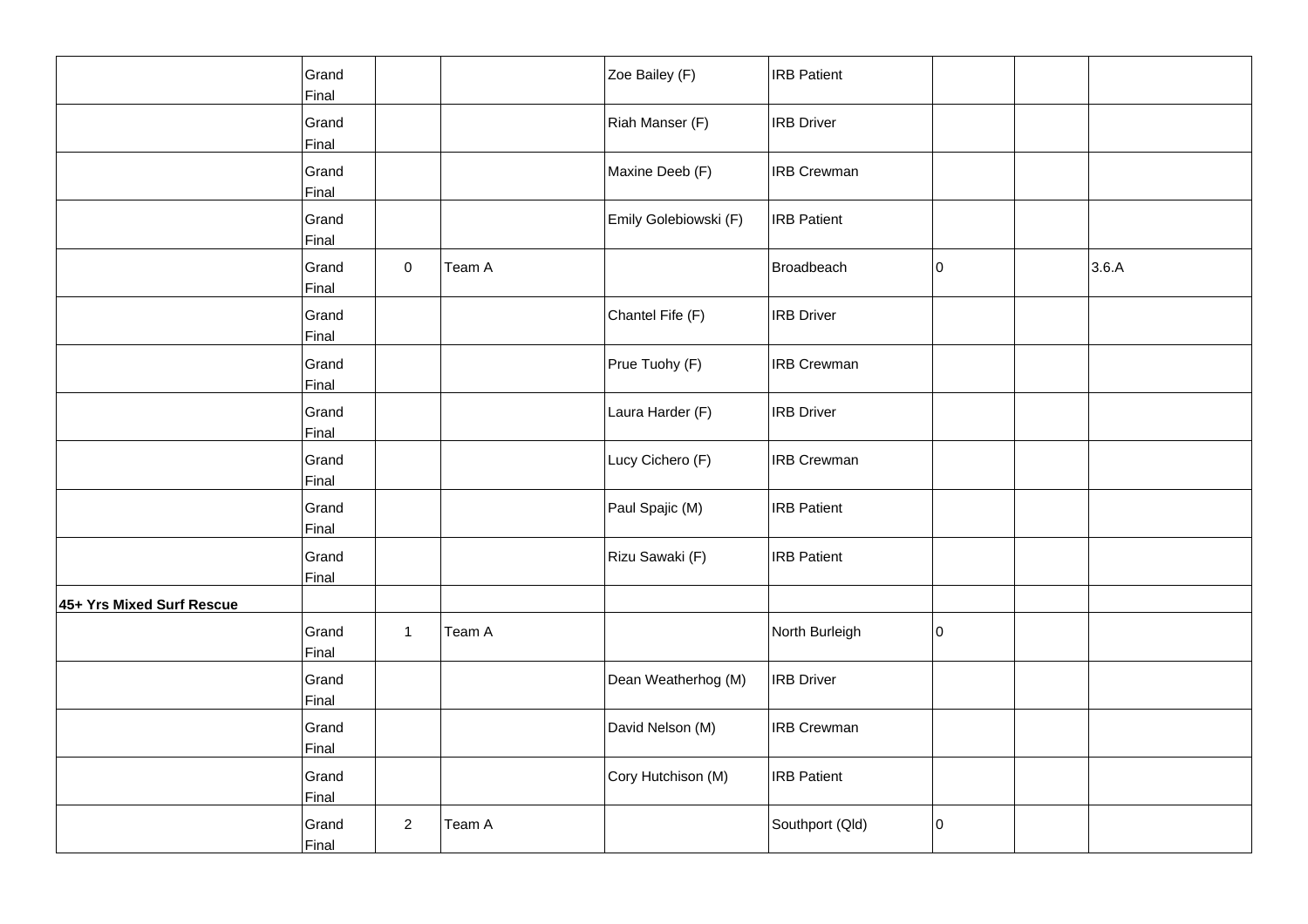|                           | Grand<br>Final |                     |        | Zoe Bailey (F)        | <b>IRB Patient</b> |    |       |
|---------------------------|----------------|---------------------|--------|-----------------------|--------------------|----|-------|
|                           | Grand<br>Final |                     |        | Riah Manser (F)       | <b>IRB Driver</b>  |    |       |
|                           | Grand<br>Final |                     |        | Maxine Deeb (F)       | <b>IRB Crewman</b> |    |       |
|                           | Grand<br>Final |                     |        | Emily Golebiowski (F) | <b>IRB Patient</b> |    |       |
|                           | Grand<br>Final | $\mathsf{O}\xspace$ | Team A |                       | Broadbeach         | 10 | 3.6.A |
|                           | Grand<br>Final |                     |        | Chantel Fife (F)      | <b>IRB Driver</b>  |    |       |
|                           | Grand<br>Final |                     |        | Prue Tuohy (F)        | <b>IRB Crewman</b> |    |       |
|                           | Grand<br>Final |                     |        | Laura Harder (F)      | <b>IRB Driver</b>  |    |       |
|                           | Grand<br>Final |                     |        | Lucy Cichero (F)      | <b>IRB Crewman</b> |    |       |
|                           | Grand<br>Final |                     |        | Paul Spajic (M)       | <b>IRB Patient</b> |    |       |
|                           | Grand<br>Final |                     |        | Rizu Sawaki (F)       | <b>IRB Patient</b> |    |       |
| 45+ Yrs Mixed Surf Rescue |                |                     |        |                       |                    |    |       |
|                           | Grand<br>Final | $\mathbf{1}$        | Team A |                       | North Burleigh     | 10 |       |
|                           | Grand<br>Final |                     |        | Dean Weatherhog (M)   | <b>IRB Driver</b>  |    |       |
|                           | Grand<br>Final |                     |        | David Nelson (M)      | <b>IRB Crewman</b> |    |       |
|                           | Grand<br>Final |                     |        | Cory Hutchison (M)    | <b>IRB Patient</b> |    |       |
|                           | Grand<br>Final | $\overline{a}$      | Team A |                       | Southport (Qld)    | 10 |       |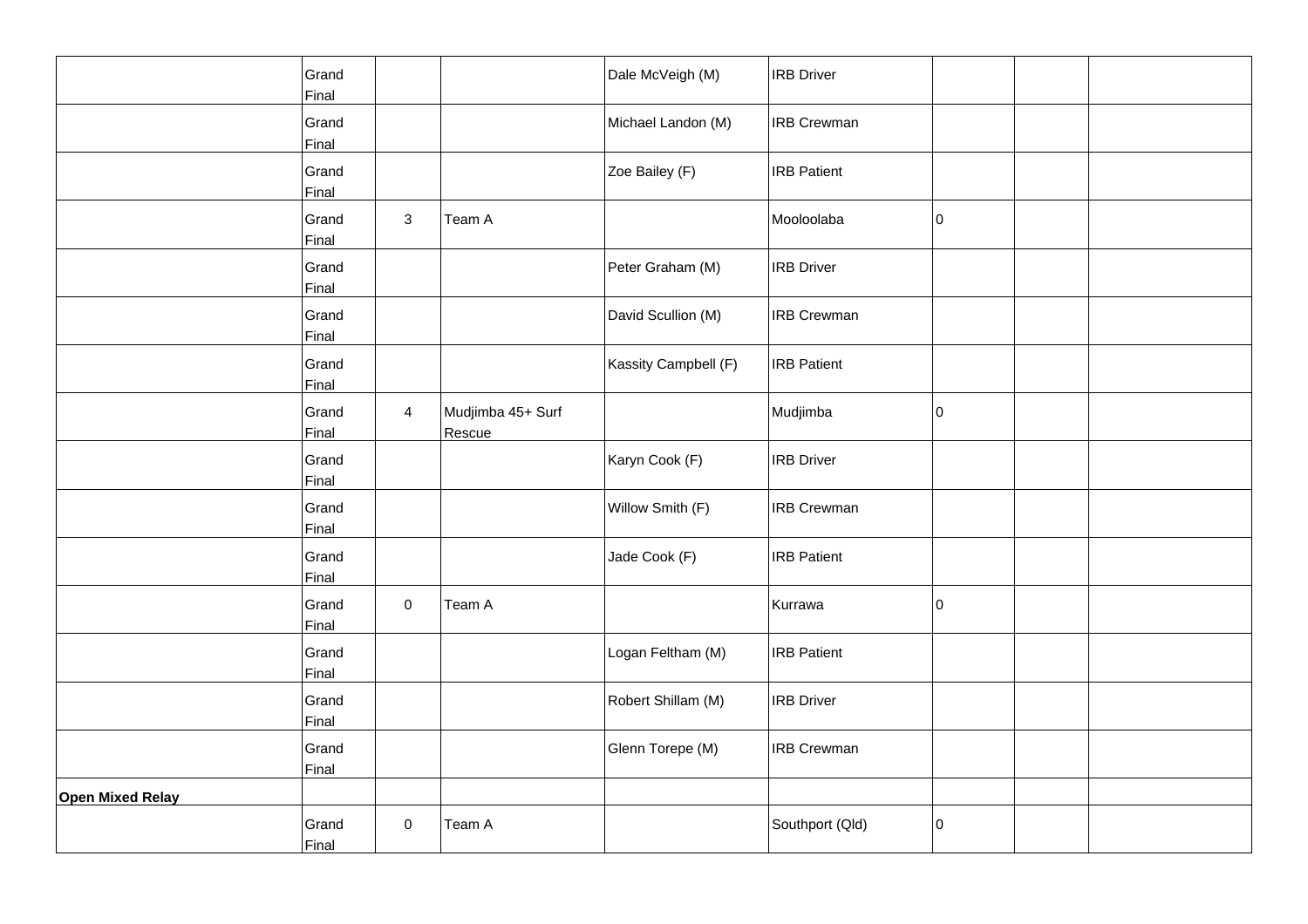|                  | Grand<br>Final |                |                             | Dale McVeigh (M)     | <b>IRB Driver</b>  |    |  |
|------------------|----------------|----------------|-----------------------------|----------------------|--------------------|----|--|
|                  | Grand<br>Final |                |                             | Michael Landon (M)   | <b>IRB Crewman</b> |    |  |
|                  | Grand<br>Final |                |                             | Zoe Bailey (F)       | <b>IRB Patient</b> |    |  |
|                  | Grand<br>Final | $\mathbf{3}$   | Team A                      |                      | Mooloolaba         | I٥ |  |
|                  | Grand<br>Final |                |                             | Peter Graham (M)     | <b>IRB</b> Driver  |    |  |
|                  | Grand<br>Final |                |                             | David Scullion (M)   | <b>IRB Crewman</b> |    |  |
|                  | Grand<br>Final |                |                             | Kassity Campbell (F) | <b>IRB</b> Patient |    |  |
|                  | Grand<br>Final | $\overline{4}$ | Mudjimba 45+ Surf<br>Rescue |                      | Mudjimba           | O  |  |
|                  | Grand<br>Final |                |                             | Karyn Cook (F)       | <b>IRB Driver</b>  |    |  |
|                  | Grand<br>Final |                |                             | Willow Smith (F)     | <b>IRB Crewman</b> |    |  |
|                  | Grand<br>Final |                |                             | Jade Cook (F)        | <b>IRB Patient</b> |    |  |
|                  | Grand<br>Final | $\mathbf 0$    | Team A                      |                      | Kurrawa            | O  |  |
|                  | Grand<br>Final |                |                             | Logan Feltham (M)    | <b>IRB Patient</b> |    |  |
|                  | Grand<br>Final |                |                             | Robert Shillam (M)   | <b>IRB</b> Driver  |    |  |
|                  | Grand<br>Final |                |                             | Glenn Torepe (M)     | <b>IRB Crewman</b> |    |  |
| Open Mixed Relay |                |                |                             |                      |                    |    |  |
|                  | Grand<br>Final | 0              | Team A                      |                      | Southport (Qld)    | 0  |  |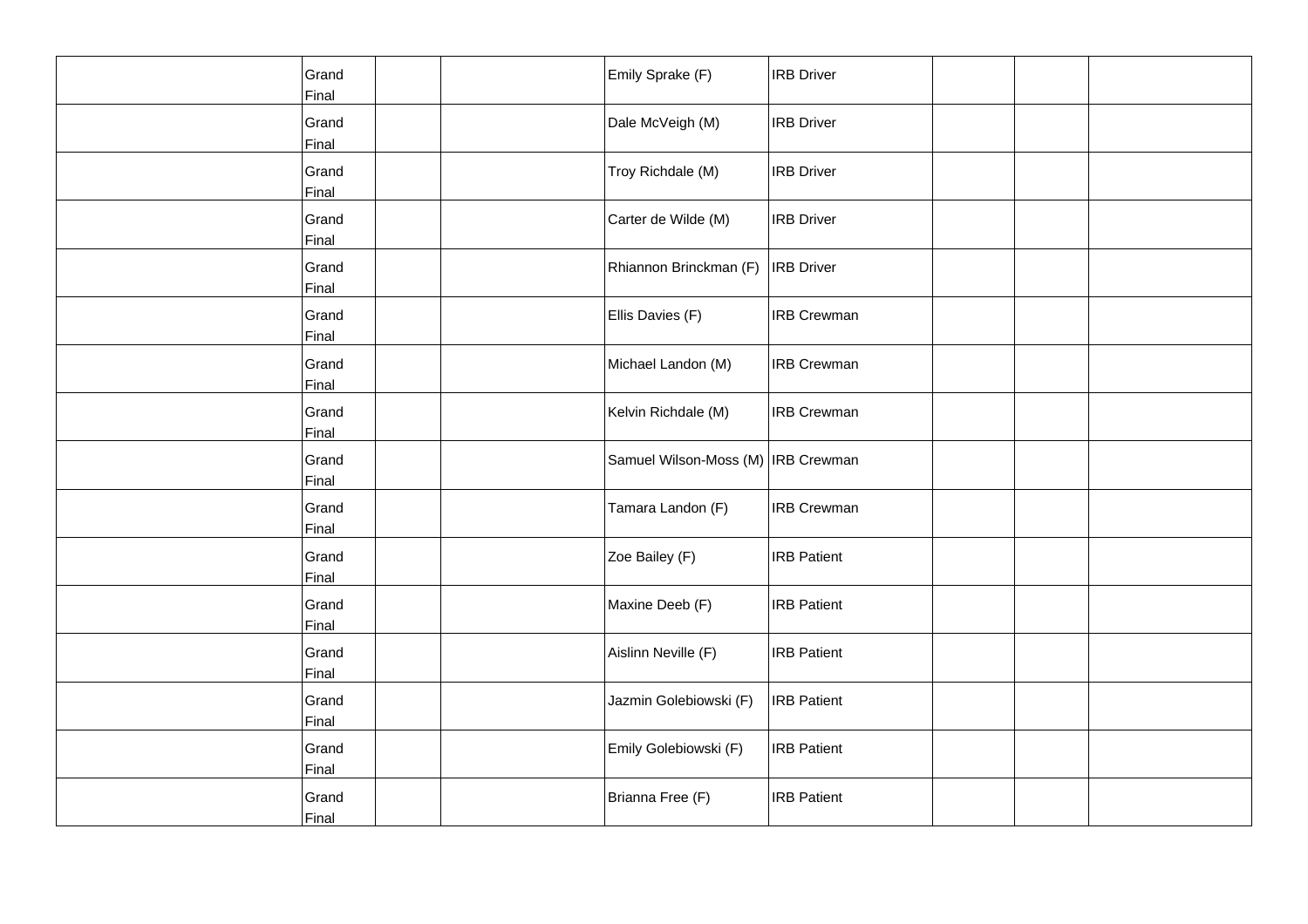| Grand<br>Final | Emily Sprake (F)                   | <b>IRB Driver</b>  |  |  |
|----------------|------------------------------------|--------------------|--|--|
| Grand<br>Final | Dale McVeigh (M)                   | <b>IRB</b> Driver  |  |  |
| Grand<br>Final | Troy Richdale (M)                  | <b>IRB Driver</b>  |  |  |
| Grand<br>Final | Carter de Wilde (M)                | <b>IRB Driver</b>  |  |  |
| Grand<br>Final | Rhiannon Brinckman (F)             | <b>IRB</b> Driver  |  |  |
| Grand<br>Final | Ellis Davies (F)                   | <b>IRB Crewman</b> |  |  |
| Grand<br>Final | Michael Landon (M)                 | <b>IRB Crewman</b> |  |  |
| Grand<br>Final | Kelvin Richdale (M)                | <b>IRB Crewman</b> |  |  |
| Grand<br>Final | Samuel Wilson-Moss (M) IRB Crewman |                    |  |  |
| Grand<br>Final | Tamara Landon (F)                  | <b>IRB Crewman</b> |  |  |
| Grand<br>Final | Zoe Bailey (F)                     | <b>IRB Patient</b> |  |  |
| Grand<br>Final | Maxine Deeb (F)                    | <b>IRB Patient</b> |  |  |
| Grand<br>Final | Aislinn Neville (F)                | <b>IRB Patient</b> |  |  |
| Grand<br>Final | Jazmin Golebiowski (F)             | <b>IRB Patient</b> |  |  |
| Grand<br>Final | Emily Golebiowski (F)              | <b>IRB Patient</b> |  |  |
| Grand<br>Final | Brianna Free (F)                   | <b>IRB Patient</b> |  |  |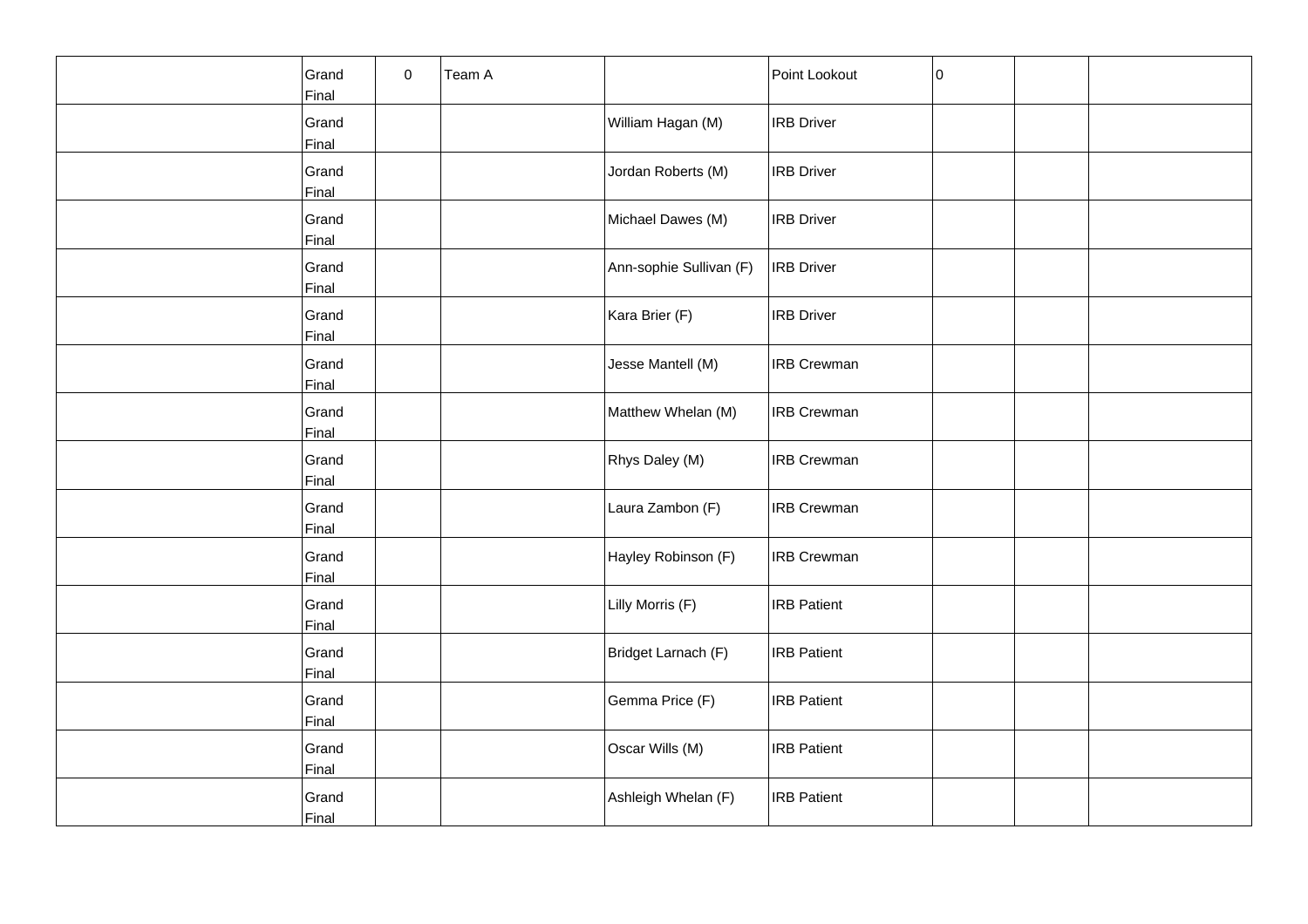| Grand<br>Final | 0 | Team A |                         | Point Lookout      | 0 |  |
|----------------|---|--------|-------------------------|--------------------|---|--|
| Grand<br>Final |   |        | William Hagan (M)       | <b>IRB</b> Driver  |   |  |
| Grand<br>Final |   |        | Jordan Roberts (M)      | <b>IRB Driver</b>  |   |  |
| Grand<br>Final |   |        | Michael Dawes (M)       | <b>IRB Driver</b>  |   |  |
| Grand<br>Final |   |        | Ann-sophie Sullivan (F) | <b>IRB</b> Driver  |   |  |
| Grand<br>Final |   |        | Kara Brier (F)          | <b>IRB Driver</b>  |   |  |
| Grand<br>Final |   |        | Jesse Mantell (M)       | <b>IRB Crewman</b> |   |  |
| Grand<br>Final |   |        | Matthew Whelan (M)      | <b>IRB Crewman</b> |   |  |
| Grand<br>Final |   |        | Rhys Daley (M)          | <b>IRB Crewman</b> |   |  |
| Grand<br>Final |   |        | Laura Zambon (F)        | <b>IRB Crewman</b> |   |  |
| Grand<br>Final |   |        | Hayley Robinson (F)     | <b>IRB Crewman</b> |   |  |
| Grand<br>Final |   |        | Lilly Morris (F)        | <b>IRB Patient</b> |   |  |
| Grand<br>Final |   |        | Bridget Larnach (F)     | <b>IRB Patient</b> |   |  |
| Grand<br>Final |   |        | Gemma Price (F)         | <b>IRB Patient</b> |   |  |
| Grand<br>Final |   |        | Oscar Wills (M)         | <b>IRB Patient</b> |   |  |
| Grand<br>Final |   |        | Ashleigh Whelan (F)     | <b>IRB Patient</b> |   |  |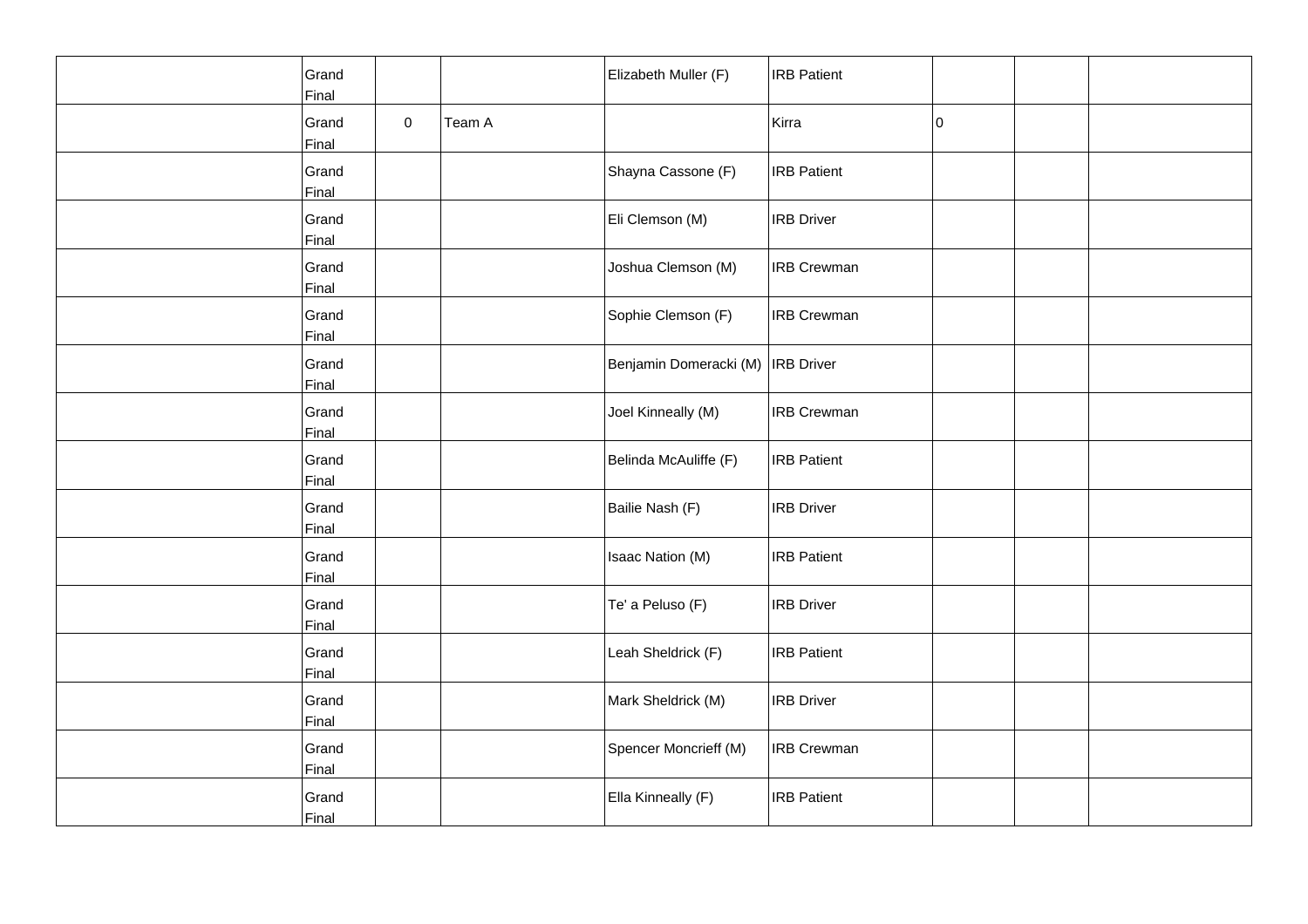| Grand<br>Final |             |        | Elizabeth Muller (F)                | <b>IRB</b> Patient |    |  |
|----------------|-------------|--------|-------------------------------------|--------------------|----|--|
| Grand<br>Final | $\mathbf 0$ | Team A |                                     | Kirra              | 10 |  |
| Grand<br>Final |             |        | Shayna Cassone (F)                  | <b>IRB</b> Patient |    |  |
| Grand<br>Final |             |        | Eli Clemson (M)                     | <b>IRB</b> Driver  |    |  |
| Grand<br>Final |             |        | Joshua Clemson (M)                  | <b>IRB</b> Crewman |    |  |
| Grand<br>Final |             |        | Sophie Clemson (F)                  | <b>IRB Crewman</b> |    |  |
| Grand<br>Final |             |        | Benjamin Domeracki (M)   IRB Driver |                    |    |  |
| Grand<br>Final |             |        | Joel Kinneally (M)                  | <b>IRB</b> Crewman |    |  |
| Grand<br>Final |             |        | Belinda McAuliffe (F)               | <b>IRB Patient</b> |    |  |
| Grand<br>Final |             |        | Bailie Nash (F)                     | <b>IRB</b> Driver  |    |  |
| Grand<br>Final |             |        | Isaac Nation (M)                    | <b>IRB</b> Patient |    |  |
| Grand<br>Final |             |        | Te' a Peluso (F)                    | <b>IRB Driver</b>  |    |  |
| Grand<br>Final |             |        | Leah Sheldrick (F)                  | <b>IRB</b> Patient |    |  |
| Grand<br>Final |             |        | Mark Sheldrick (M)                  | <b>IRB</b> Driver  |    |  |
| Grand<br>Final |             |        | Spencer Moncrieff (M)               | <b>IRB Crewman</b> |    |  |
| Grand<br>Final |             |        | Ella Kinneally (F)                  | <b>IRB</b> Patient |    |  |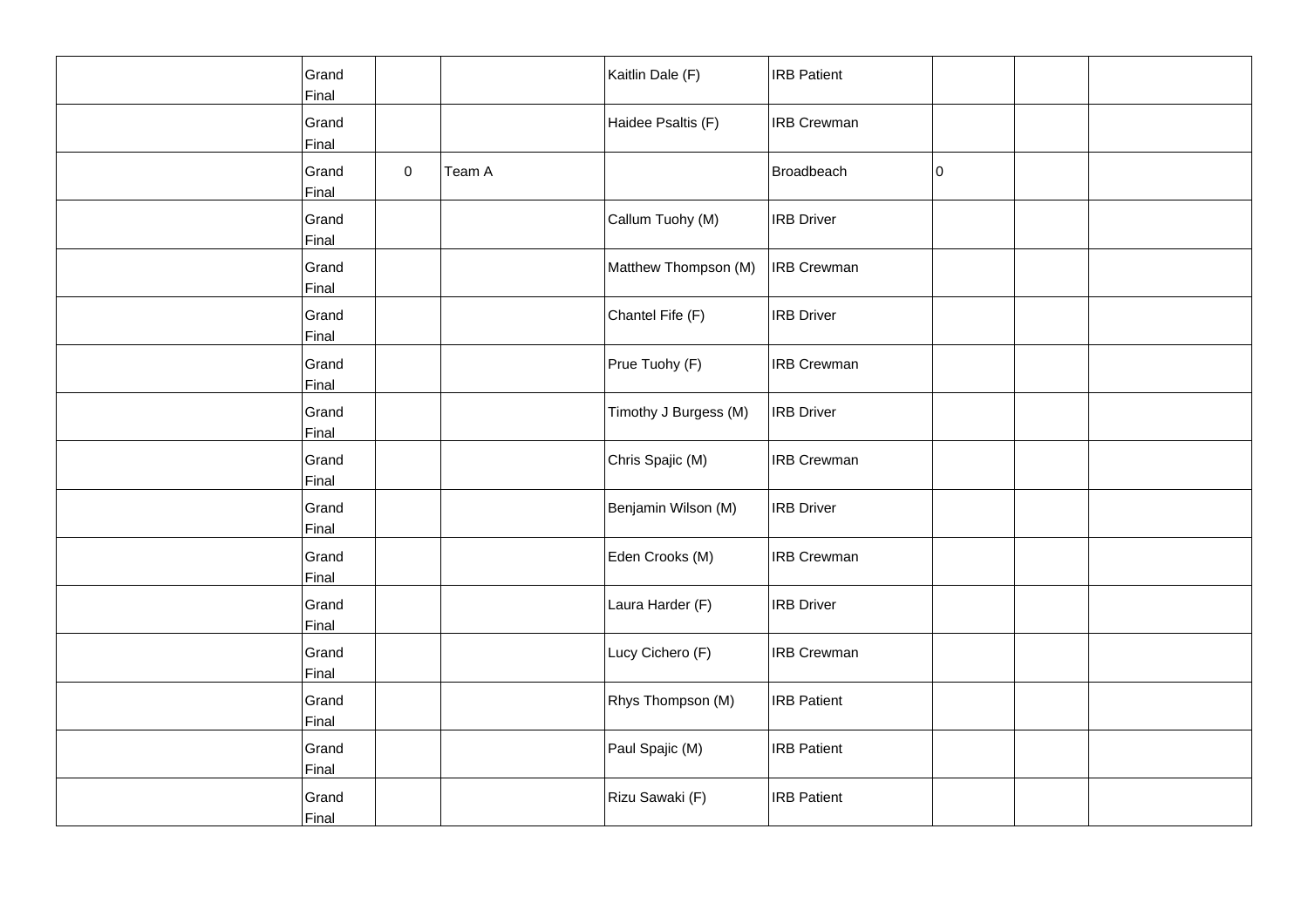| Grand<br>Final |              |        | Kaitlin Dale (F)      | <b>IRB Patient</b> |    |  |
|----------------|--------------|--------|-----------------------|--------------------|----|--|
| Grand<br>Final |              |        | Haidee Psaltis (F)    | <b>IRB Crewman</b> |    |  |
| Grand<br>Final | $\mathsf{O}$ | Team A |                       | Broadbeach         | 10 |  |
| Grand<br>Final |              |        | Callum Tuohy (M)      | <b>IRB Driver</b>  |    |  |
| Grand<br>Final |              |        | Matthew Thompson (M)  | <b>IRB Crewman</b> |    |  |
| Grand<br>Final |              |        | Chantel Fife (F)      | <b>IRB Driver</b>  |    |  |
| Grand<br>Final |              |        | Prue Tuohy (F)        | <b>IRB Crewman</b> |    |  |
| Grand<br>Final |              |        | Timothy J Burgess (M) | <b>IRB Driver</b>  |    |  |
| Grand<br>Final |              |        | Chris Spajic (M)      | <b>IRB Crewman</b> |    |  |
| Grand<br>Final |              |        | Benjamin Wilson (M)   | <b>IRB Driver</b>  |    |  |
| Grand<br>Final |              |        | Eden Crooks (M)       | <b>IRB Crewman</b> |    |  |
| Grand<br>Final |              |        | Laura Harder (F)      | <b>IRB Driver</b>  |    |  |
| Grand<br>Final |              |        | Lucy Cichero (F)      | <b>IRB Crewman</b> |    |  |
| Grand<br>Final |              |        | Rhys Thompson (M)     | <b>IRB Patient</b> |    |  |
| Grand<br>Final |              |        | Paul Spajic (M)       | <b>IRB Patient</b> |    |  |
| Grand<br>Final |              |        | Rizu Sawaki (F)       | <b>IRB Patient</b> |    |  |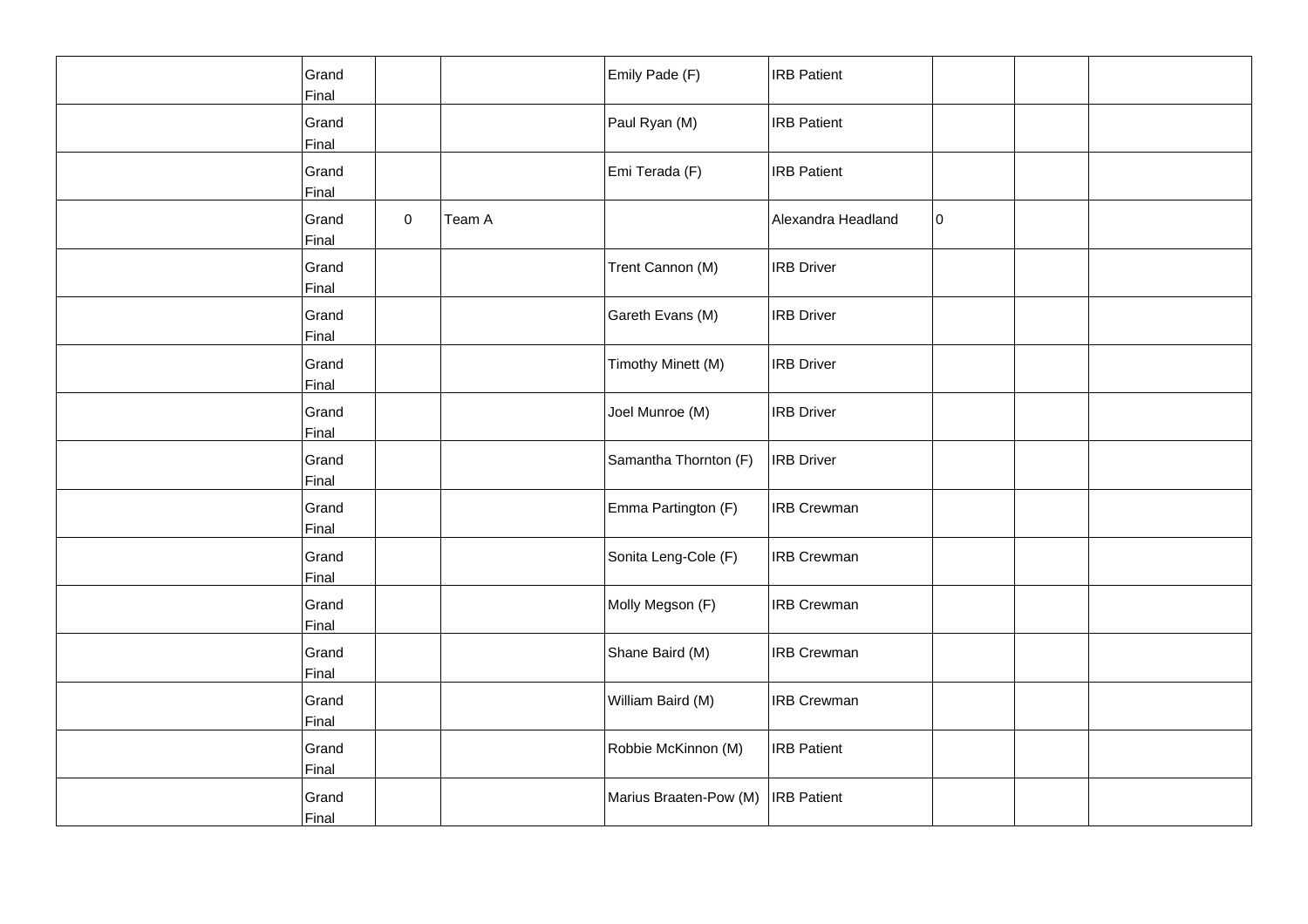| Grand<br>Final |   |        | Emily Pade (F)         | <b>IRB Patient</b> |    |  |
|----------------|---|--------|------------------------|--------------------|----|--|
| Grand<br>Final |   |        | Paul Ryan (M)          | <b>IRB</b> Patient |    |  |
| Grand<br>Final |   |        | Emi Terada (F)         | <b>IRB Patient</b> |    |  |
| Grand<br>Final | 0 | Team A |                        | Alexandra Headland | 10 |  |
| Grand<br>Final |   |        | Trent Cannon (M)       | <b>IRB</b> Driver  |    |  |
| Grand<br>Final |   |        | Gareth Evans (M)       | <b>IRB Driver</b>  |    |  |
| Grand<br>Final |   |        | Timothy Minett (M)     | <b>IRB Driver</b>  |    |  |
| Grand<br>Final |   |        | Joel Munroe (M)        | <b>IRB</b> Driver  |    |  |
| Grand<br>Final |   |        | Samantha Thornton (F)  | <b>IRB Driver</b>  |    |  |
| Grand<br>Final |   |        | Emma Partington (F)    | <b>IRB Crewman</b> |    |  |
| Grand<br>Final |   |        | Sonita Leng-Cole (F)   | <b>IRB Crewman</b> |    |  |
| Grand<br>Final |   |        | Molly Megson (F)       | <b>IRB Crewman</b> |    |  |
| Grand<br>Final |   |        | Shane Baird (M)        | <b>IRB Crewman</b> |    |  |
| Grand<br>Final |   |        | William Baird (M)      | <b>IRB Crewman</b> |    |  |
| Grand<br>Final |   |        | Robbie McKinnon (M)    | <b>IRB Patient</b> |    |  |
| Grand<br>Final |   |        | Marius Braaten-Pow (M) | <b>IRB</b> Patient |    |  |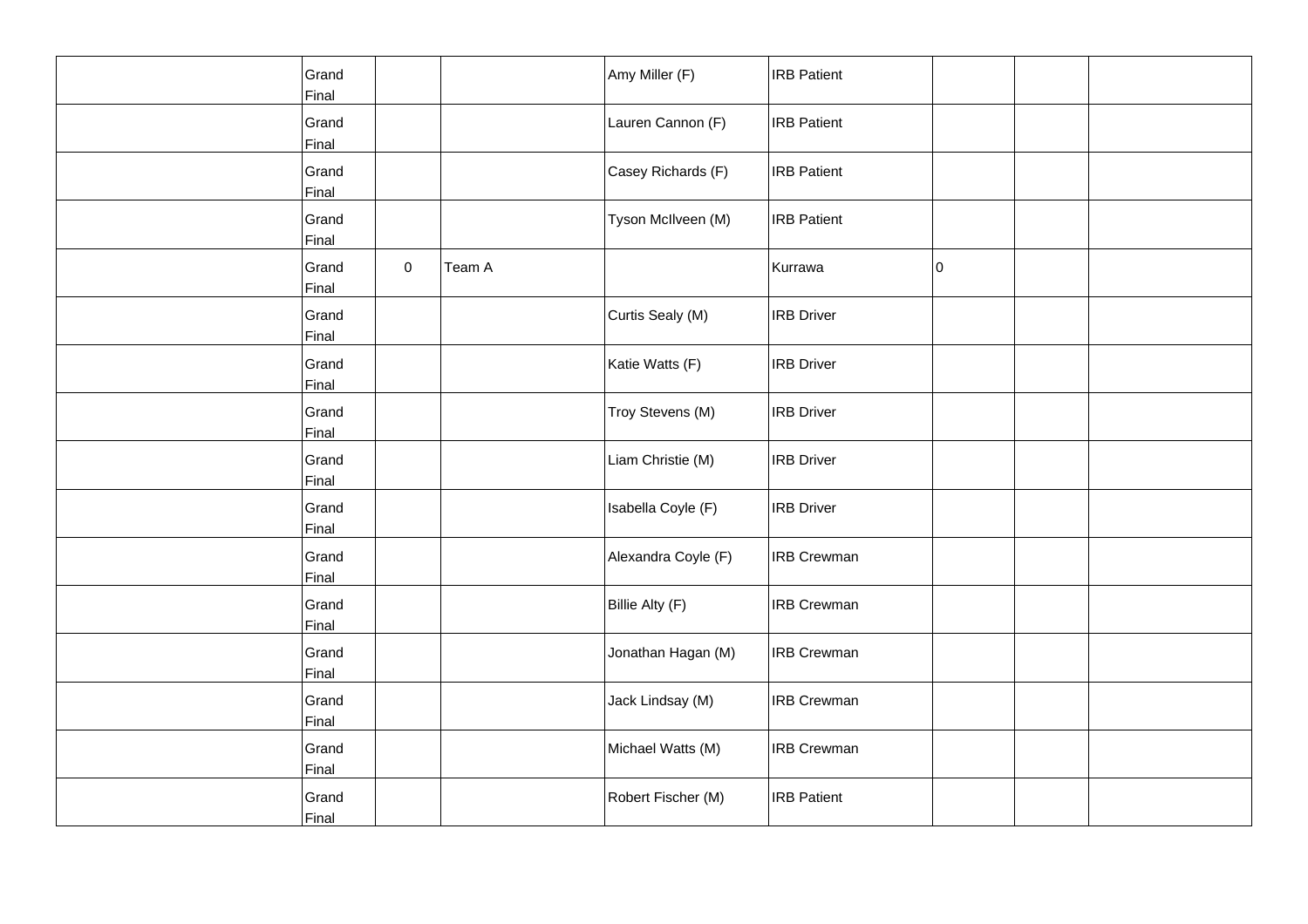| Grand<br>Final |           |        | Amy Miller (F)      | <b>IRB Patient</b> |    |  |
|----------------|-----------|--------|---------------------|--------------------|----|--|
| Grand<br>Final |           |        | Lauren Cannon (F)   | <b>IRB</b> Patient |    |  |
| Grand<br>Final |           |        | Casey Richards (F)  | <b>IRB Patient</b> |    |  |
| Grand<br>Final |           |        | Tyson McIlveen (M)  | <b>IRB Patient</b> |    |  |
| Grand<br>Final | $\pmb{0}$ | Team A |                     | Kurrawa            | 10 |  |
| Grand<br>Final |           |        | Curtis Sealy (M)    | <b>IRB Driver</b>  |    |  |
| Grand<br>Final |           |        | Katie Watts (F)     | <b>IRB Driver</b>  |    |  |
| Grand<br>Final |           |        | Troy Stevens (M)    | <b>IRB Driver</b>  |    |  |
| Grand<br>Final |           |        | Liam Christie (M)   | <b>IRB Driver</b>  |    |  |
| Grand<br>Final |           |        | Isabella Coyle (F)  | <b>IRB Driver</b>  |    |  |
| Grand<br>Final |           |        | Alexandra Coyle (F) | <b>IRB Crewman</b> |    |  |
| Grand<br>Final |           |        | Billie Alty (F)     | <b>IRB Crewman</b> |    |  |
| Grand<br>Final |           |        | Jonathan Hagan (M)  | <b>IRB Crewman</b> |    |  |
| Grand<br>Final |           |        | Jack Lindsay (M)    | <b>IRB Crewman</b> |    |  |
| Grand<br>Final |           |        | Michael Watts (M)   | <b>IRB Crewman</b> |    |  |
| Grand<br>Final |           |        | Robert Fischer (M)  | <b>IRB Patient</b> |    |  |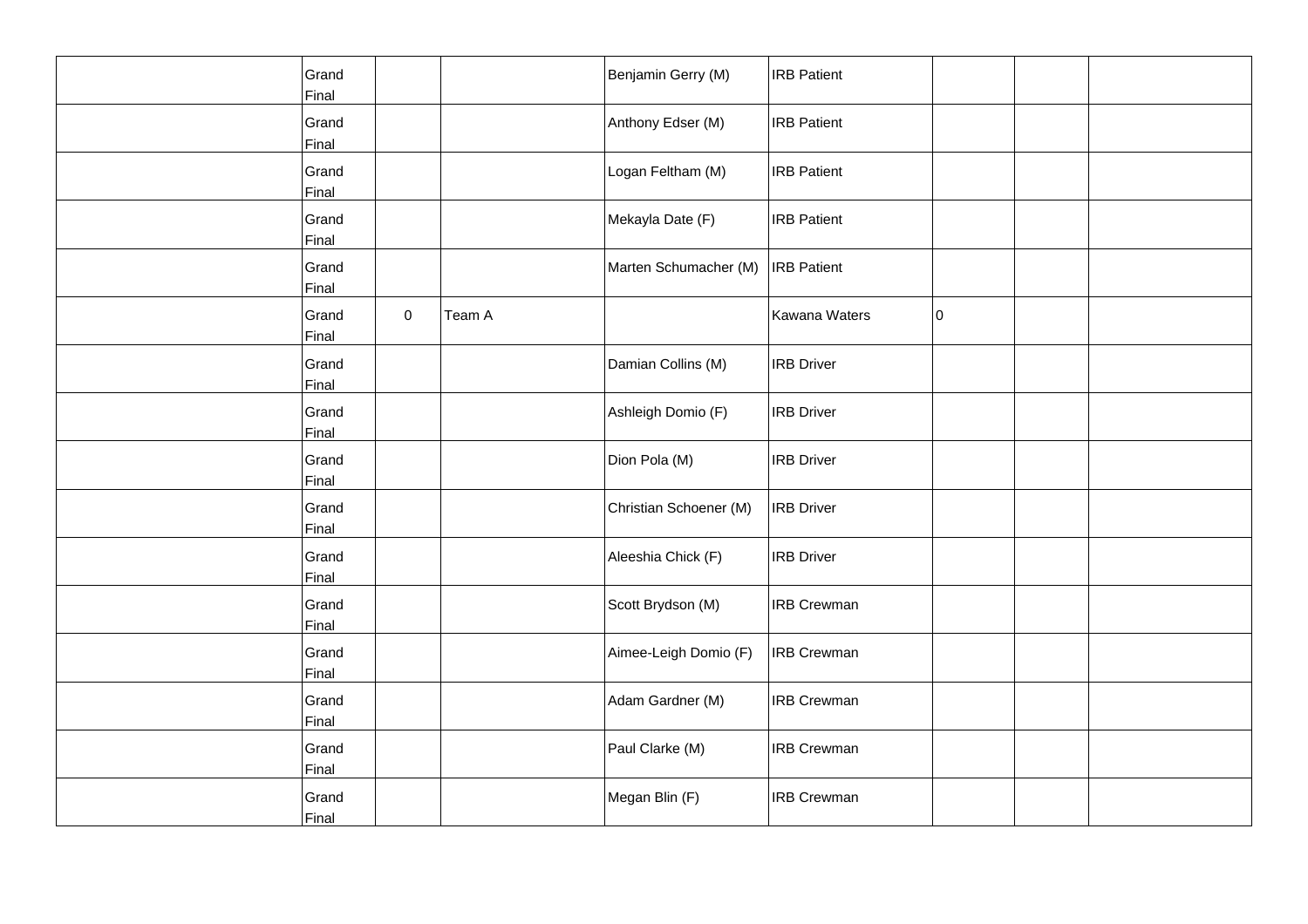| Grand<br>Final        |           |        | Benjamin Gerry (M)     | <b>IRB Patient</b> |    |  |
|-----------------------|-----------|--------|------------------------|--------------------|----|--|
| Grand<br>Final        |           |        | Anthony Edser (M)      | <b>IRB</b> Patient |    |  |
| Grand<br>Final        |           |        | Logan Feltham (M)      | <b>IRB Patient</b> |    |  |
| Grand<br>Final        |           |        | Mekayla Date (F)       | <b>IRB Patient</b> |    |  |
| Grand<br>Final        |           |        | Marten Schumacher (M)  | <b>IRB</b> Patient |    |  |
| Grand<br>Final        | $\pmb{0}$ | Team A |                        | Kawana Waters      | 10 |  |
| Grand<br>Final        |           |        | Damian Collins (M)     | <b>IRB Driver</b>  |    |  |
| Grand<br>Final        |           |        | Ashleigh Domio (F)     | <b>IRB</b> Driver  |    |  |
| Grand<br>Final        |           |        | Dion Pola (M)          | <b>IRB Driver</b>  |    |  |
| Grand<br>Final        |           |        | Christian Schoener (M) | <b>IRB Driver</b>  |    |  |
| Grand<br>Final        |           |        | Aleeshia Chick (F)     | <b>IRB Driver</b>  |    |  |
| Grand<br>Final        |           |        | Scott Brydson (M)      | <b>IRB Crewman</b> |    |  |
| Grand<br>Final        |           |        | Aimee-Leigh Domio (F)  | <b>IRB Crewman</b> |    |  |
| Grand<br>Final        |           |        | Adam Gardner (M)       | <b>IRB Crewman</b> |    |  |
| Grand<br><b>Final</b> |           |        | Paul Clarke (M)        | <b>IRB Crewman</b> |    |  |
| Grand<br>Final        |           |        | Megan Blin (F)         | <b>IRB Crewman</b> |    |  |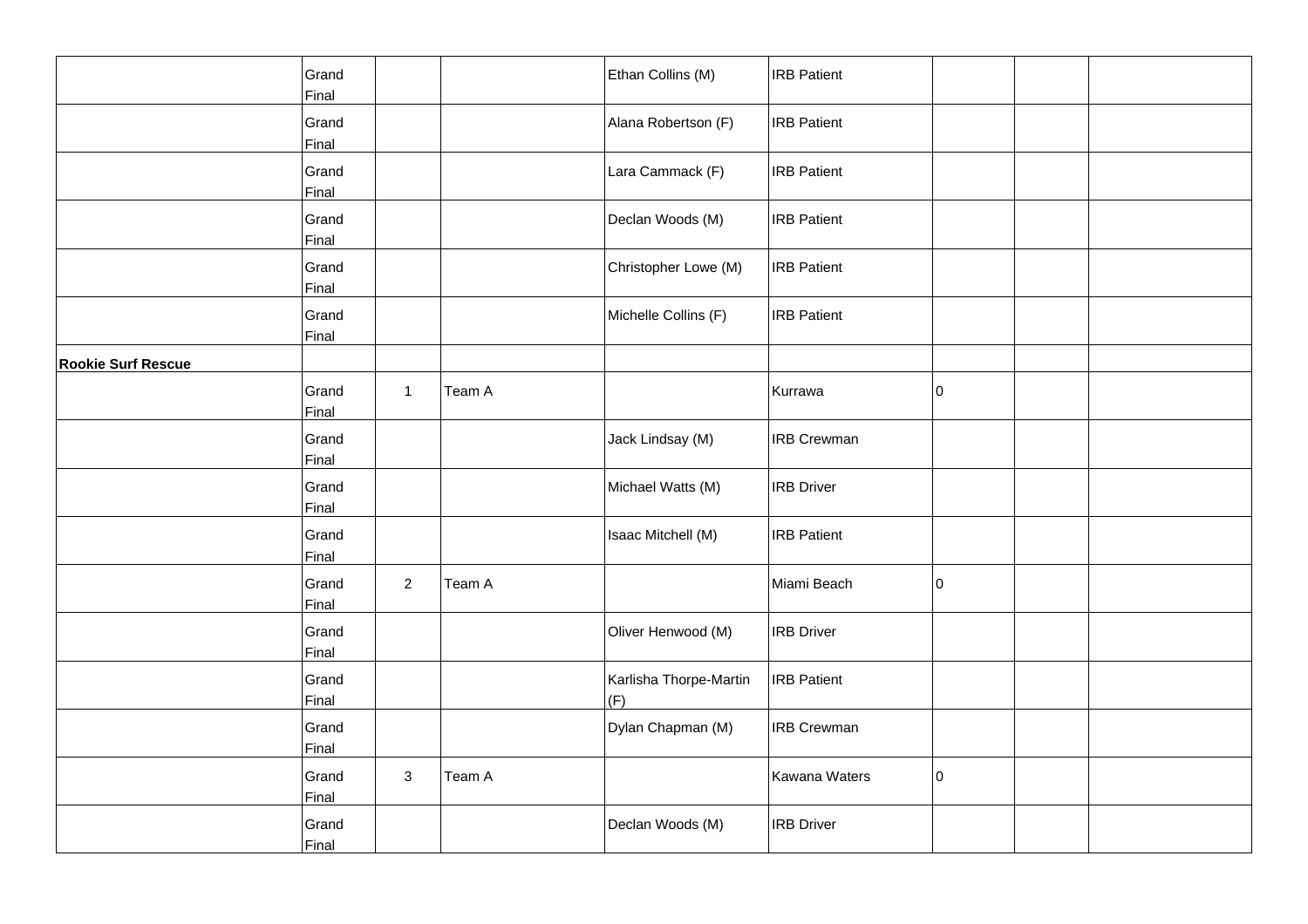|                           | Grand<br>Final |                |        | Ethan Collins (M)             | <b>IRB Patient</b> |    |  |
|---------------------------|----------------|----------------|--------|-------------------------------|--------------------|----|--|
|                           | Grand<br>Final |                |        | Alana Robertson (F)           | <b>IRB</b> Patient |    |  |
|                           | Grand<br>Final |                |        | Lara Cammack (F)              | <b>IRB</b> Patient |    |  |
|                           | Grand<br>Final |                |        | Declan Woods (M)              | <b>IRB Patient</b> |    |  |
|                           | Grand<br>Final |                |        | Christopher Lowe (M)          | <b>IRB Patient</b> |    |  |
|                           | Grand<br>Final |                |        | Michelle Collins (F)          | <b>IRB</b> Patient |    |  |
| <b>Rookie Surf Rescue</b> |                |                |        |                               |                    |    |  |
|                           | Grand<br>Final | $\mathbf{1}$   | Team A |                               | Kurrawa            | 10 |  |
|                           | Grand<br>Final |                |        | Jack Lindsay (M)              | <b>IRB Crewman</b> |    |  |
|                           | Grand<br>Final |                |        | Michael Watts (M)             | <b>IRB</b> Driver  |    |  |
|                           | Grand<br>Final |                |        | Isaac Mitchell (M)            | <b>IRB Patient</b> |    |  |
|                           | Grand<br>Final | $\overline{2}$ | Team A |                               | Miami Beach        | 10 |  |
|                           | Grand<br>Final |                |        | Oliver Henwood (M)            | <b>IRB</b> Driver  |    |  |
|                           | Grand<br>Final |                |        | Karlisha Thorpe-Martin<br>(F) | <b>IRB</b> Patient |    |  |
|                           | Grand<br>Final |                |        | Dylan Chapman (M)             | <b>IRB Crewman</b> |    |  |
|                           | Grand<br>Final | 3              | Team A |                               | Kawana Waters      | 10 |  |
|                           | Grand<br>Final |                |        | Declan Woods (M)              | <b>IRB</b> Driver  |    |  |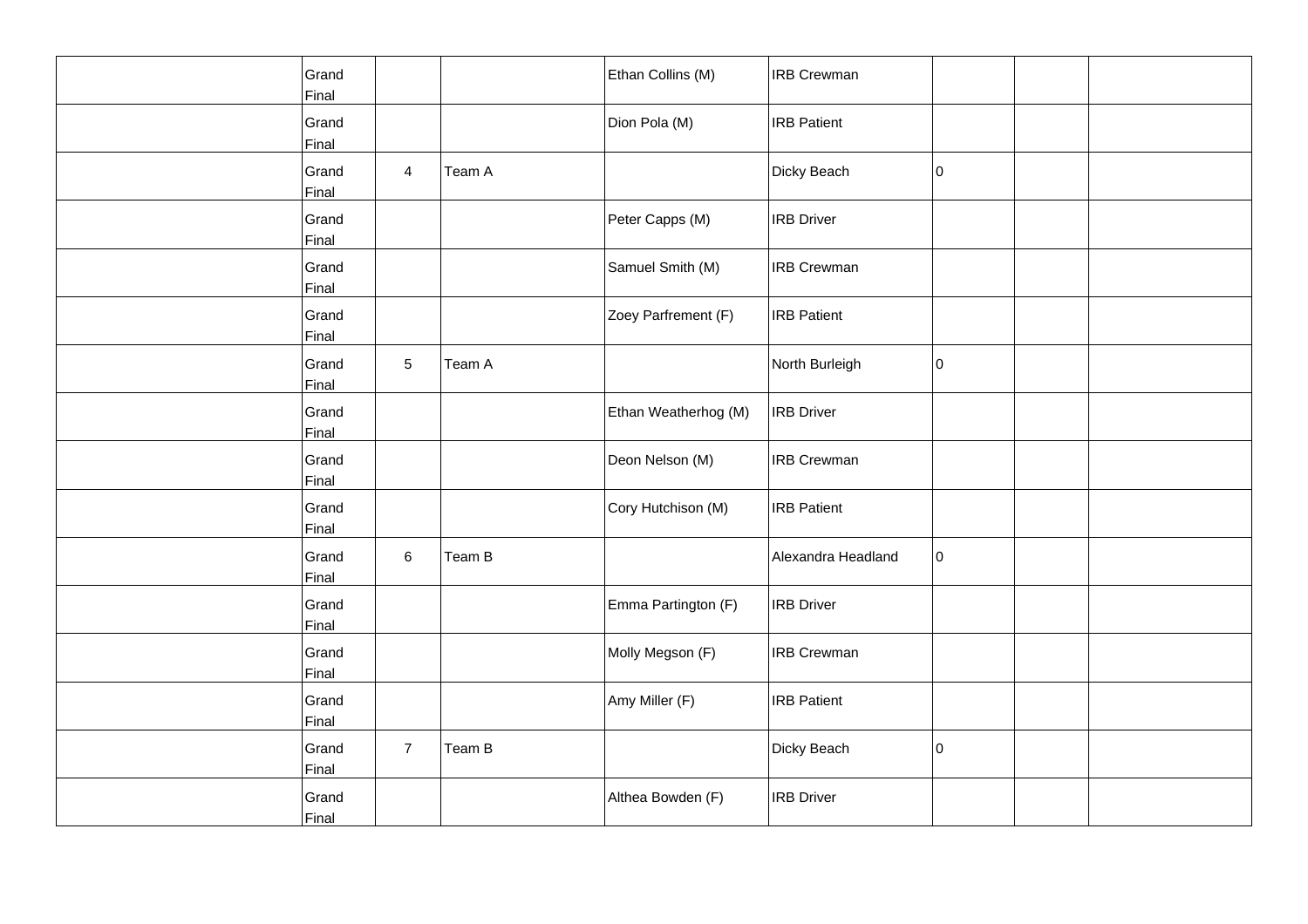| Grand<br>Final |                |        | Ethan Collins (M)    | <b>IRB Crewman</b> |    |  |
|----------------|----------------|--------|----------------------|--------------------|----|--|
| Grand<br>Final |                |        | Dion Pola (M)        | <b>IRB</b> Patient |    |  |
| Grand<br>Final | $\overline{4}$ | Team A |                      | Dicky Beach        | I٥ |  |
| Grand<br>Final |                |        | Peter Capps (M)      | <b>IRB</b> Driver  |    |  |
| Grand<br>Final |                |        | Samuel Smith (M)     | <b>IRB</b> Crewman |    |  |
| Grand<br>Final |                |        | Zoey Parfrement (F)  | <b>IRB Patient</b> |    |  |
| Grand<br>Final | 5              | Team A |                      | North Burleigh     | 10 |  |
| Grand<br>Final |                |        | Ethan Weatherhog (M) | <b>IRB</b> Driver  |    |  |
| Grand<br>Final |                |        | Deon Nelson (M)      | <b>IRB Crewman</b> |    |  |
| Grand<br>Final |                |        | Cory Hutchison (M)   | <b>IRB</b> Patient |    |  |
| Grand<br>Final | 6              | Team B |                      | Alexandra Headland | 10 |  |
| Grand<br>Final |                |        | Emma Partington (F)  | <b>IRB Driver</b>  |    |  |
| Grand<br>Final |                |        | Molly Megson (F)     | <b>IRB Crewman</b> |    |  |
| Grand<br>Final |                |        | Amy Miller (F)       | <b>IRB</b> Patient |    |  |
| Grand<br>Final | $\overline{7}$ | Team B |                      | Dicky Beach        | I٥ |  |
| Grand<br>Final |                |        | Althea Bowden (F)    | <b>IRB</b> Driver  |    |  |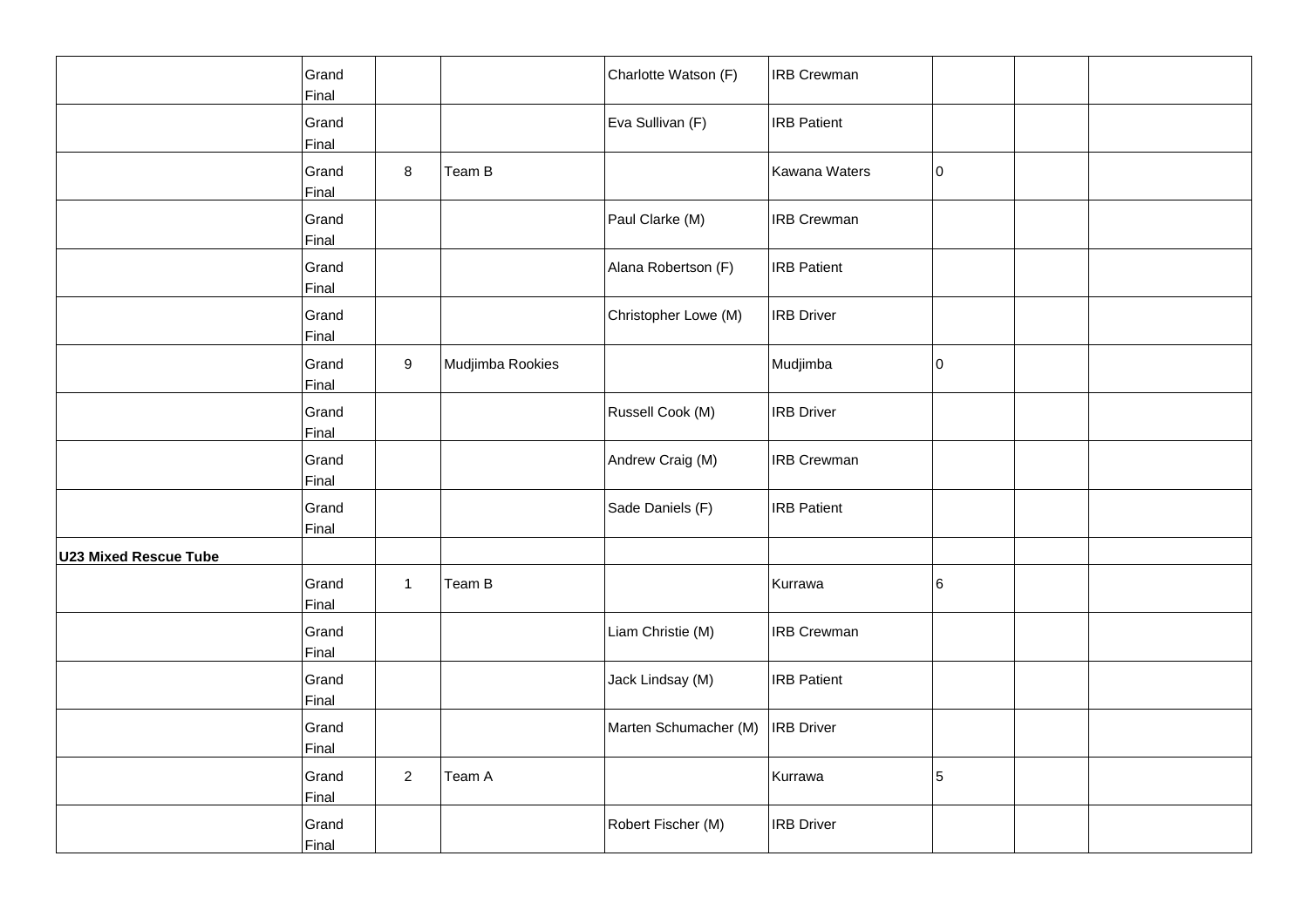|                              | Grand<br>Final |                  |                  | Charlotte Watson (F)  | <b>IRB Crewman</b> |             |  |
|------------------------------|----------------|------------------|------------------|-----------------------|--------------------|-------------|--|
|                              | Grand<br>Final |                  |                  | Eva Sullivan (F)      | <b>IRB Patient</b> |             |  |
|                              | Grand<br>Final | 8                | Team B           |                       | Kawana Waters      | $ 0\rangle$ |  |
|                              | Grand<br>Final |                  |                  | Paul Clarke (M)       | <b>IRB Crewman</b> |             |  |
|                              | Grand<br>Final |                  |                  | Alana Robertson (F)   | <b>IRB Patient</b> |             |  |
|                              | Grand<br>Final |                  |                  | Christopher Lowe (M)  | <b>IRB Driver</b>  |             |  |
|                              | Grand<br>Final | $\boldsymbol{9}$ | Mudjimba Rookies |                       | Mudjimba           | $ 0\rangle$ |  |
|                              | Grand<br>Final |                  |                  | Russell Cook (M)      | <b>IRB Driver</b>  |             |  |
|                              | Grand<br>Final |                  |                  | Andrew Craig (M)      | <b>IRB Crewman</b> |             |  |
|                              | Grand<br>Final |                  |                  | Sade Daniels (F)      | <b>IRB Patient</b> |             |  |
| <b>U23 Mixed Rescue Tube</b> |                |                  |                  |                       |                    |             |  |
|                              | Grand<br>Final | $\mathbf{1}$     | Team B           |                       | Kurrawa            | 6           |  |
|                              | Grand<br>Final |                  |                  | Liam Christie (M)     | <b>IRB Crewman</b> |             |  |
|                              | Grand<br>Final |                  |                  | Jack Lindsay (M)      | <b>IRB Patient</b> |             |  |
|                              | Grand<br>Final |                  |                  | Marten Schumacher (M) | <b>IRB Driver</b>  |             |  |
|                              | Grand<br>Final | $\overline{2}$   | Team A           |                       | Kurrawa            | 5           |  |
|                              | Grand<br>Final |                  |                  | Robert Fischer (M)    | <b>IRB Driver</b>  |             |  |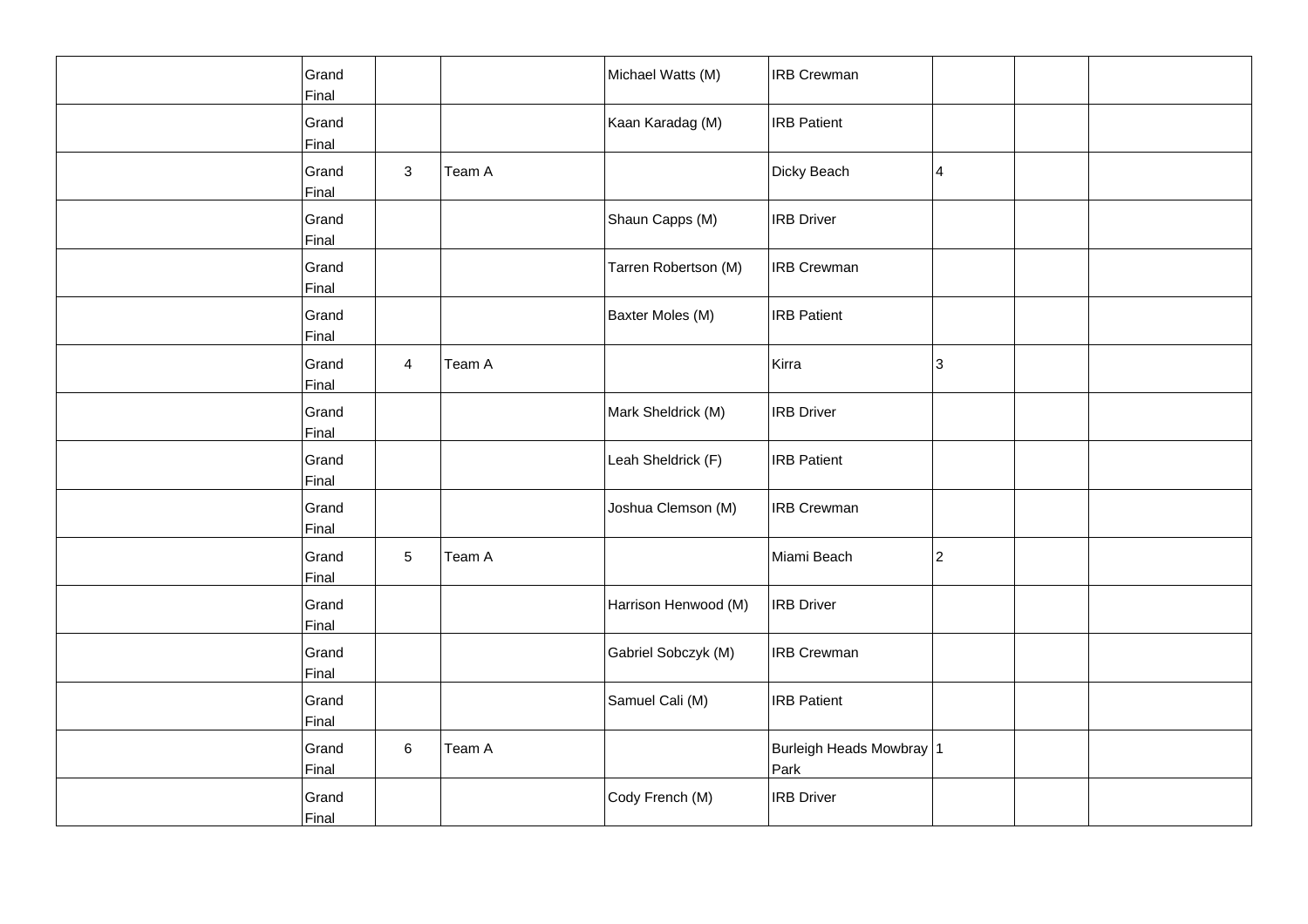| Grand<br>Final |                |        | Michael Watts (M)    | <b>IRB Crewman</b>               |             |  |
|----------------|----------------|--------|----------------------|----------------------------------|-------------|--|
| Grand<br>Final |                |        | Kaan Karadag (M)     | <b>IRB Patient</b>               |             |  |
| Grand<br>Final | 3              | Team A |                      | Dicky Beach                      | 4           |  |
| Grand<br>Final |                |        | Shaun Capps (M)      | <b>IRB Driver</b>                |             |  |
| Grand<br>Final |                |        | Tarren Robertson (M) | <b>IRB Crewman</b>               |             |  |
| Grand<br>Final |                |        | Baxter Moles (M)     | <b>IRB Patient</b>               |             |  |
| Grand<br>Final | $\overline{4}$ | Team A |                      | Kirra                            | 3           |  |
| Grand<br>Final |                |        | Mark Sheldrick (M)   | <b>IRB Driver</b>                |             |  |
| Grand<br>Final |                |        | Leah Sheldrick (F)   | <b>IRB Patient</b>               |             |  |
| Grand<br>Final |                |        | Joshua Clemson (M)   | <b>IRB Crewman</b>               |             |  |
| Grand<br>Final | 5              | Team A |                      | Miami Beach                      | $ 2\rangle$ |  |
| Grand<br>Final |                |        | Harrison Henwood (M) | <b>IRB Driver</b>                |             |  |
| Grand<br>Final |                |        | Gabriel Sobczyk (M)  | <b>IRB Crewman</b>               |             |  |
| Grand<br>Final |                |        | Samuel Cali (M)      | <b>IRB Patient</b>               |             |  |
| Grand<br>Final | $\,6\,$        | Team A |                      | Burleigh Heads Mowbray 1<br>Park |             |  |
| Grand<br>Final |                |        | Cody French (M)      | <b>IRB Driver</b>                |             |  |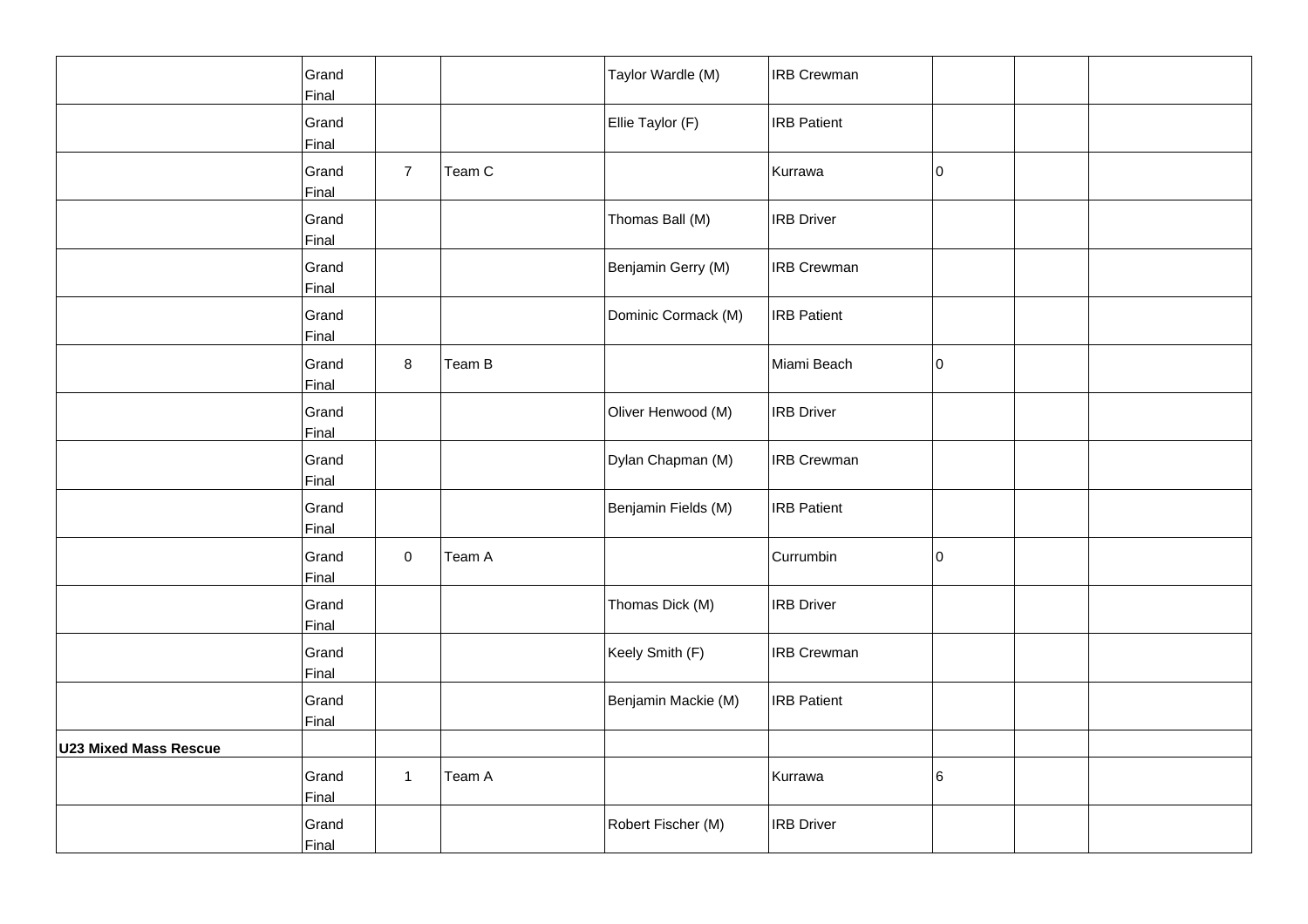|                              | Grand |                |        | Taylor Wardle (M)   | <b>IRB Crewman</b> |             |  |
|------------------------------|-------|----------------|--------|---------------------|--------------------|-------------|--|
|                              | Final |                |        |                     |                    |             |  |
|                              | Grand |                |        | Ellie Taylor (F)    | <b>IRB Patient</b> |             |  |
|                              | Final |                |        |                     |                    |             |  |
|                              | Grand | $\overline{7}$ | Team C |                     | Kurrawa            | 10          |  |
|                              | Final |                |        |                     |                    |             |  |
|                              | Grand |                |        |                     | <b>IRB Driver</b>  |             |  |
|                              |       |                |        | Thomas Ball (M)     |                    |             |  |
|                              | Final |                |        |                     |                    |             |  |
|                              | Grand |                |        | Benjamin Gerry (M)  | <b>IRB Crewman</b> |             |  |
|                              | Final |                |        |                     |                    |             |  |
|                              | Grand |                |        | Dominic Cormack (M) | <b>IRB Patient</b> |             |  |
|                              | Final |                |        |                     |                    |             |  |
|                              |       |                |        |                     |                    |             |  |
|                              | Grand | 8              | Team B |                     | Miami Beach        | $ 0\rangle$ |  |
|                              | Final |                |        |                     |                    |             |  |
|                              | Grand |                |        | Oliver Henwood (M)  | <b>IRB Driver</b>  |             |  |
|                              | Final |                |        |                     |                    |             |  |
|                              |       |                |        |                     |                    |             |  |
|                              | Grand |                |        | Dylan Chapman (M)   | <b>IRB Crewman</b> |             |  |
|                              | Final |                |        |                     |                    |             |  |
|                              | Grand |                |        | Benjamin Fields (M) | <b>IRB Patient</b> |             |  |
|                              | Final |                |        |                     |                    |             |  |
|                              |       |                |        |                     |                    |             |  |
|                              | Grand | $\mathbf 0$    | Team A |                     | Currumbin          | l0          |  |
|                              | Final |                |        |                     |                    |             |  |
|                              | Grand |                |        | Thomas Dick (M)     | <b>IRB Driver</b>  |             |  |
|                              | Final |                |        |                     |                    |             |  |
|                              | Grand |                |        | Keely Smith (F)     | <b>IRB Crewman</b> |             |  |
|                              |       |                |        |                     |                    |             |  |
|                              | Final |                |        |                     |                    |             |  |
|                              | Grand |                |        | Benjamin Mackie (M) | <b>IRB Patient</b> |             |  |
|                              | Final |                |        |                     |                    |             |  |
| <b>U23 Mixed Mass Rescue</b> |       |                |        |                     |                    |             |  |
|                              |       |                |        |                     |                    |             |  |
|                              | Grand | $\mathbf{1}$   | Team A |                     | Kurrawa            | 6           |  |
|                              | Final |                |        |                     |                    |             |  |
|                              | Grand |                |        | Robert Fischer (M)  | <b>IRB Driver</b>  |             |  |
|                              | Final |                |        |                     |                    |             |  |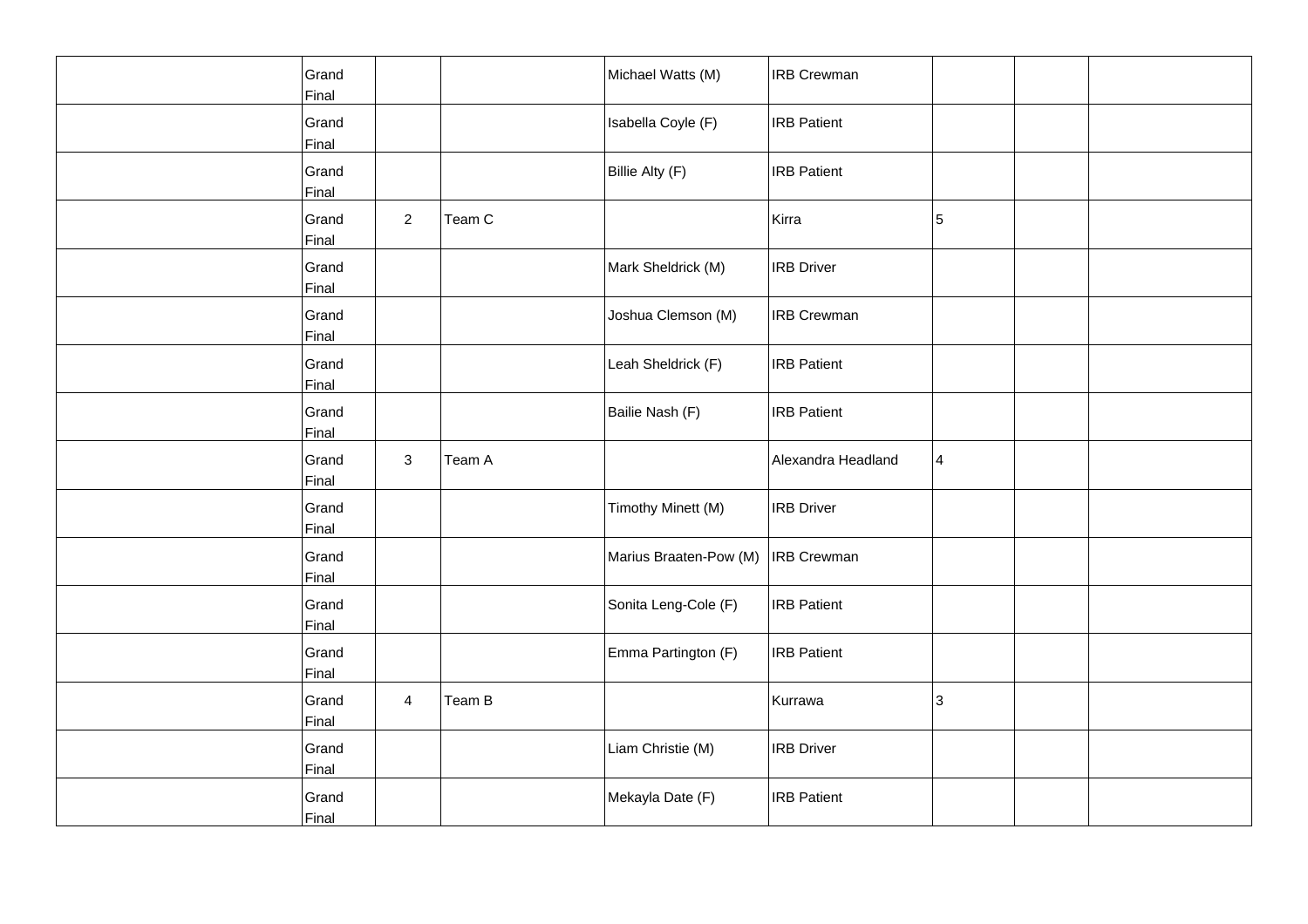| Grand<br>Final |                |        | Michael Watts (M)      | <b>IRB Crewman</b> |   |  |
|----------------|----------------|--------|------------------------|--------------------|---|--|
| Grand<br>Final |                |        | Isabella Coyle (F)     | <b>IRB</b> Patient |   |  |
| Grand<br>Final |                |        | Billie Alty (F)        | <b>IRB Patient</b> |   |  |
| Grand<br>Final | $\overline{a}$ | Team C |                        | Kirra              | 5 |  |
| Grand<br>Final |                |        | Mark Sheldrick (M)     | <b>IRB</b> Driver  |   |  |
| Grand<br>Final |                |        | Joshua Clemson (M)     | <b>IRB Crewman</b> |   |  |
| Grand<br>Final |                |        | Leah Sheldrick (F)     | <b>IRB</b> Patient |   |  |
| Grand<br>Final |                |        | Bailie Nash (F)        | <b>IRB</b> Patient |   |  |
| Grand<br>Final | $\mathbf{3}$   | Team A |                        | Alexandra Headland | 4 |  |
| Grand<br>Final |                |        | Timothy Minett (M)     | <b>IRB</b> Driver  |   |  |
| Grand<br>Final |                |        | Marius Braaten-Pow (M) | <b>IRB</b> Crewman |   |  |
| Grand<br>Final |                |        | Sonita Leng-Cole (F)   | <b>IRB Patient</b> |   |  |
| Grand<br>Final |                |        | Emma Partington (F)    | <b>IRB</b> Patient |   |  |
| Grand<br>Final | $\overline{4}$ | Team B |                        | Kurrawa            | 3 |  |
| Grand<br>Final |                |        | Liam Christie (M)      | <b>IRB Driver</b>  |   |  |
| Grand<br>Final |                |        | Mekayla Date (F)       | <b>IRB</b> Patient |   |  |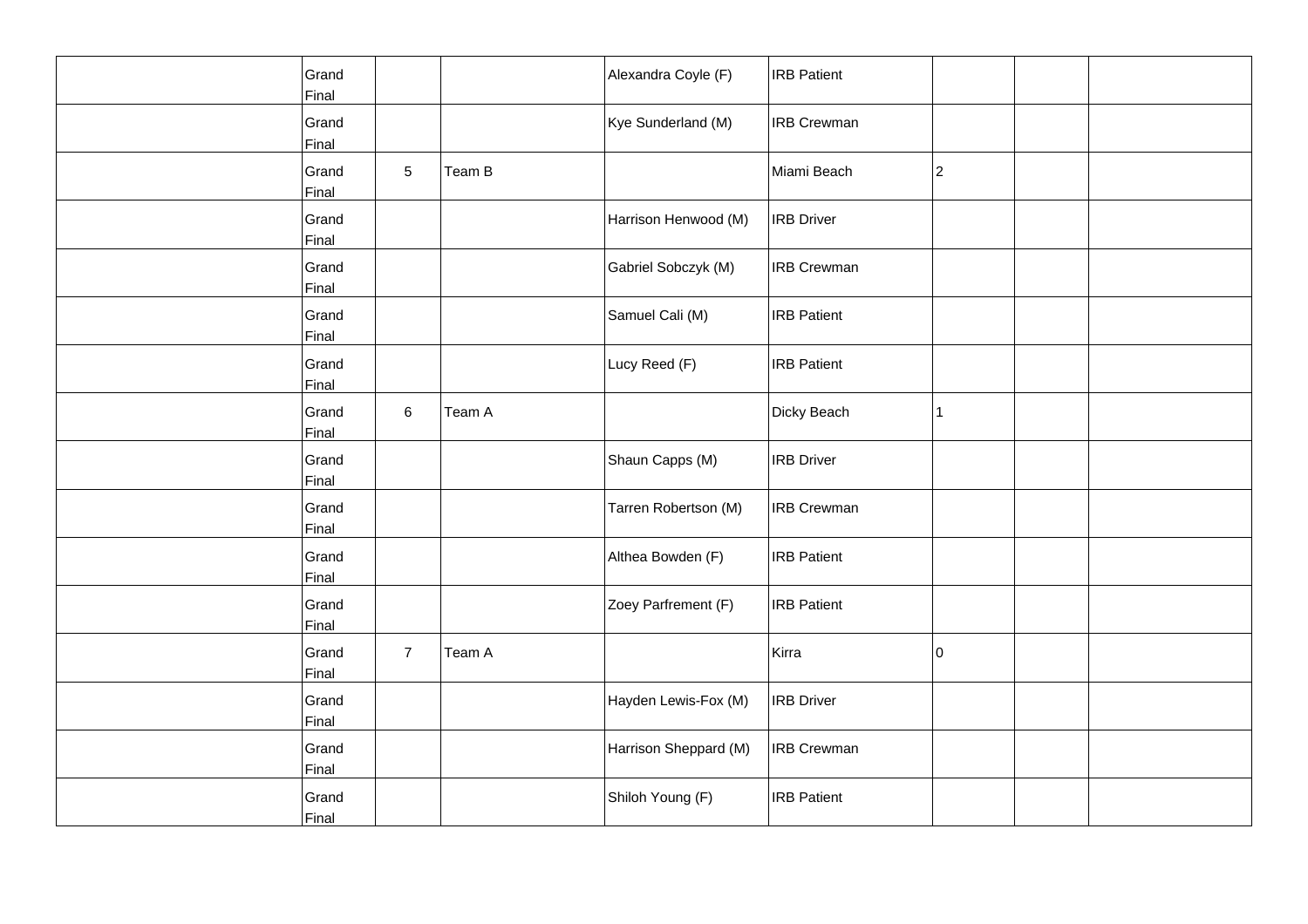| Grand<br>Final |                |        | Alexandra Coyle (F)   | <b>IRB</b> Patient |              |  |
|----------------|----------------|--------|-----------------------|--------------------|--------------|--|
| Grand<br>Final |                |        | Kye Sunderland (M)    | <b>IRB</b> Crewman |              |  |
| Grand<br>Final | 5              | Team B |                       | Miami Beach        | 2            |  |
| Grand<br>Final |                |        | Harrison Henwood (M)  | <b>IRB</b> Driver  |              |  |
| Grand<br>Final |                |        | Gabriel Sobczyk (M)   | <b>IRB</b> Crewman |              |  |
| Grand<br>Final |                |        | Samuel Cali (M)       | <b>IRB Patient</b> |              |  |
| Grand<br>Final |                |        | Lucy Reed (F)         | <b>IRB</b> Patient |              |  |
| Grand<br>Final | 6              | Team A |                       | Dicky Beach        | $\mathbf{1}$ |  |
| Grand<br>Final |                |        | Shaun Capps (M)       | <b>IRB Driver</b>  |              |  |
| Grand<br>Final |                |        | Tarren Robertson (M)  | <b>IRB Crewman</b> |              |  |
| Grand<br>Final |                |        | Althea Bowden (F)     | <b>IRB</b> Patient |              |  |
| Grand<br>Final |                |        | Zoey Parfrement (F)   | <b>IRB Patient</b> |              |  |
| Grand<br>Final | $\overline{7}$ | Team A |                       | Kirra              | 10           |  |
| Grand<br>Final |                |        | Hayden Lewis-Fox (M)  | <b>IRB</b> Driver  |              |  |
| Grand<br>Final |                |        | Harrison Sheppard (M) | <b>IRB Crewman</b> |              |  |
| Grand<br>Final |                |        | Shiloh Young (F)      | <b>IRB</b> Patient |              |  |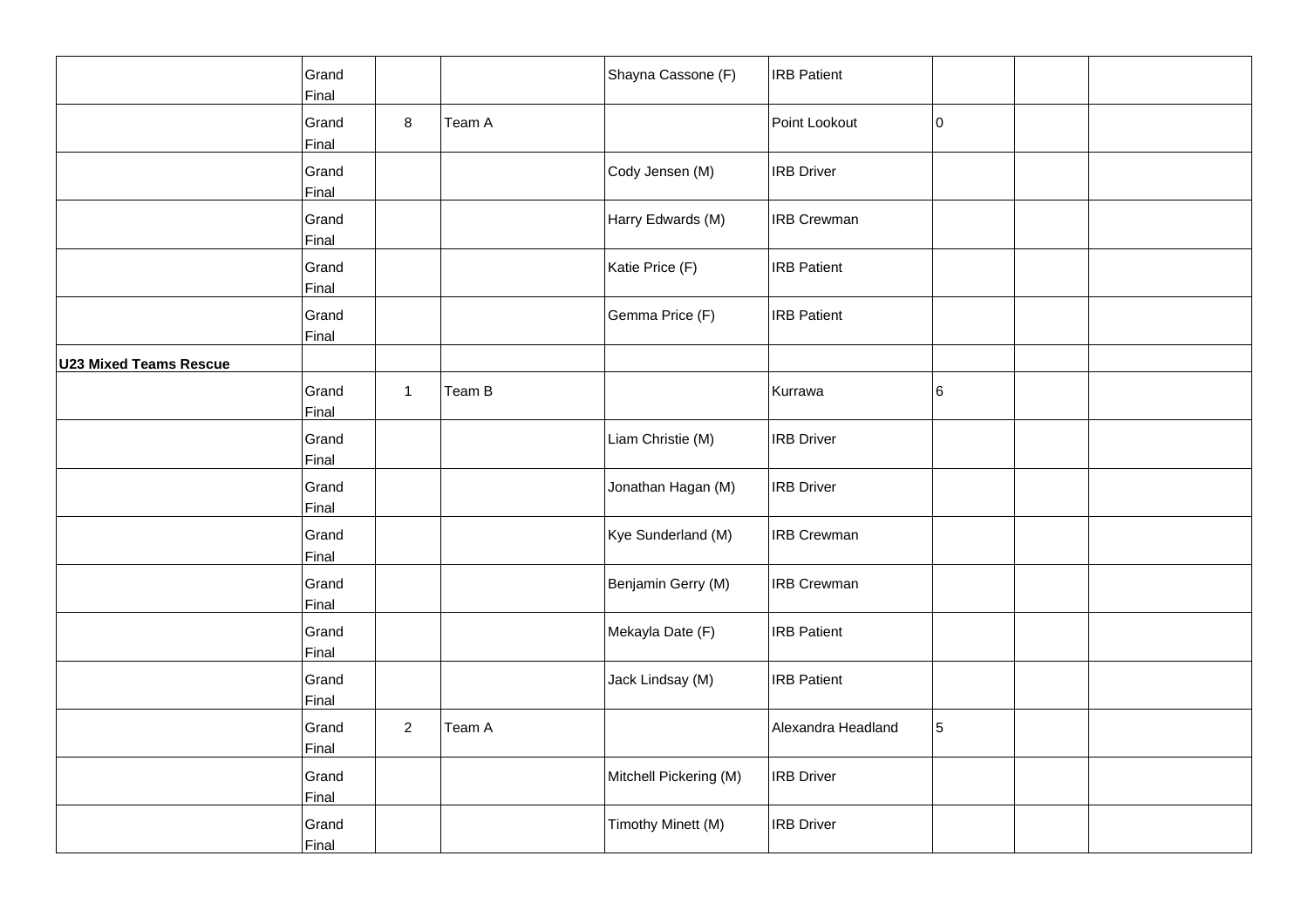|                               | Grand<br>Final |                |        | Shayna Cassone (F)     | <b>IRB Patient</b> |    |  |
|-------------------------------|----------------|----------------|--------|------------------------|--------------------|----|--|
|                               | Grand<br>Final | 8              | Team A |                        | Point Lookout      | 10 |  |
|                               | Grand<br>Final |                |        | Cody Jensen (M)        | <b>IRB Driver</b>  |    |  |
|                               | Grand<br>Final |                |        | Harry Edwards (M)      | <b>IRB Crewman</b> |    |  |
|                               | Grand<br>Final |                |        | Katie Price (F)        | <b>IRB Patient</b> |    |  |
|                               | Grand<br>Final |                |        | Gemma Price (F)        | <b>IRB Patient</b> |    |  |
| <b>U23 Mixed Teams Rescue</b> |                |                |        |                        |                    |    |  |
|                               | Grand<br>Final | $\mathbf{1}$   | Team B |                        | Kurrawa            | 6  |  |
|                               | Grand<br>Final |                |        | Liam Christie (M)      | <b>IRB Driver</b>  |    |  |
|                               | Grand<br>Final |                |        | Jonathan Hagan (M)     | <b>IRB Driver</b>  |    |  |
|                               | Grand<br>Final |                |        | Kye Sunderland (M)     | <b>IRB Crewman</b> |    |  |
|                               | Grand<br>Final |                |        | Benjamin Gerry (M)     | <b>IRB Crewman</b> |    |  |
|                               | Grand<br>Final |                |        | Mekayla Date (F)       | <b>IRB Patient</b> |    |  |
|                               | Grand<br>Final |                |        | Jack Lindsay (M)       | <b>IRB Patient</b> |    |  |
|                               | Grand<br>Final | $\overline{a}$ | Team A |                        | Alexandra Headland | 5  |  |
|                               | Grand<br>Final |                |        | Mitchell Pickering (M) | <b>IRB Driver</b>  |    |  |
|                               | Grand<br>Final |                |        | Timothy Minett (M)     | <b>IRB Driver</b>  |    |  |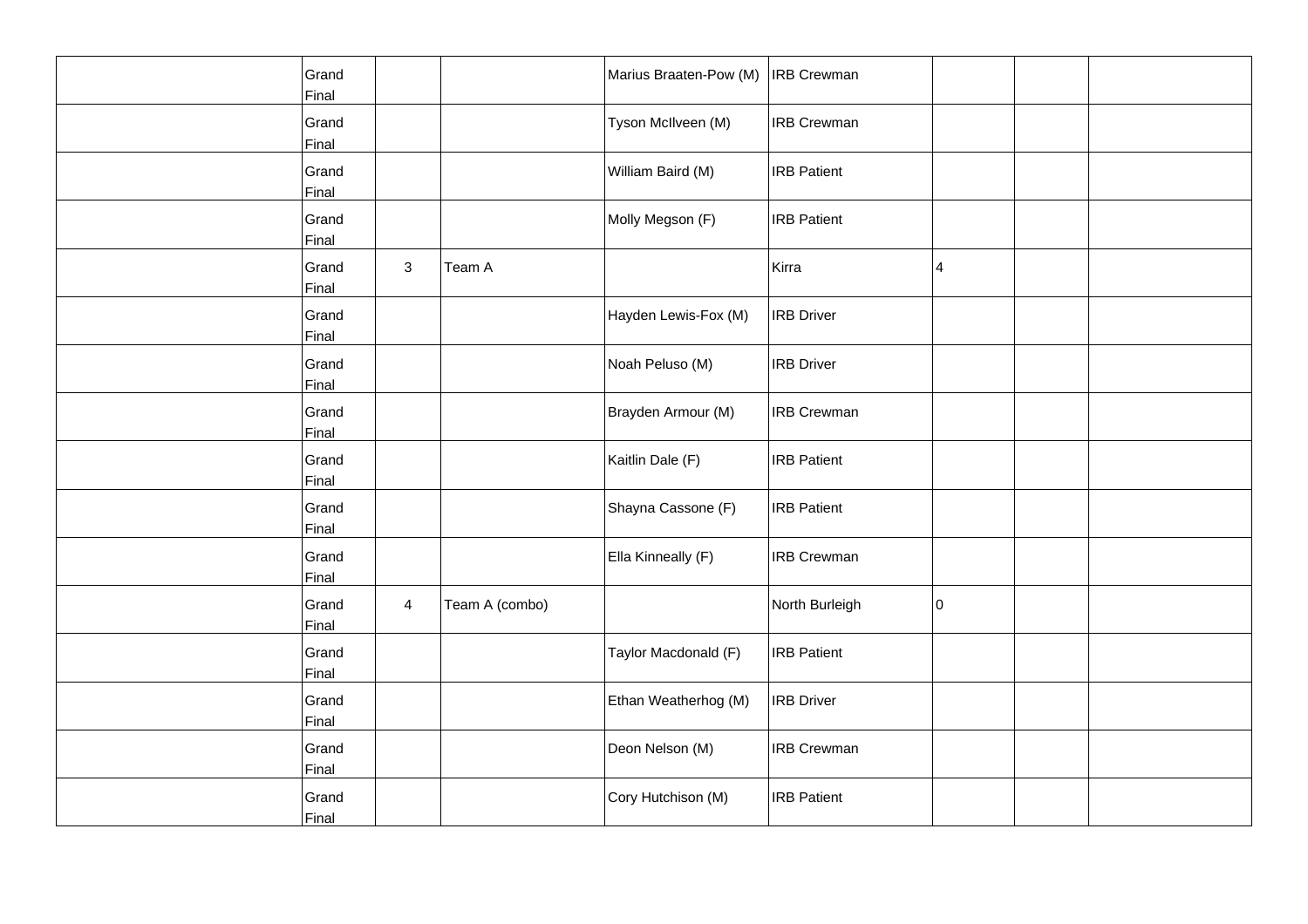| Grand<br>Final        |                |                | Marius Braaten-Pow (M) | <b>IRB Crewman</b> |    |  |
|-----------------------|----------------|----------------|------------------------|--------------------|----|--|
| Grand<br>Final        |                |                | Tyson McIlveen (M)     | <b>IRB Crewman</b> |    |  |
| Grand<br>Final        |                |                | William Baird (M)      | <b>IRB Patient</b> |    |  |
| Grand<br>Final        |                |                | Molly Megson (F)       | <b>IRB Patient</b> |    |  |
| Grand<br>Final        | 3              | Team A         |                        | Kirra              | 4  |  |
| Grand<br>Final        |                |                | Hayden Lewis-Fox (M)   | <b>IRB Driver</b>  |    |  |
| Grand<br>Final        |                |                | Noah Peluso (M)        | <b>IRB Driver</b>  |    |  |
| Grand<br>Final        |                |                | Brayden Armour (M)     | <b>IRB Crewman</b> |    |  |
| Grand<br>Final        |                |                | Kaitlin Dale (F)       | <b>IRB Patient</b> |    |  |
| Grand<br>Final        |                |                | Shayna Cassone (F)     | <b>IRB Patient</b> |    |  |
| Grand<br>Final        |                |                | Ella Kinneally (F)     | <b>IRB Crewman</b> |    |  |
| Grand<br>Final        | $\overline{4}$ | Team A (combo) |                        | North Burleigh     | 10 |  |
| Grand<br>Final        |                |                | Taylor Macdonald (F)   | <b>IRB Patient</b> |    |  |
| Grand<br>Final        |                |                | Ethan Weatherhog (M)   | <b>IRB</b> Driver  |    |  |
| Grand<br><b>Final</b> |                |                | Deon Nelson (M)        | <b>IRB Crewman</b> |    |  |
| Grand<br>Final        |                |                | Cory Hutchison (M)     | <b>IRB Patient</b> |    |  |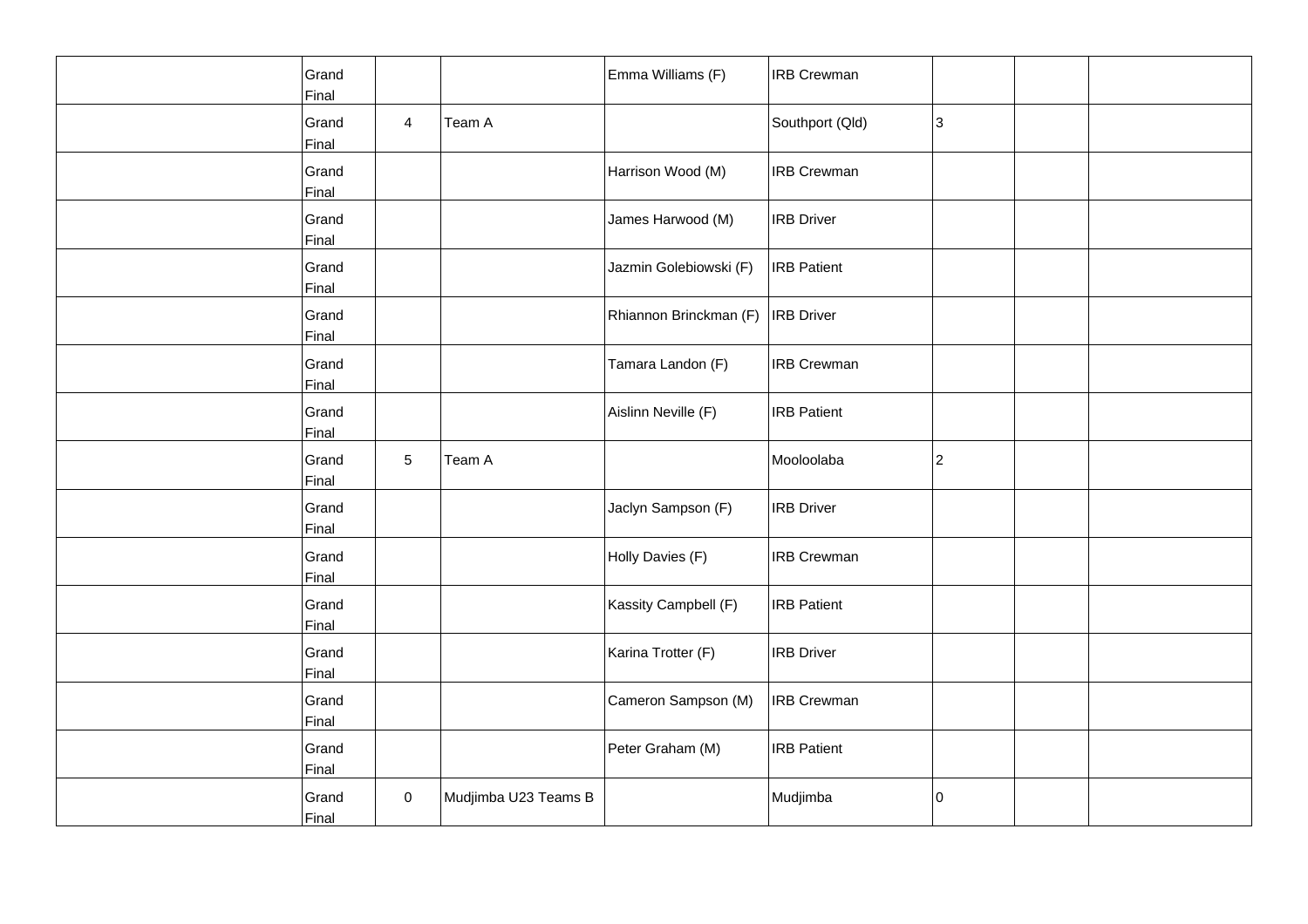| Grand<br>Final |                 |                      | Emma Williams (F)      | <b>IRB Crewman</b> |    |  |
|----------------|-----------------|----------------------|------------------------|--------------------|----|--|
| Grand<br>Final | $\overline{4}$  | Team A               |                        | Southport (Qld)    | 3  |  |
| Grand<br>Final |                 |                      | Harrison Wood (M)      | <b>IRB Crewman</b> |    |  |
| Grand<br>Final |                 |                      | James Harwood (M)      | <b>IRB Driver</b>  |    |  |
| Grand<br>Final |                 |                      | Jazmin Golebiowski (F) | <b>IRB</b> Patient |    |  |
| Grand<br>Final |                 |                      | Rhiannon Brinckman (F) | <b>IRB</b> Driver  |    |  |
| Grand<br>Final |                 |                      | Tamara Landon (F)      | <b>IRB Crewman</b> |    |  |
| Grand<br>Final |                 |                      | Aislinn Neville (F)    | <b>IRB</b> Patient |    |  |
| Grand<br>Final | $5\phantom{.0}$ | Team A               |                        | Mooloolaba         | 2  |  |
| Grand<br>Final |                 |                      | Jaclyn Sampson (F)     | <b>IRB Driver</b>  |    |  |
| Grand<br>Final |                 |                      | Holly Davies (F)       | <b>IRB Crewman</b> |    |  |
| Grand<br>Final |                 |                      | Kassity Campbell (F)   | <b>IRB Patient</b> |    |  |
| Grand<br>Final |                 |                      | Karina Trotter (F)     | <b>IRB Driver</b>  |    |  |
| Grand<br>Final |                 |                      | Cameron Sampson (M)    | <b>IRB Crewman</b> |    |  |
| Grand<br>Final |                 |                      | Peter Graham (M)       | <b>IRB Patient</b> |    |  |
| Grand<br>Final | $\pmb{0}$       | Mudjimba U23 Teams B |                        | Mudjimba           | 10 |  |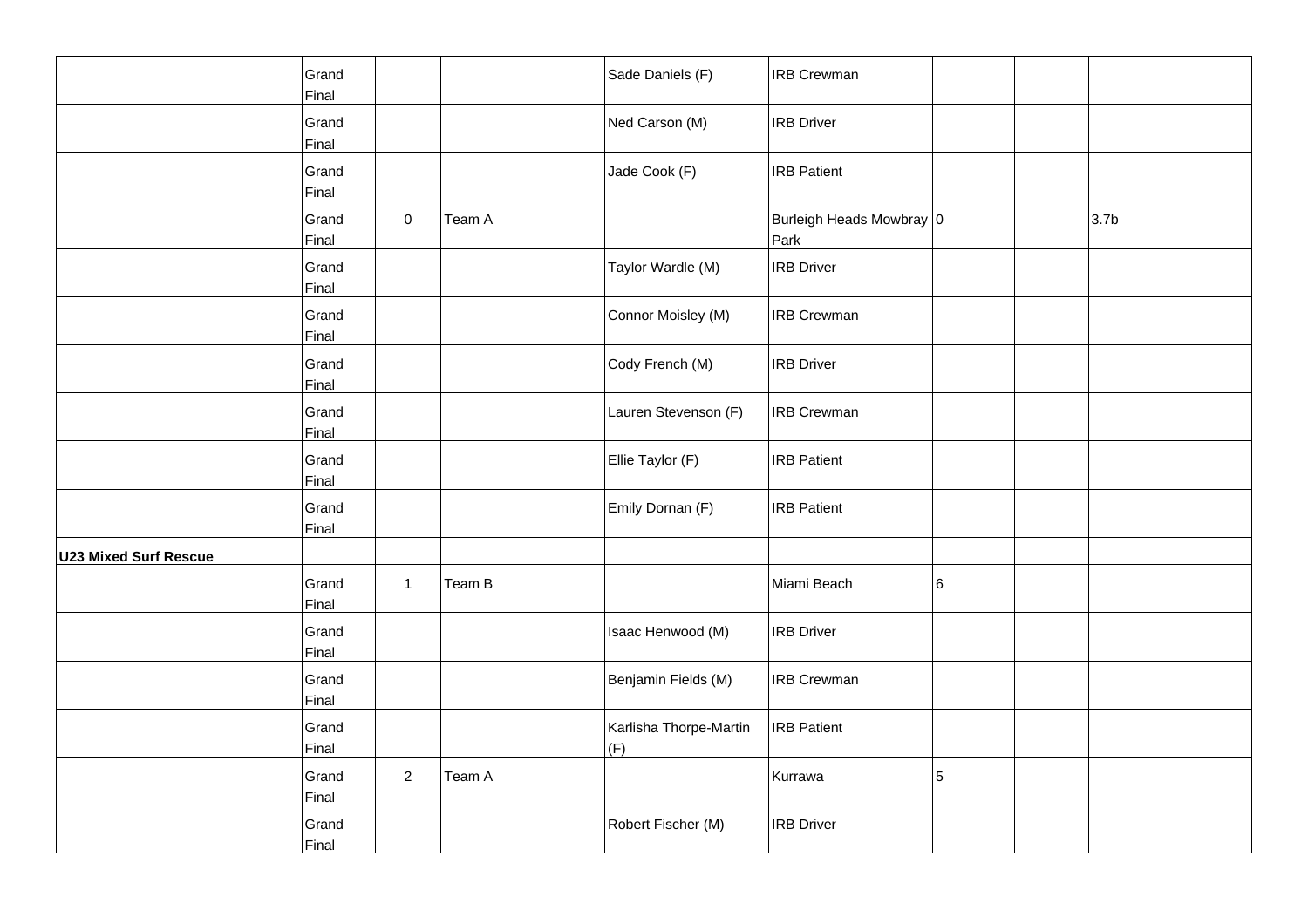|                              | Grand<br>Final |                |        | Sade Daniels (F)              | <b>IRB Crewman</b>               |   |                  |
|------------------------------|----------------|----------------|--------|-------------------------------|----------------------------------|---|------------------|
|                              | Grand<br>Final |                |        | Ned Carson (M)                | <b>IRB Driver</b>                |   |                  |
|                              | Grand<br>Final |                |        | Jade Cook (F)                 | <b>IRB Patient</b>               |   |                  |
|                              | Grand<br>Final | 0              | Team A |                               | Burleigh Heads Mowbray 0<br>Park |   | 3.7 <sub>b</sub> |
|                              | Grand<br>Final |                |        | Taylor Wardle (M)             | <b>IRB Driver</b>                |   |                  |
|                              | Grand<br>Final |                |        | Connor Moisley (M)            | <b>IRB Crewman</b>               |   |                  |
|                              | Grand<br>Final |                |        | Cody French (M)               | <b>IRB Driver</b>                |   |                  |
|                              | Grand<br>Final |                |        | Lauren Stevenson (F)          | <b>IRB Crewman</b>               |   |                  |
|                              | Grand<br>Final |                |        | Ellie Taylor (F)              | <b>IRB Patient</b>               |   |                  |
|                              | Grand<br>Final |                |        | Emily Dornan (F)              | <b>IRB Patient</b>               |   |                  |
| <b>U23 Mixed Surf Rescue</b> |                |                |        |                               |                                  |   |                  |
|                              | Grand<br>Final | $\mathbf{1}$   | Team B |                               | Miami Beach                      | 6 |                  |
|                              | Grand<br>Final |                |        | Isaac Henwood (M)             | <b>IRB Driver</b>                |   |                  |
|                              | Grand<br>Final |                |        | Benjamin Fields (M)           | <b>IRB Crewman</b>               |   |                  |
|                              | Grand<br>Final |                |        | Karlisha Thorpe-Martin<br>(F) | <b>IRB Patient</b>               |   |                  |
|                              | Grand<br>Final | $\overline{2}$ | Team A |                               | Kurrawa                          | 5 |                  |
|                              | Grand<br>Final |                |        | Robert Fischer (M)            | <b>IRB Driver</b>                |   |                  |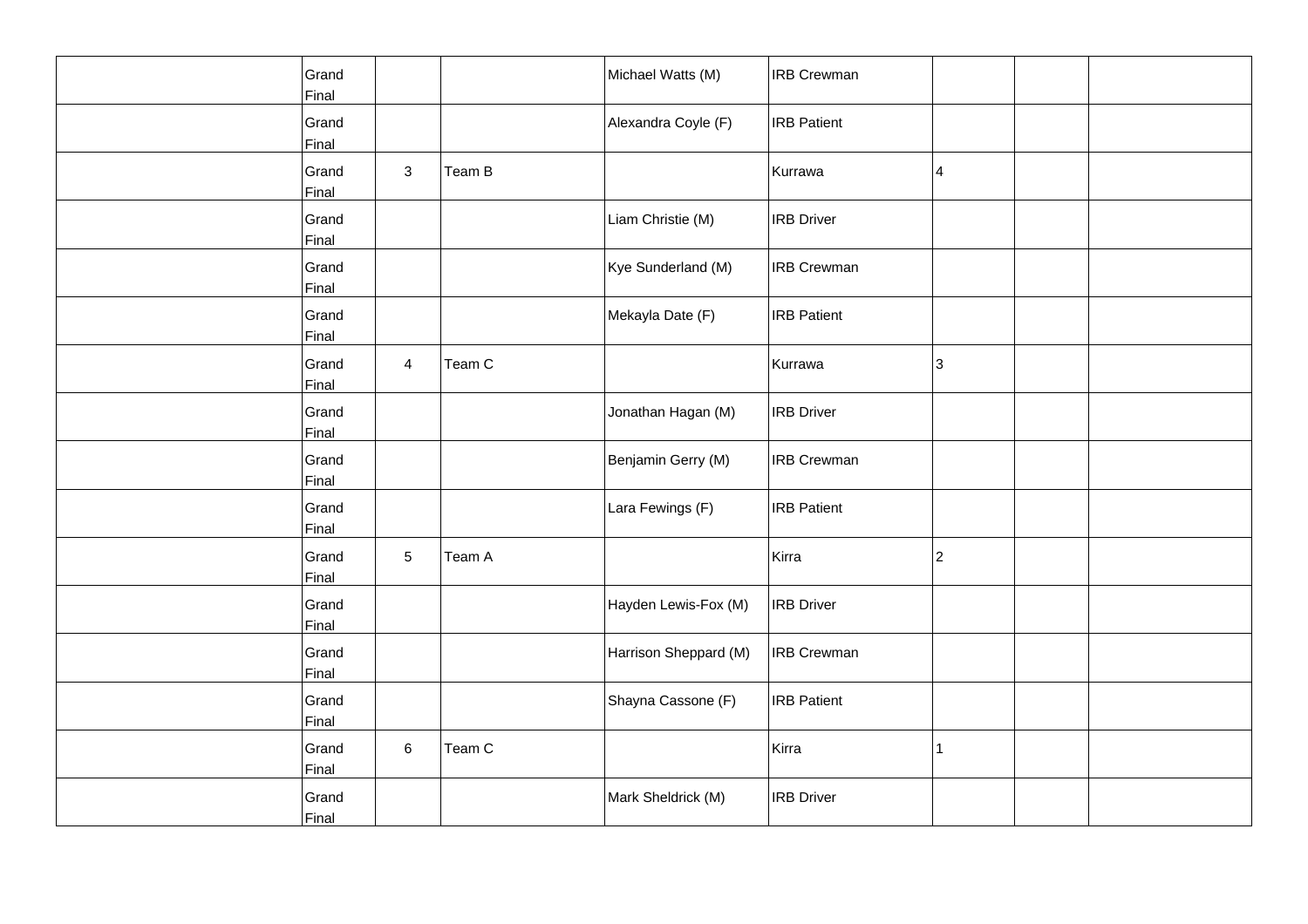| Grand<br>Final |                |        | Michael Watts (M)     | <b>IRB Crewman</b> |              |  |
|----------------|----------------|--------|-----------------------|--------------------|--------------|--|
| Grand<br>Final |                |        | Alexandra Coyle (F)   | <b>IRB</b> Patient |              |  |
| Grand<br>Final | 3              | Team B |                       | Kurrawa            | 4            |  |
| Grand<br>Final |                |        | Liam Christie (M)     | <b>IRB</b> Driver  |              |  |
| Grand<br>Final |                |        | Kye Sunderland (M)    | <b>IRB</b> Crewman |              |  |
| Grand<br>Final |                |        | Mekayla Date (F)      | <b>IRB Patient</b> |              |  |
| Grand<br>Final | $\overline{4}$ | Team C |                       | Kurrawa            | 3            |  |
| Grand<br>Final |                |        | Jonathan Hagan (M)    | <b>IRB</b> Driver  |              |  |
| Grand<br>Final |                |        | Benjamin Gerry (M)    | <b>IRB Crewman</b> |              |  |
| Grand<br>Final |                |        | Lara Fewings (F)      | <b>IRB</b> Patient |              |  |
| Grand<br>Final | 5              | Team A |                       | Kirra              | 2            |  |
| Grand<br>Final |                |        | Hayden Lewis-Fox (M)  | <b>IRB Driver</b>  |              |  |
| Grand<br>Final |                |        | Harrison Sheppard (M) | <b>IRB Crewman</b> |              |  |
| Grand<br>Final |                |        | Shayna Cassone (F)    | <b>IRB</b> Patient |              |  |
| Grand<br>Final | 6              | Team C |                       | Kirra              | $\mathbf{1}$ |  |
| Grand<br>Final |                |        | Mark Sheldrick (M)    | <b>IRB</b> Driver  |              |  |